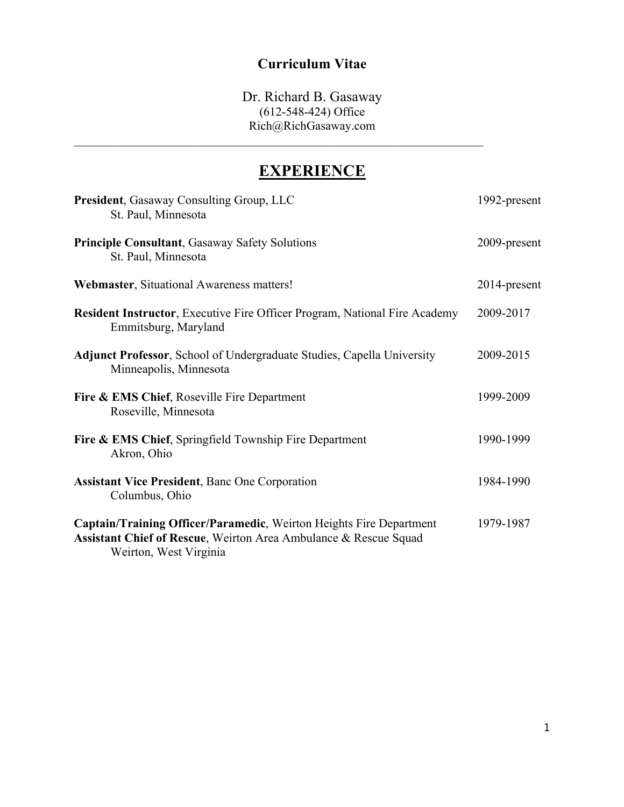### **Curriculum Vitae**

Dr. Richard B. Gasaway (612-548-424) Office Rich@RichGasaway.com  $\mathcal{L}_\mathcal{L} = \mathcal{L}_\mathcal{L} = \mathcal{L}_\mathcal{L} = \mathcal{L}_\mathcal{L} = \mathcal{L}_\mathcal{L} = \mathcal{L}_\mathcal{L} = \mathcal{L}_\mathcal{L} = \mathcal{L}_\mathcal{L} = \mathcal{L}_\mathcal{L} = \mathcal{L}_\mathcal{L} = \mathcal{L}_\mathcal{L} = \mathcal{L}_\mathcal{L} = \mathcal{L}_\mathcal{L} = \mathcal{L}_\mathcal{L} = \mathcal{L}_\mathcal{L} = \mathcal{L}_\mathcal{L} = \mathcal{L}_\mathcal{L}$ 

# **EXPERIENCE**

| President, Gasaway Consulting Group, LLC<br>St. Paul, Minnesota                                                                                                   | 1992-present |
|-------------------------------------------------------------------------------------------------------------------------------------------------------------------|--------------|
| <b>Principle Consultant, Gasaway Safety Solutions</b><br>St. Paul, Minnesota                                                                                      | 2009-present |
| Webmaster, Situational Awareness matters!                                                                                                                         | 2014-present |
| <b>Resident Instructor, Executive Fire Officer Program, National Fire Academy</b><br>Emmitsburg, Maryland                                                         | 2009-2017    |
| <b>Adjunct Professor, School of Undergraduate Studies, Capella University</b><br>Minneapolis, Minnesota                                                           | 2009-2015    |
| <b>Fire &amp; EMS Chief, Roseville Fire Department</b><br>Roseville, Minnesota                                                                                    | 1999-2009    |
| Fire & EMS Chief, Springfield Township Fire Department<br>Akron, Ohio                                                                                             | 1990-1999    |
| <b>Assistant Vice President, Banc One Corporation</b><br>Columbus, Ohio                                                                                           | 1984-1990    |
| Captain/Training Officer/Paramedic, Weirton Heights Fire Department<br>Assistant Chief of Rescue, Weirton Area Ambulance & Rescue Squad<br>Weirton, West Virginia | 1979-1987    |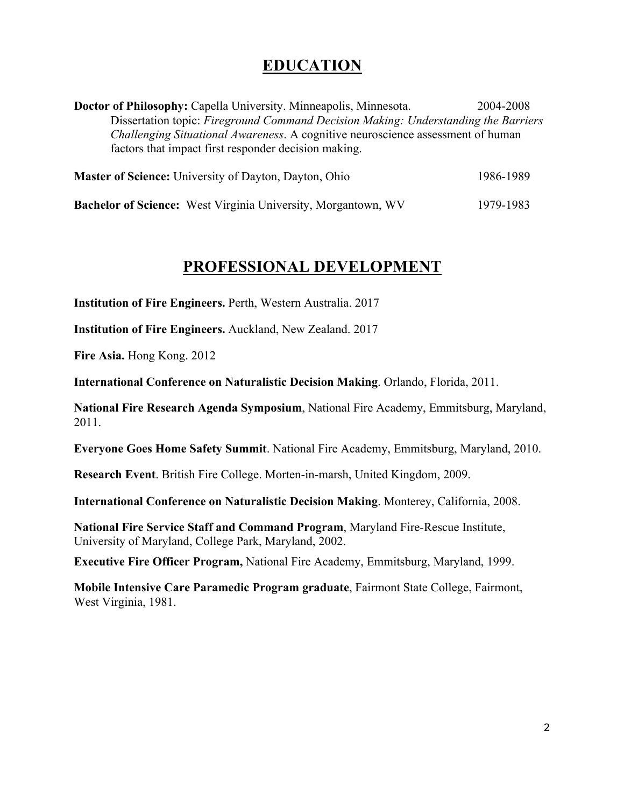### **EDUCATION**

**Doctor of Philosophy:** Capella University. Minneapolis, Minnesota. 2004-2008 Dissertation topic: *Fireground Command Decision Making: Understanding the Barriers Challenging Situational Awareness*. A cognitive neuroscience assessment of human factors that impact first responder decision making.

| <b>Master of Science:</b> University of Dayton, Dayton, Ohio         | 1986-1989 |
|----------------------------------------------------------------------|-----------|
| <b>Bachelor of Science:</b> West Virginia University, Morgantown, WV | 1979-1983 |

### **PROFESSIONAL DEVELOPMENT**

**Institution of Fire Engineers.** Perth, Western Australia. 2017

**Institution of Fire Engineers.** Auckland, New Zealand. 2017

**Fire Asia.** Hong Kong. 2012

**International Conference on Naturalistic Decision Making**. Orlando, Florida, 2011.

**National Fire Research Agenda Symposium**, National Fire Academy, Emmitsburg, Maryland, 2011.

**Everyone Goes Home Safety Summit**. National Fire Academy, Emmitsburg, Maryland, 2010.

**Research Event**. British Fire College. Morten-in-marsh, United Kingdom, 2009.

**International Conference on Naturalistic Decision Making**. Monterey, California, 2008.

**National Fire Service Staff and Command Program**, Maryland Fire-Rescue Institute, University of Maryland, College Park, Maryland, 2002.

**Executive Fire Officer Program,** National Fire Academy, Emmitsburg, Maryland, 1999.

**Mobile Intensive Care Paramedic Program graduate**, Fairmont State College, Fairmont, West Virginia, 1981.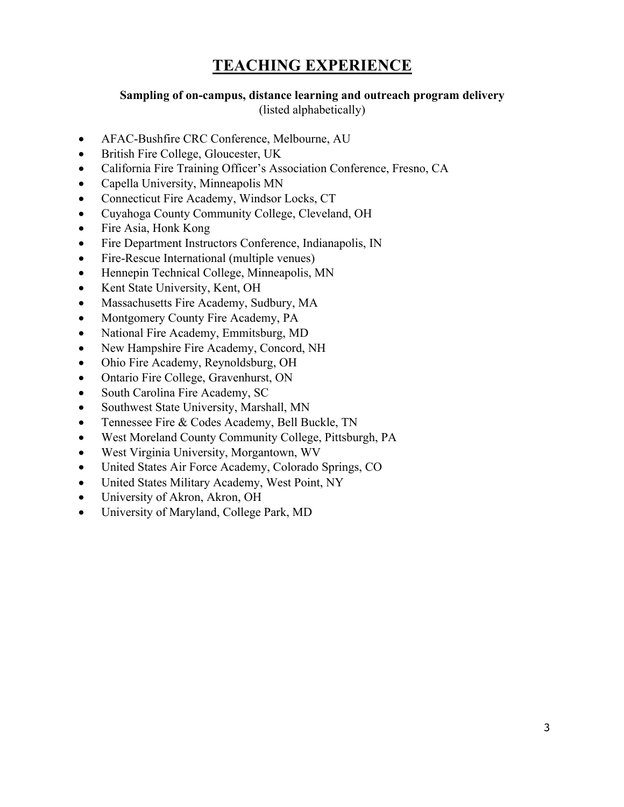# **TEACHING EXPERIENCE**

#### **Sampling of on-campus, distance learning and outreach program delivery**

(listed alphabetically)

- AFAC-Bushfire CRC Conference, Melbourne, AU
- British Fire College, Gloucester, UK
- California Fire Training Officer's Association Conference, Fresno, CA
- Capella University, Minneapolis MN
- Connecticut Fire Academy, Windsor Locks, CT
- Cuyahoga County Community College, Cleveland, OH
- Fire Asia, Honk Kong
- Fire Department Instructors Conference, Indianapolis, IN
- Fire-Rescue International (multiple venues)
- Hennepin Technical College, Minneapolis, MN
- Kent State University, Kent, OH
- Massachusetts Fire Academy, Sudbury, MA
- Montgomery County Fire Academy, PA
- National Fire Academy, Emmitsburg, MD
- New Hampshire Fire Academy, Concord, NH
- Ohio Fire Academy, Reynoldsburg, OH
- Ontario Fire College, Gravenhurst, ON
- South Carolina Fire Academy, SC
- Southwest State University, Marshall, MN
- Tennessee Fire & Codes Academy, Bell Buckle, TN
- West Moreland County Community College, Pittsburgh, PA
- West Virginia University, Morgantown, WV
- United States Air Force Academy, Colorado Springs, CO
- United States Military Academy, West Point, NY
- University of Akron, Akron, OH
- University of Maryland, College Park, MD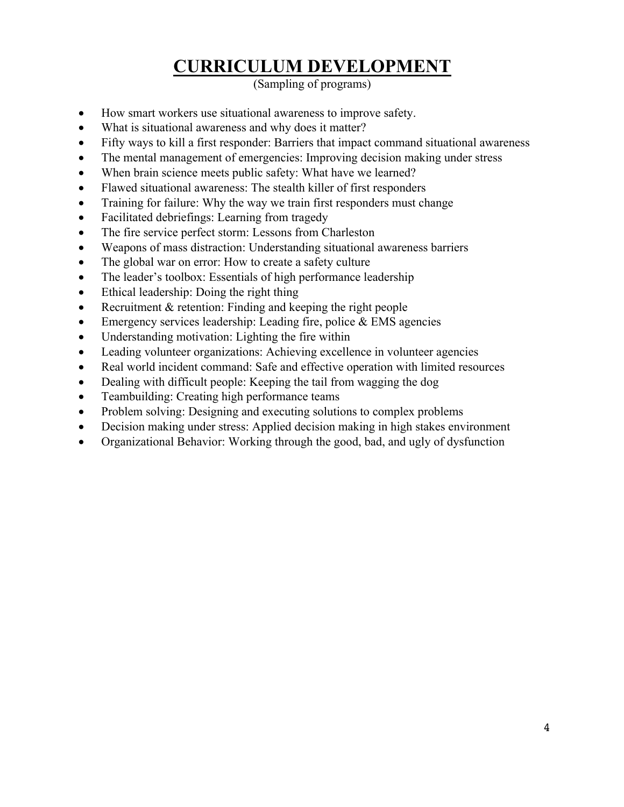# **CURRICULUM DEVELOPMENT**

(Sampling of programs)

- How smart workers use situational awareness to improve safety.
- What is situational awareness and why does it matter?
- Fifty ways to kill a first responder: Barriers that impact command situational awareness
- The mental management of emergencies: Improving decision making under stress
- When brain science meets public safety: What have we learned?
- Flawed situational awareness: The stealth killer of first responders
- Training for failure: Why the way we train first responders must change
- Facilitated debriefings: Learning from tragedy
- The fire service perfect storm: Lessons from Charleston
- Weapons of mass distraction: Understanding situational awareness barriers
- The global war on error: How to create a safety culture
- The leader's toolbox: Essentials of high performance leadership
- Ethical leadership: Doing the right thing
- Recruitment & retention: Finding and keeping the right people
- Emergency services leadership: Leading fire, police  $& EMS$  agencies
- Understanding motivation: Lighting the fire within
- Leading volunteer organizations: Achieving excellence in volunteer agencies
- Real world incident command: Safe and effective operation with limited resources
- Dealing with difficult people: Keeping the tail from wagging the dog
- Teambuilding: Creating high performance teams
- Problem solving: Designing and executing solutions to complex problems
- Decision making under stress: Applied decision making in high stakes environment
- Organizational Behavior: Working through the good, bad, and ugly of dysfunction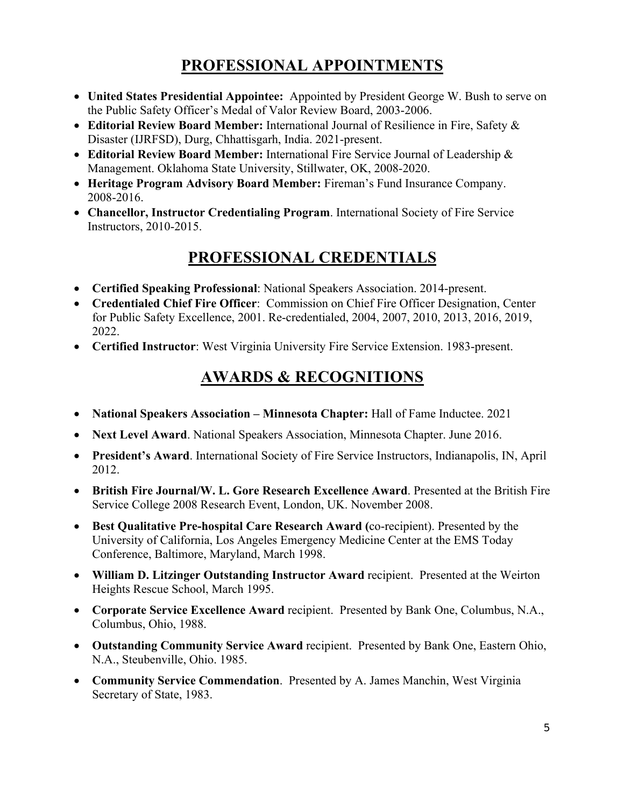# **PROFESSIONAL APPOINTMENTS**

- **United States Presidential Appointee:** Appointed by President George W. Bush to serve on the Public Safety Officer's Medal of Valor Review Board, 2003-2006.
- **Editorial Review Board Member:** International Journal of Resilience in Fire, Safety & Disaster (IJRFSD), Durg, Chhattisgarh, India. 2021-present.
- **Editorial Review Board Member:** International Fire Service Journal of Leadership & Management. Oklahoma State University, Stillwater, OK, 2008-2020.
- **Heritage Program Advisory Board Member:** Fireman's Fund Insurance Company. 2008-2016.
- **Chancellor, Instructor Credentialing Program**. International Society of Fire Service Instructors, 2010-2015.

# **PROFESSIONAL CREDENTIALS**

- **Certified Speaking Professional**: National Speakers Association. 2014-present.
- **Credentialed Chief Fire Officer**: Commission on Chief Fire Officer Designation, Center for Public Safety Excellence, 2001. Re-credentialed, 2004, 2007, 2010, 2013, 2016, 2019, 2022.
- **Certified Instructor**: West Virginia University Fire Service Extension. 1983-present.

# **AWARDS & RECOGNITIONS**

- **National Speakers Association – Minnesota Chapter:** Hall of Fame Inductee. 2021
- **Next Level Award**. National Speakers Association, Minnesota Chapter. June 2016.
- **President's Award**. International Society of Fire Service Instructors, Indianapolis, IN, April 2012.
- **British Fire Journal/W. L. Gore Research Excellence Award**. Presented at the British Fire Service College 2008 Research Event, London, UK. November 2008.
- **Best Qualitative Pre-hospital Care Research Award (**co-recipient). Presented by the University of California, Los Angeles Emergency Medicine Center at the EMS Today Conference, Baltimore, Maryland, March 1998.
- **William D. Litzinger Outstanding Instructor Award** recipient. Presented at the Weirton Heights Rescue School, March 1995.
- **Corporate Service Excellence Award** recipient. Presented by Bank One, Columbus, N.A., Columbus, Ohio, 1988.
- **Outstanding Community Service Award** recipient. Presented by Bank One, Eastern Ohio, N.A., Steubenville, Ohio. 1985.
- **Community Service Commendation**. Presented by A. James Manchin, West Virginia Secretary of State, 1983.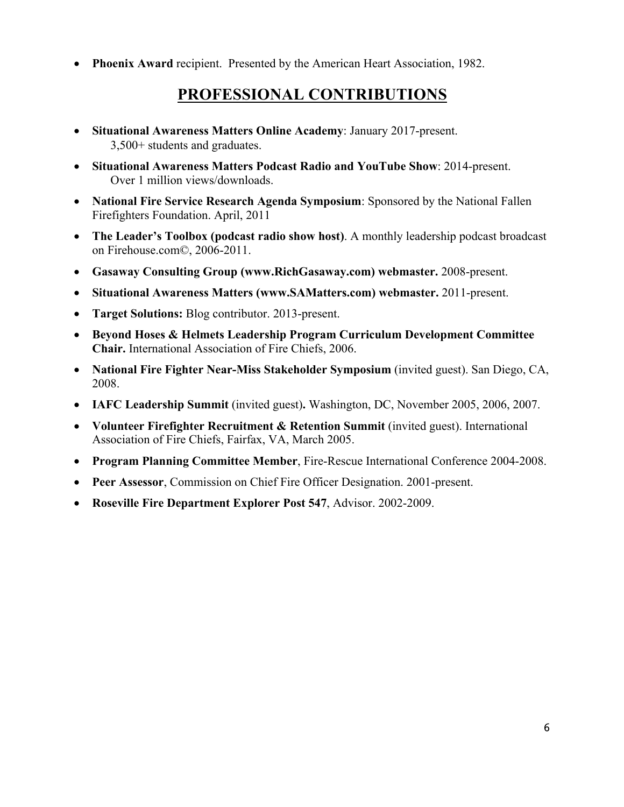**Phoenix Award** recipient. Presented by the American Heart Association, 1982.

### **PROFESSIONAL CONTRIBUTIONS**

- **Situational Awareness Matters Online Academy**: January 2017-present. 3,500+ students and graduates.
- **Situational Awareness Matters Podcast Radio and YouTube Show**: 2014-present. Over 1 million views/downloads.
- **National Fire Service Research Agenda Symposium**: Sponsored by the National Fallen Firefighters Foundation. April, 2011
- **The Leader's Toolbox (podcast radio show host)**. A monthly leadership podcast broadcast on Firehouse.com©, 2006-2011.
- **Gasaway Consulting Group (www.RichGasaway.com) webmaster.** 2008-present.
- **Situational Awareness Matters (www.SAMatters.com) webmaster.** 2011-present.
- **Target Solutions:** Blog contributor. 2013-present.
- **Beyond Hoses & Helmets Leadership Program Curriculum Development Committee Chair.** International Association of Fire Chiefs, 2006.
- **National Fire Fighter Near-Miss Stakeholder Symposium** (invited guest). San Diego, CA, 2008.
- **IAFC Leadership Summit** (invited guest)**.** Washington, DC, November 2005, 2006, 2007.
- **Volunteer Firefighter Recruitment & Retention Summit** (invited guest). International Association of Fire Chiefs, Fairfax, VA, March 2005.
- **Program Planning Committee Member**, Fire-Rescue International Conference 2004-2008.
- **Peer Assessor**, Commission on Chief Fire Officer Designation. 2001-present.
- **Roseville Fire Department Explorer Post 547**, Advisor. 2002-2009.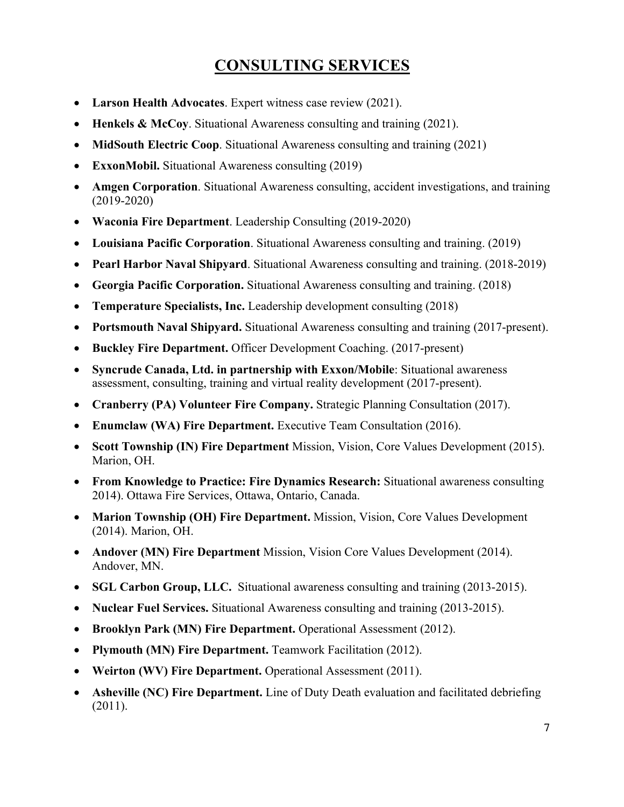# **CONSULTING SERVICES**

- **Larson Health Advocates**. Expert witness case review (2021).
- **Henkels & McCoy**. Situational Awareness consulting and training (2021).
- **MidSouth Electric Coop**. Situational Awareness consulting and training (2021)
- **ExxonMobil.** Situational Awareness consulting (2019)
- **Amgen Corporation**. Situational Awareness consulting, accident investigations, and training (2019-2020)
- **Waconia Fire Department**. Leadership Consulting (2019-2020)
- **Louisiana Pacific Corporation**. Situational Awareness consulting and training. (2019)
- **Pearl Harbor Naval Shipyard**. Situational Awareness consulting and training. (2018-2019)
- **Georgia Pacific Corporation.** Situational Awareness consulting and training. (2018)
- **Temperature Specialists, Inc.** Leadership development consulting (2018)
- **Portsmouth Naval Shipyard.** Situational Awareness consulting and training (2017-present).
- **Buckley Fire Department.** Officer Development Coaching. (2017-present)
- **Syncrude Canada, Ltd. in partnership with Exxon/Mobile**: Situational awareness assessment, consulting, training and virtual reality development (2017-present).
- **Cranberry (PA) Volunteer Fire Company.** Strategic Planning Consultation (2017).
- **Enumclaw (WA) Fire Department.** Executive Team Consultation (2016).
- **Scott Township (IN) Fire Department** Mission, Vision, Core Values Development (2015). Marion, OH.
- **From Knowledge to Practice: Fire Dynamics Research:** Situational awareness consulting 2014). Ottawa Fire Services, Ottawa, Ontario, Canada.
- **Marion Township (OH) Fire Department.** Mission, Vision, Core Values Development (2014). Marion, OH.
- **Andover (MN) Fire Department** Mission, Vision Core Values Development (2014). Andover, MN.
- **SGL Carbon Group, LLC.** Situational awareness consulting and training (2013-2015).
- **Nuclear Fuel Services.** Situational Awareness consulting and training (2013-2015).
- **Brooklyn Park (MN) Fire Department.** Operational Assessment (2012).
- **Plymouth (MN) Fire Department.** Teamwork Facilitation (2012).
- **Weirton (WV) Fire Department.** Operational Assessment (2011).
- **Asheville (NC) Fire Department.** Line of Duty Death evaluation and facilitated debriefing (2011).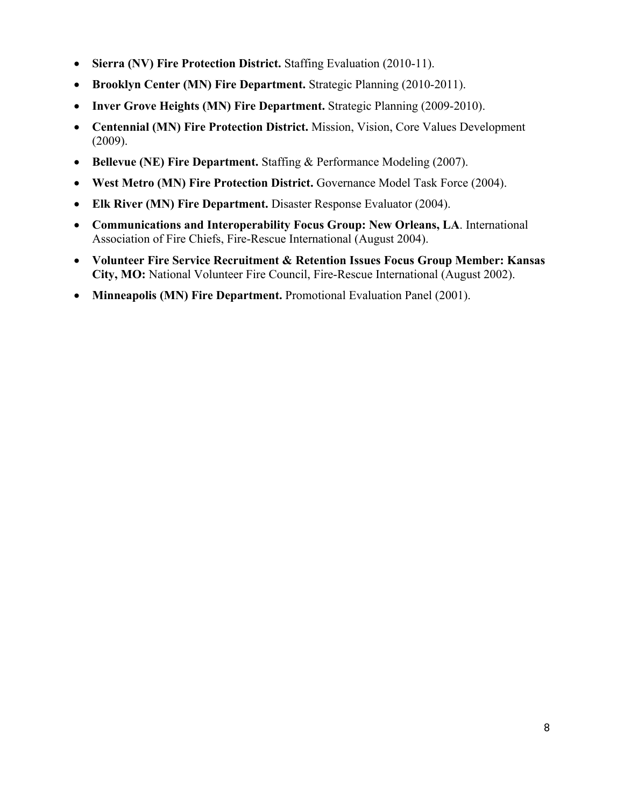- **Sierra (NV) Fire Protection District.** Staffing Evaluation (2010-11).
- **Brooklyn Center (MN) Fire Department.** Strategic Planning (2010-2011).
- **Inver Grove Heights (MN) Fire Department.** Strategic Planning (2009-2010).
- **Centennial (MN) Fire Protection District.** Mission, Vision, Core Values Development (2009).
- **Bellevue (NE) Fire Department.** Staffing & Performance Modeling (2007).
- **West Metro (MN) Fire Protection District.** Governance Model Task Force (2004).
- **Elk River (MN) Fire Department.** Disaster Response Evaluator (2004).
- **Communications and Interoperability Focus Group: New Orleans, LA**. International Association of Fire Chiefs, Fire-Rescue International (August 2004).
- **Volunteer Fire Service Recruitment & Retention Issues Focus Group Member: Kansas City, MO:** National Volunteer Fire Council, Fire-Rescue International (August 2002).
- **Minneapolis (MN) Fire Department.** Promotional Evaluation Panel (2001).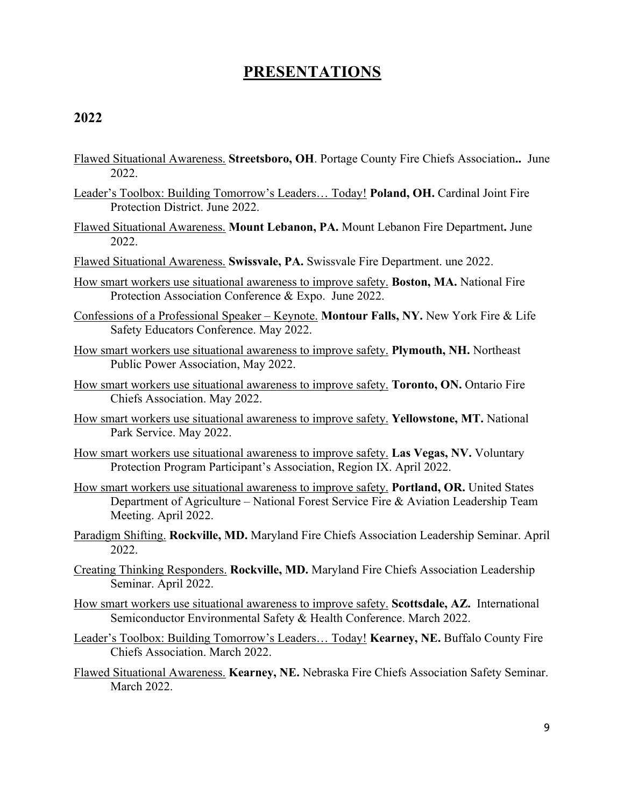### **PRESENTATIONS**

- Flawed Situational Awareness. **Streetsboro, OH**. Portage County Fire Chiefs Association**..** June 2022.
- Leader's Toolbox: Building Tomorrow's Leaders… Today! **Poland, OH.** Cardinal Joint Fire Protection District. June 2022.
- Flawed Situational Awareness. **Mount Lebanon, PA.** Mount Lebanon Fire Department**.** June 2022.
- Flawed Situational Awareness. **Swissvale, PA.** Swissvale Fire Department. une 2022.
- How smart workers use situational awareness to improve safety. **Boston, MA.** National Fire Protection Association Conference & Expo.June 2022.
- Confessions of a Professional Speaker Keynote. **Montour Falls, NY.** New York Fire & Life Safety Educators Conference. May 2022.
- How smart workers use situational awareness to improve safety. **Plymouth, NH.** Northeast Public Power Association, May 2022.
- How smart workers use situational awareness to improve safety. **Toronto, ON.** Ontario Fire Chiefs Association. May 2022.
- How smart workers use situational awareness to improve safety. **Yellowstone, MT.** National Park Service. May 2022.
- How smart workers use situational awareness to improve safety. **Las Vegas, NV.** Voluntary Protection Program Participant's Association, Region IX. April 2022.
- How smart workers use situational awareness to improve safety. **Portland, OR.** United States Department of Agriculture – National Forest Service Fire & Aviation Leadership Team Meeting. April 2022.
- Paradigm Shifting. **Rockville, MD.** Maryland Fire Chiefs Association Leadership Seminar. April 2022.
- Creating Thinking Responders. **Rockville, MD.** Maryland Fire Chiefs Association Leadership Seminar. April 2022.
- How smart workers use situational awareness to improve safety. **Scottsdale, AZ.** International Semiconductor Environmental Safety & Health Conference. March 2022.
- Leader's Toolbox: Building Tomorrow's Leaders… Today! **Kearney, NE.** Buffalo County Fire Chiefs Association. March 2022.
- Flawed Situational Awareness. **Kearney, NE.** Nebraska Fire Chiefs Association Safety Seminar. March 2022.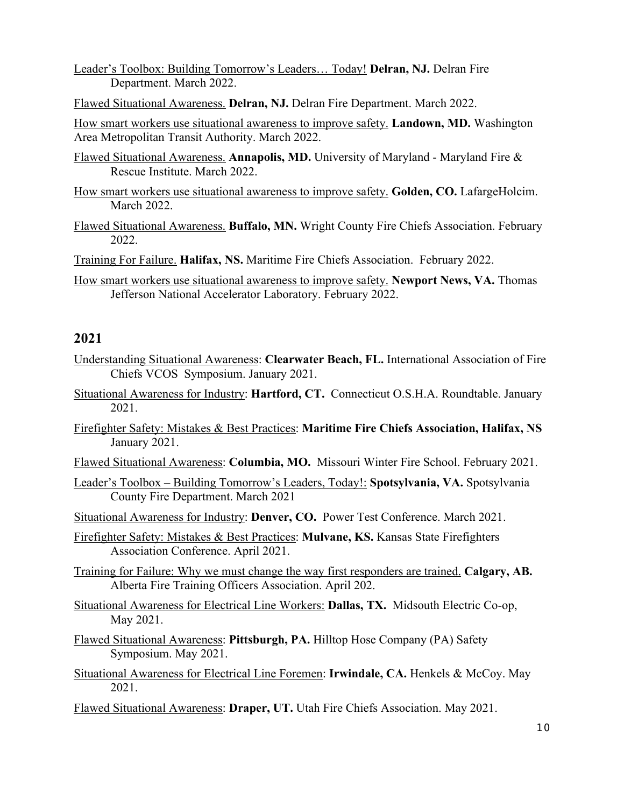Leader's Toolbox: Building Tomorrow's Leaders… Today! **Delran, NJ.** Delran Fire Department. March 2022.

Flawed Situational Awareness. **Delran, NJ.** Delran Fire Department. March 2022.

How smart workers use situational awareness to improve safety. **Landown, MD.** Washington Area Metropolitan Transit Authority. March 2022.

- Flawed Situational Awareness. **Annapolis, MD.** University of Maryland Maryland Fire & Rescue Institute. March 2022.
- How smart workers use situational awareness to improve safety. **Golden, CO.** LafargeHolcim. March 2022.
- Flawed Situational Awareness. **Buffalo, MN.** Wright County Fire Chiefs Association. February 2022.

Training For Failure. **Halifax, NS.** Maritime Fire Chiefs Association. February 2022.

How smart workers use situational awareness to improve safety. **Newport News, VA.** Thomas Jefferson National Accelerator Laboratory. February 2022.

#### **2021**

- Understanding Situational Awareness: **Clearwater Beach, FL.** International Association of Fire Chiefs VCOS Symposium. January 2021.
- Situational Awareness for Industry: **Hartford, CT.** Connecticut O.S.H.A. Roundtable. January 2021.
- Firefighter Safety: Mistakes & Best Practices: **Maritime Fire Chiefs Association, Halifax, NS** January 2021.
- Flawed Situational Awareness: **Columbia, MO.** Missouri Winter Fire School. February 2021.
- Leader's Toolbox Building Tomorrow's Leaders, Today!: **Spotsylvania, VA.** Spotsylvania County Fire Department. March 2021

Situational Awareness for Industry: **Denver, CO.** Power Test Conference. March 2021.

- Firefighter Safety: Mistakes & Best Practices: **Mulvane, KS.** Kansas State Firefighters Association Conference. April 2021.
- Training for Failure: Why we must change the way first responders are trained. **Calgary, AB.**  Alberta Fire Training Officers Association. April 202.
- Situational Awareness for Electrical Line Workers: **Dallas, TX.** Midsouth Electric Co-op, May 2021.
- Flawed Situational Awareness: **Pittsburgh, PA.** Hilltop Hose Company (PA) Safety Symposium. May 2021.
- Situational Awareness for Electrical Line Foremen: **Irwindale, CA.** Henkels & McCoy. May 2021.
- Flawed Situational Awareness: **Draper, UT.** Utah Fire Chiefs Association. May 2021.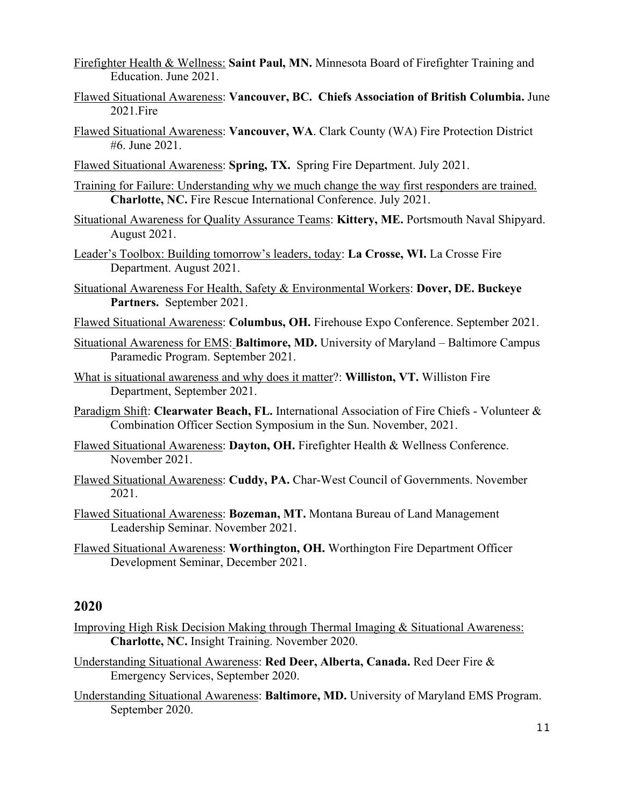- Firefighter Health & Wellness: **Saint Paul, MN.** Minnesota Board of Firefighter Training and Education. June 2021.
- Flawed Situational Awareness: **Vancouver, BC. Chiefs Association of British Columbia.** June 2021.Fire
- Flawed Situational Awareness: **Vancouver, WA**. Clark County (WA) Fire Protection District #6. June 2021.
- Flawed Situational Awareness: **Spring, TX.** Spring Fire Department. July 2021.
- Training for Failure: Understanding why we much change the way first responders are trained. **Charlotte, NC.** Fire Rescue International Conference. July 2021.
- Situational Awareness for Quality Assurance Teams: **Kittery, ME.** Portsmouth Naval Shipyard. August 2021.
- Leader's Toolbox: Building tomorrow's leaders, today: **La Crosse, WI.** La Crosse Fire Department. August 2021.
- Situational Awareness For Health, Safety & Environmental Workers: **Dover, DE. Buckeye Partners.** September 2021.
- Flawed Situational Awareness: **Columbus, OH.** Firehouse Expo Conference. September 2021.
- Situational Awareness for EMS: **Baltimore, MD.** University of Maryland Baltimore Campus Paramedic Program. September 2021.
- What is situational awareness and why does it matter?: **Williston, VT.** Williston Fire Department, September 2021.
- Paradigm Shift: **Clearwater Beach, FL.** International Association of Fire Chiefs Volunteer & Combination Officer Section Symposium in the Sun. November, 2021.
- Flawed Situational Awareness: **Dayton, OH.** Firefighter Health & Wellness Conference. November 2021.
- Flawed Situational Awareness: **Cuddy, PA.** Char-West Council of Governments. November 2021.
- Flawed Situational Awareness: **Bozeman, MT.** Montana Bureau of Land Management Leadership Seminar. November 2021.
- Flawed Situational Awareness: **Worthington, OH.** Worthington Fire Department Officer Development Seminar, December 2021.

- Improving High Risk Decision Making through Thermal Imaging & Situational Awareness: **Charlotte, NC.** Insight Training. November 2020.
- Understanding Situational Awareness: **Red Deer, Alberta, Canada.** Red Deer Fire & Emergency Services, September 2020.
- Understanding Situational Awareness: **Baltimore, MD.** University of Maryland EMS Program. September 2020.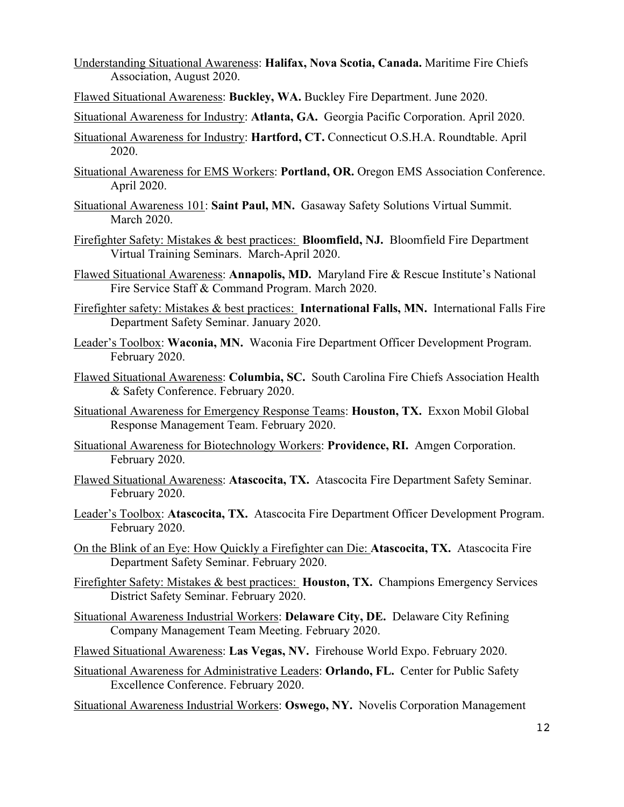- Understanding Situational Awareness: **Halifax, Nova Scotia, Canada.** Maritime Fire Chiefs Association, August 2020.
- Flawed Situational Awareness: **Buckley, WA.** Buckley Fire Department. June 2020.
- Situational Awareness for Industry: **Atlanta, GA.** Georgia Pacific Corporation. April 2020.
- Situational Awareness for Industry: **Hartford, CT.** Connecticut O.S.H.A. Roundtable. April 2020.
- Situational Awareness for EMS Workers: **Portland, OR.** Oregon EMS Association Conference. April 2020.
- Situational Awareness 101: **Saint Paul, MN.** Gasaway Safety Solutions Virtual Summit. March 2020.
- Firefighter Safety: Mistakes & best practices: **Bloomfield, NJ.** Bloomfield Fire Department Virtual Training Seminars. March-April 2020.
- Flawed Situational Awareness: **Annapolis, MD.** Maryland Fire & Rescue Institute's National Fire Service Staff & Command Program. March 2020.
- Firefighter safety: Mistakes & best practices: **International Falls, MN.** International Falls Fire Department Safety Seminar. January 2020.
- Leader's Toolbox: **Waconia, MN.** Waconia Fire Department Officer Development Program. February 2020.
- Flawed Situational Awareness: **Columbia, SC.** South Carolina Fire Chiefs Association Health & Safety Conference. February 2020.
- Situational Awareness for Emergency Response Teams: **Houston, TX.** Exxon Mobil Global Response Management Team. February 2020.
- Situational Awareness for Biotechnology Workers: **Providence, RI.** Amgen Corporation. February 2020.
- Flawed Situational Awareness: **Atascocita, TX.** Atascocita Fire Department Safety Seminar. February 2020.
- Leader's Toolbox: **Atascocita, TX.** Atascocita Fire Department Officer Development Program. February 2020.
- On the Blink of an Eye: How Quickly a Firefighter can Die: **Atascocita, TX.** Atascocita Fire Department Safety Seminar. February 2020.
- Firefighter Safety: Mistakes & best practices: **Houston, TX.** Champions Emergency Services District Safety Seminar. February 2020.
- Situational Awareness Industrial Workers: **Delaware City, DE.** Delaware City Refining Company Management Team Meeting. February 2020.
- Flawed Situational Awareness: **Las Vegas, NV.** Firehouse World Expo. February 2020.
- Situational Awareness for Administrative Leaders: **Orlando, FL.** Center for Public Safety Excellence Conference. February 2020.
- Situational Awareness Industrial Workers: **Oswego, NY.** Novelis Corporation Management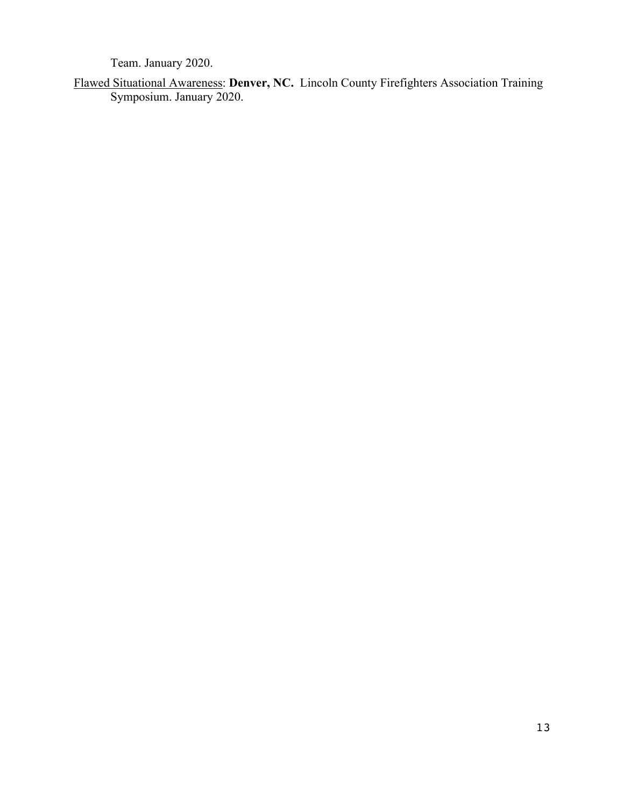Team. January 2020.

Flawed Situational Awareness: **Denver, NC.** Lincoln County Firefighters Association Training Symposium. January 2020.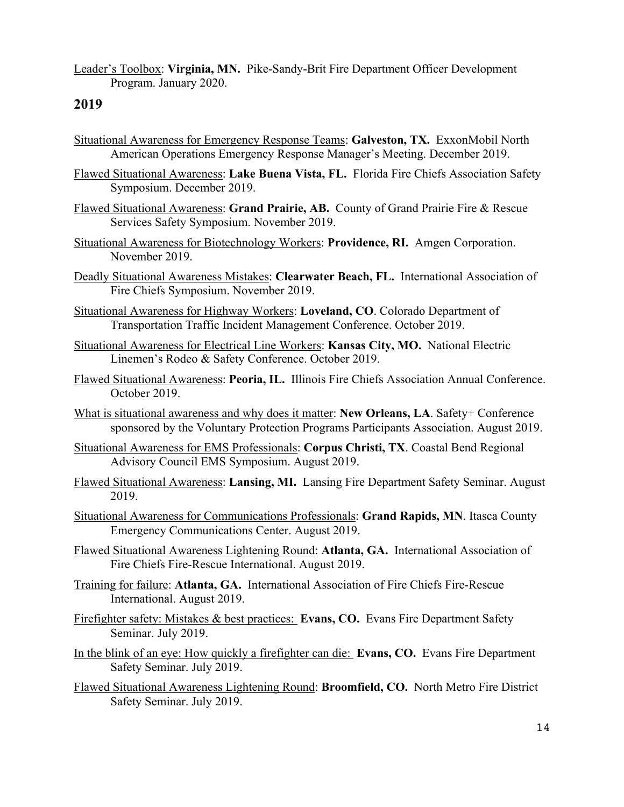Leader's Toolbox: **Virginia, MN.** Pike-Sandy-Brit Fire Department Officer Development Program. January 2020.

- Situational Awareness for Emergency Response Teams: **Galveston, TX.** ExxonMobil North American Operations Emergency Response Manager's Meeting. December 2019.
- Flawed Situational Awareness: **Lake Buena Vista, FL.** Florida Fire Chiefs Association Safety Symposium. December 2019.
- Flawed Situational Awareness: **Grand Prairie, AB.** County of Grand Prairie Fire & Rescue Services Safety Symposium. November 2019.
- Situational Awareness for Biotechnology Workers: **Providence, RI.** Amgen Corporation. November 2019.
- Deadly Situational Awareness Mistakes: **Clearwater Beach, FL.** International Association of Fire Chiefs Symposium. November 2019.
- Situational Awareness for Highway Workers: **Loveland, CO**. Colorado Department of Transportation Traffic Incident Management Conference. October 2019.
- Situational Awareness for Electrical Line Workers: **Kansas City, MO.** National Electric Linemen's Rodeo & Safety Conference. October 2019.
- Flawed Situational Awareness: **Peoria, IL.** Illinois Fire Chiefs Association Annual Conference. October 2019.
- What is situational awareness and why does it matter: **New Orleans, LA**. Safety+ Conference sponsored by the Voluntary Protection Programs Participants Association. August 2019.
- Situational Awareness for EMS Professionals: **Corpus Christi, TX**. Coastal Bend Regional Advisory Council EMS Symposium. August 2019.
- Flawed Situational Awareness: **Lansing, MI.** Lansing Fire Department Safety Seminar. August 2019.
- Situational Awareness for Communications Professionals: **Grand Rapids, MN**. Itasca County Emergency Communications Center. August 2019.
- Flawed Situational Awareness Lightening Round: **Atlanta, GA.** International Association of Fire Chiefs Fire-Rescue International. August 2019.
- Training for failure: **Atlanta, GA.** International Association of Fire Chiefs Fire-Rescue International. August 2019.
- Firefighter safety: Mistakes & best practices: **Evans, CO.** Evans Fire Department Safety Seminar. July 2019.
- In the blink of an eye: How quickly a firefighter can die: **Evans, CO.** Evans Fire Department Safety Seminar. July 2019.
- Flawed Situational Awareness Lightening Round: **Broomfield, CO.** North Metro Fire District Safety Seminar. July 2019.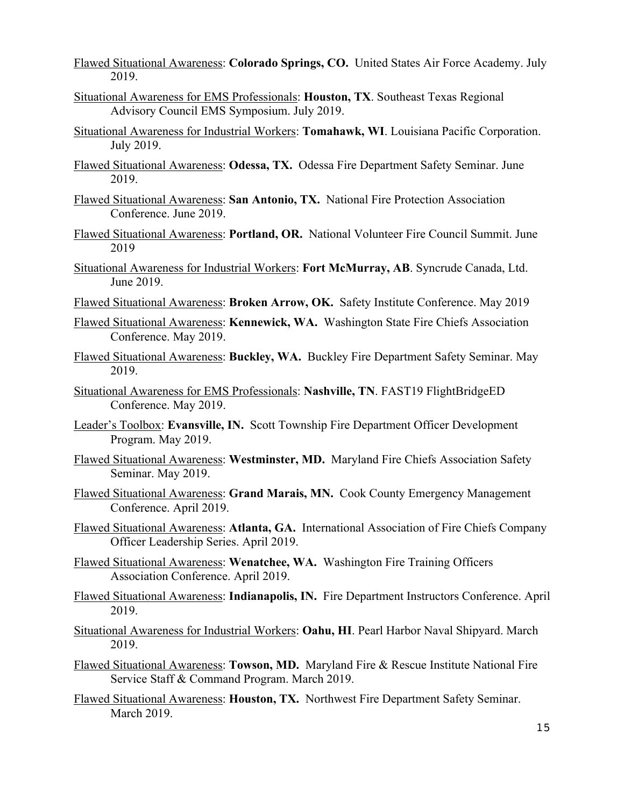Flawed Situational Awareness: **Colorado Springs, CO.** United States Air Force Academy. July 2019.

- Situational Awareness for EMS Professionals: **Houston, TX**. Southeast Texas Regional Advisory Council EMS Symposium. July 2019.
- Situational Awareness for Industrial Workers: **Tomahawk, WI**. Louisiana Pacific Corporation. July 2019.
- Flawed Situational Awareness: **Odessa, TX.** Odessa Fire Department Safety Seminar. June 2019.
- Flawed Situational Awareness: **San Antonio, TX.** National Fire Protection Association Conference. June 2019.
- Flawed Situational Awareness: **Portland, OR.** National Volunteer Fire Council Summit. June 2019
- Situational Awareness for Industrial Workers: **Fort McMurray, AB**. Syncrude Canada, Ltd. June 2019.
- Flawed Situational Awareness: **Broken Arrow, OK.** Safety Institute Conference. May 2019
- Flawed Situational Awareness: **Kennewick, WA.** Washington State Fire Chiefs Association Conference. May 2019.
- Flawed Situational Awareness: **Buckley, WA.** Buckley Fire Department Safety Seminar. May 2019.
- Situational Awareness for EMS Professionals: **Nashville, TN**. FAST19 FlightBridgeED Conference. May 2019.
- Leader's Toolbox: **Evansville, IN.** Scott Township Fire Department Officer Development Program. May 2019.
- Flawed Situational Awareness: **Westminster, MD.** Maryland Fire Chiefs Association Safety Seminar. May 2019.
- Flawed Situational Awareness: **Grand Marais, MN.** Cook County Emergency Management Conference. April 2019.
- Flawed Situational Awareness: **Atlanta, GA.** International Association of Fire Chiefs Company Officer Leadership Series. April 2019.
- Flawed Situational Awareness: **Wenatchee, WA.** Washington Fire Training Officers Association Conference. April 2019.
- Flawed Situational Awareness: **Indianapolis, IN.** Fire Department Instructors Conference. April 2019.
- Situational Awareness for Industrial Workers: **Oahu, HI**. Pearl Harbor Naval Shipyard. March 2019.
- Flawed Situational Awareness: **Towson, MD.** Maryland Fire & Rescue Institute National Fire Service Staff & Command Program. March 2019.
- Flawed Situational Awareness: **Houston, TX.** Northwest Fire Department Safety Seminar. March 2019.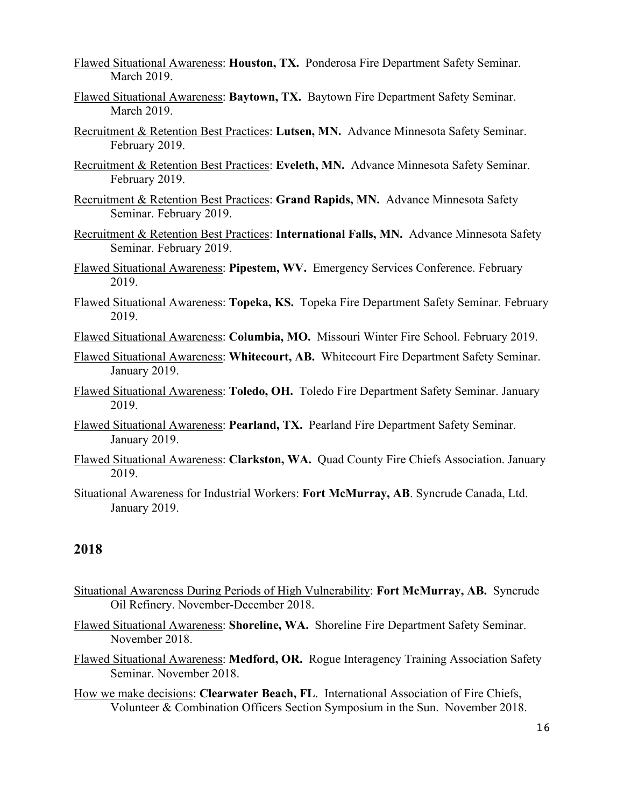Flawed Situational Awareness: **Houston, TX.** Ponderosa Fire Department Safety Seminar. March 2019.

- Flawed Situational Awareness: **Baytown, TX.** Baytown Fire Department Safety Seminar. March 2019.
- Recruitment & Retention Best Practices: **Lutsen, MN.** Advance Minnesota Safety Seminar. February 2019.
- Recruitment & Retention Best Practices: **Eveleth, MN.** Advance Minnesota Safety Seminar. February 2019.
- Recruitment & Retention Best Practices: **Grand Rapids, MN.** Advance Minnesota Safety Seminar. February 2019.
- Recruitment & Retention Best Practices: **International Falls, MN.** Advance Minnesota Safety Seminar. February 2019.
- Flawed Situational Awareness: **Pipestem, WV.** Emergency Services Conference. February 2019.
- Flawed Situational Awareness: **Topeka, KS.** Topeka Fire Department Safety Seminar. February 2019.
- Flawed Situational Awareness: **Columbia, MO.** Missouri Winter Fire School. February 2019.
- Flawed Situational Awareness: **Whitecourt, AB.** Whitecourt Fire Department Safety Seminar. January 2019.
- Flawed Situational Awareness: **Toledo, OH.** Toledo Fire Department Safety Seminar. January 2019.
- Flawed Situational Awareness: **Pearland, TX.** Pearland Fire Department Safety Seminar. January 2019.
- Flawed Situational Awareness: **Clarkston, WA.** Quad County Fire Chiefs Association. January 2019.
- Situational Awareness for Industrial Workers: **Fort McMurray, AB**. Syncrude Canada, Ltd. January 2019.

- Situational Awareness During Periods of High Vulnerability: **Fort McMurray, AB.** Syncrude Oil Refinery. November-December 2018.
- Flawed Situational Awareness: **Shoreline, WA.** Shoreline Fire Department Safety Seminar. November 2018.
- Flawed Situational Awareness: **Medford, OR.** Rogue Interagency Training Association Safety Seminar. November 2018.
- How we make decisions: **Clearwater Beach, FL**. International Association of Fire Chiefs, Volunteer & Combination Officers Section Symposium in the Sun. November 2018.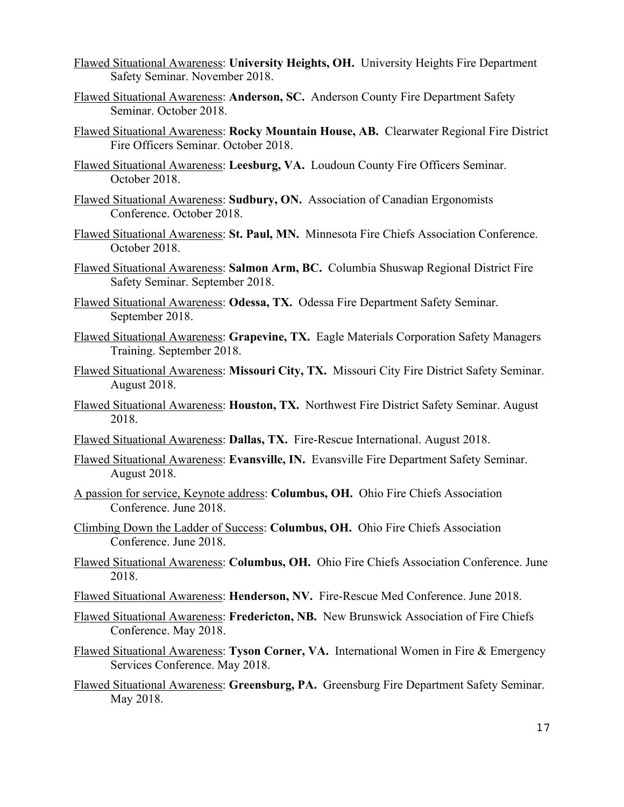- Flawed Situational Awareness: **University Heights, OH.** University Heights Fire Department Safety Seminar. November 2018.
- Flawed Situational Awareness: **Anderson, SC.** Anderson County Fire Department Safety Seminar. October 2018.
- Flawed Situational Awareness: **Rocky Mountain House, AB.** Clearwater Regional Fire District Fire Officers Seminar. October 2018.
- Flawed Situational Awareness: **Leesburg, VA.** Loudoun County Fire Officers Seminar. October 2018.
- Flawed Situational Awareness: **Sudbury, ON.** Association of Canadian Ergonomists Conference. October 2018.
- Flawed Situational Awareness: **St. Paul, MN.** Minnesota Fire Chiefs Association Conference. October 2018.
- Flawed Situational Awareness: **Salmon Arm, BC.** Columbia Shuswap Regional District Fire Safety Seminar. September 2018.
- Flawed Situational Awareness: **Odessa, TX.** Odessa Fire Department Safety Seminar. September 2018.
- Flawed Situational Awareness: **Grapevine, TX.** Eagle Materials Corporation Safety Managers Training. September 2018.
- Flawed Situational Awareness: **Missouri City, TX.** Missouri City Fire District Safety Seminar. August 2018.
- Flawed Situational Awareness: **Houston, TX.** Northwest Fire District Safety Seminar. August 2018.
- Flawed Situational Awareness: **Dallas, TX.** Fire-Rescue International. August 2018.
- Flawed Situational Awareness: **Evansville, IN.** Evansville Fire Department Safety Seminar. August 2018.
- A passion for service, Keynote address: **Columbus, OH.** Ohio Fire Chiefs Association Conference. June 2018.
- Climbing Down the Ladder of Success: **Columbus, OH.** Ohio Fire Chiefs Association Conference. June 2018.
- Flawed Situational Awareness: **Columbus, OH.** Ohio Fire Chiefs Association Conference. June 2018.
- Flawed Situational Awareness: **Henderson, NV.** Fire-Rescue Med Conference. June 2018.
- Flawed Situational Awareness: **Fredericton, NB.** New Brunswick Association of Fire Chiefs Conference. May 2018.
- Flawed Situational Awareness: **Tyson Corner, VA.** International Women in Fire & Emergency Services Conference. May 2018.
- Flawed Situational Awareness: **Greensburg, PA.** Greensburg Fire Department Safety Seminar. May 2018.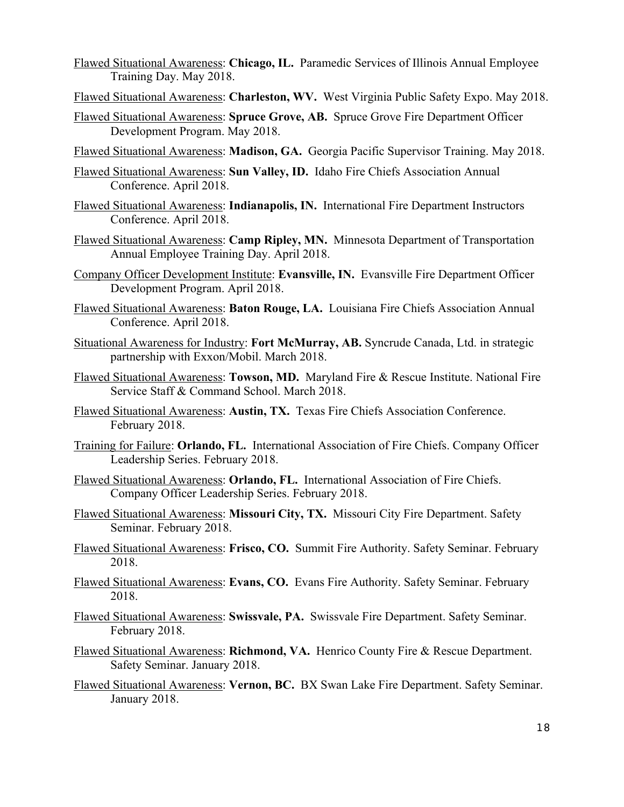- Flawed Situational Awareness: **Chicago, IL.** Paramedic Services of Illinois Annual Employee Training Day. May 2018.
- Flawed Situational Awareness: **Charleston, WV.** West Virginia Public Safety Expo. May 2018.
- Flawed Situational Awareness: **Spruce Grove, AB.** Spruce Grove Fire Department Officer Development Program. May 2018.
- Flawed Situational Awareness: **Madison, GA.** Georgia Pacific Supervisor Training. May 2018.
- Flawed Situational Awareness: **Sun Valley, ID.** Idaho Fire Chiefs Association Annual Conference. April 2018.
- Flawed Situational Awareness: **Indianapolis, IN.** International Fire Department Instructors Conference. April 2018.
- Flawed Situational Awareness: **Camp Ripley, MN.** Minnesota Department of Transportation Annual Employee Training Day. April 2018.
- Company Officer Development Institute: **Evansville, IN.** Evansville Fire Department Officer Development Program. April 2018.
- Flawed Situational Awareness: **Baton Rouge, LA.** Louisiana Fire Chiefs Association Annual Conference. April 2018.
- Situational Awareness for Industry: **Fort McMurray, AB.** Syncrude Canada, Ltd. in strategic partnership with Exxon/Mobil. March 2018.
- Flawed Situational Awareness: **Towson, MD.** Maryland Fire & Rescue Institute. National Fire Service Staff & Command School. March 2018.
- Flawed Situational Awareness: **Austin, TX.** Texas Fire Chiefs Association Conference. February 2018.
- Training for Failure: **Orlando, FL.** International Association of Fire Chiefs. Company Officer Leadership Series. February 2018.
- Flawed Situational Awareness: **Orlando, FL.** International Association of Fire Chiefs. Company Officer Leadership Series. February 2018.
- Flawed Situational Awareness: **Missouri City, TX.** Missouri City Fire Department. Safety Seminar. February 2018.
- Flawed Situational Awareness: **Frisco, CO.** Summit Fire Authority. Safety Seminar. February 2018.
- Flawed Situational Awareness: **Evans, CO.** Evans Fire Authority. Safety Seminar. February 2018.
- Flawed Situational Awareness: **Swissvale, PA.** Swissvale Fire Department. Safety Seminar. February 2018.
- Flawed Situational Awareness: **Richmond, VA.** Henrico County Fire & Rescue Department. Safety Seminar. January 2018.
- Flawed Situational Awareness: **Vernon, BC.** BX Swan Lake Fire Department. Safety Seminar. January 2018.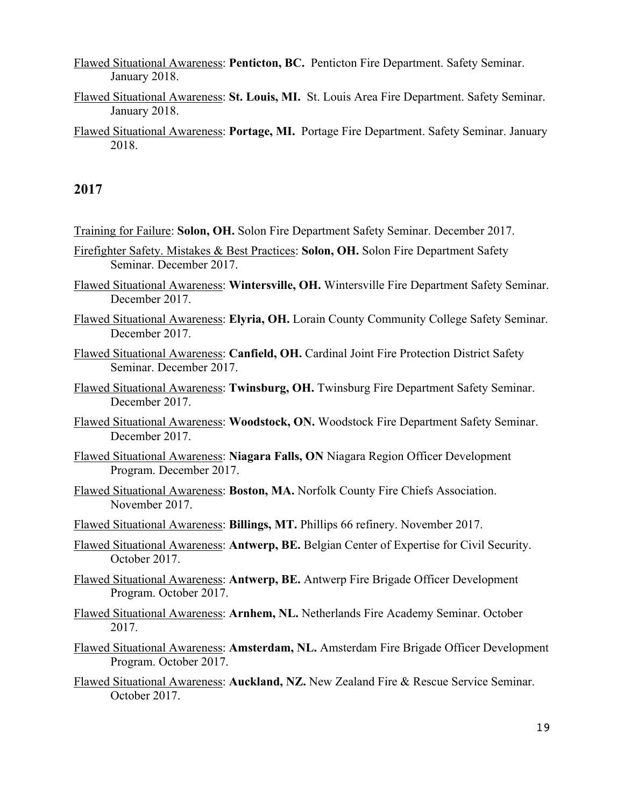Flawed Situational Awareness: **Penticton, BC.** Penticton Fire Department. Safety Seminar. January 2018.

- Flawed Situational Awareness: **St. Louis, MI.** St. Louis Area Fire Department. Safety Seminar. January 2018.
- Flawed Situational Awareness: **Portage, MI.** Portage Fire Department. Safety Seminar. January 2018.

- Training for Failure: **Solon, OH.** Solon Fire Department Safety Seminar. December 2017.
- Firefighter Safety. Mistakes & Best Practices: **Solon, OH.** Solon Fire Department Safety Seminar. December 2017.
- Flawed Situational Awareness: **Wintersville, OH.** Wintersville Fire Department Safety Seminar. December 2017.
- Flawed Situational Awareness: **Elyria, OH.** Lorain County Community College Safety Seminar. December 2017.
- Flawed Situational Awareness: **Canfield, OH.** Cardinal Joint Fire Protection District Safety Seminar. December 2017.
- Flawed Situational Awareness: **Twinsburg, OH.** Twinsburg Fire Department Safety Seminar. December 2017.
- Flawed Situational Awareness: **Woodstock, ON.** Woodstock Fire Department Safety Seminar. December 2017.
- Flawed Situational Awareness: **Niagara Falls, ON** Niagara Region Officer Development Program. December 2017.
- Flawed Situational Awareness: **Boston, MA.** Norfolk County Fire Chiefs Association. November 2017.
- Flawed Situational Awareness: **Billings, MT.** Phillips 66 refinery. November 2017.
- Flawed Situational Awareness: **Antwerp, BE.** Belgian Center of Expertise for Civil Security. October 2017.
- Flawed Situational Awareness: **Antwerp, BE.** Antwerp Fire Brigade Officer Development Program. October 2017.
- Flawed Situational Awareness: **Arnhem, NL.** Netherlands Fire Academy Seminar. October 2017.
- Flawed Situational Awareness: **Amsterdam, NL.** Amsterdam Fire Brigade Officer Development Program. October 2017.
- Flawed Situational Awareness: **Auckland, NZ.** New Zealand Fire & Rescue Service Seminar. October 2017.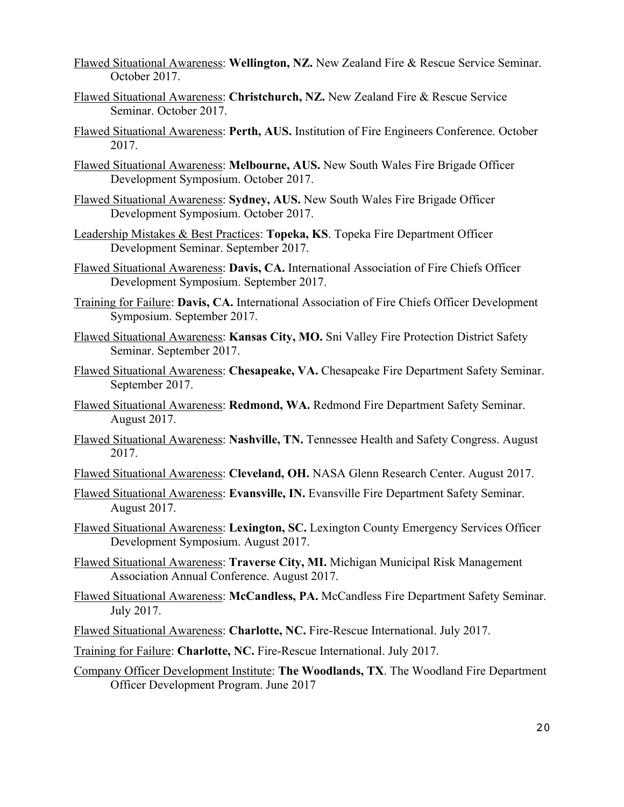Flawed Situational Awareness: **Wellington, NZ.** New Zealand Fire & Rescue Service Seminar. October 2017.

- Flawed Situational Awareness: **Christchurch, NZ.** New Zealand Fire & Rescue Service Seminar. October 2017.
- Flawed Situational Awareness: **Perth, AUS.** Institution of Fire Engineers Conference. October 2017.
- Flawed Situational Awareness: **Melbourne, AUS.** New South Wales Fire Brigade Officer Development Symposium. October 2017.
- Flawed Situational Awareness: **Sydney, AUS.** New South Wales Fire Brigade Officer Development Symposium. October 2017.
- Leadership Mistakes & Best Practices: **Topeka, KS**. Topeka Fire Department Officer Development Seminar. September 2017.
- Flawed Situational Awareness: **Davis, CA.** International Association of Fire Chiefs Officer Development Symposium. September 2017.
- Training for Failure: **Davis, CA.** International Association of Fire Chiefs Officer Development Symposium. September 2017.
- Flawed Situational Awareness: **Kansas City, MO.** Sni Valley Fire Protection District Safety Seminar. September 2017.
- Flawed Situational Awareness: **Chesapeake, VA.** Chesapeake Fire Department Safety Seminar. September 2017.
- Flawed Situational Awareness: **Redmond, WA.** Redmond Fire Department Safety Seminar. August 2017.
- Flawed Situational Awareness: **Nashville, TN.** Tennessee Health and Safety Congress. August 2017.
- Flawed Situational Awareness: **Cleveland, OH.** NASA Glenn Research Center. August 2017.
- Flawed Situational Awareness: **Evansville, IN.** Evansville Fire Department Safety Seminar. August 2017.
- Flawed Situational Awareness: **Lexington, SC.** Lexington County Emergency Services Officer Development Symposium. August 2017.
- Flawed Situational Awareness: **Traverse City, MI.** Michigan Municipal Risk Management Association Annual Conference. August 2017.
- Flawed Situational Awareness: **McCandless, PA.** McCandless Fire Department Safety Seminar. July 2017.
- Flawed Situational Awareness: **Charlotte, NC.** Fire-Rescue International. July 2017.
- Training for Failure: **Charlotte, NC.** Fire-Rescue International. July 2017.
- Company Officer Development Institute: **The Woodlands, TX**. The Woodland Fire Department Officer Development Program. June 2017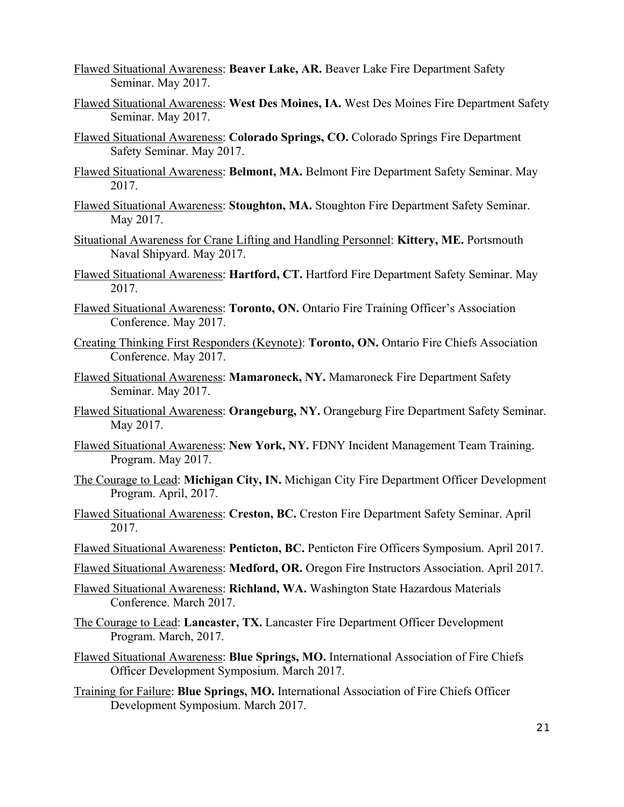- Flawed Situational Awareness: **Beaver Lake, AR.** Beaver Lake Fire Department Safety Seminar. May 2017.
- Flawed Situational Awareness: **West Des Moines, IA.** West Des Moines Fire Department Safety Seminar. May 2017.
- Flawed Situational Awareness: **Colorado Springs, CO.** Colorado Springs Fire Department Safety Seminar. May 2017.
- Flawed Situational Awareness: **Belmont, MA.** Belmont Fire Department Safety Seminar. May 2017.
- Flawed Situational Awareness: **Stoughton, MA.** Stoughton Fire Department Safety Seminar. May 2017.
- Situational Awareness for Crane Lifting and Handling Personnel: **Kittery, ME.** Portsmouth Naval Shipyard. May 2017.
- Flawed Situational Awareness: **Hartford, CT.** Hartford Fire Department Safety Seminar. May 2017.
- Flawed Situational Awareness: **Toronto, ON.** Ontario Fire Training Officer's Association Conference. May 2017.
- Creating Thinking First Responders (Keynote): **Toronto, ON.** Ontario Fire Chiefs Association Conference. May 2017.
- Flawed Situational Awareness: **Mamaroneck, NY.** Mamaroneck Fire Department Safety Seminar. May 2017.
- Flawed Situational Awareness: **Orangeburg, NY.** Orangeburg Fire Department Safety Seminar. May 2017.
- Flawed Situational Awareness: **New York, NY.** FDNY Incident Management Team Training. Program. May 2017.
- The Courage to Lead: **Michigan City, IN.** Michigan City Fire Department Officer Development Program. April, 2017.
- Flawed Situational Awareness: **Creston, BC.** Creston Fire Department Safety Seminar. April 2017.
- Flawed Situational Awareness: **Penticton, BC.** Penticton Fire Officers Symposium. April 2017.
- Flawed Situational Awareness: **Medford, OR.** Oregon Fire Instructors Association. April 2017.
- Flawed Situational Awareness: **Richland, WA.** Washington State Hazardous Materials Conference. March 2017.
- The Courage to Lead: **Lancaster, TX.** Lancaster Fire Department Officer Development Program. March, 2017.
- Flawed Situational Awareness: **Blue Springs, MO.** International Association of Fire Chiefs Officer Development Symposium. March 2017.
- Training for Failure: **Blue Springs, MO.** International Association of Fire Chiefs Officer Development Symposium. March 2017.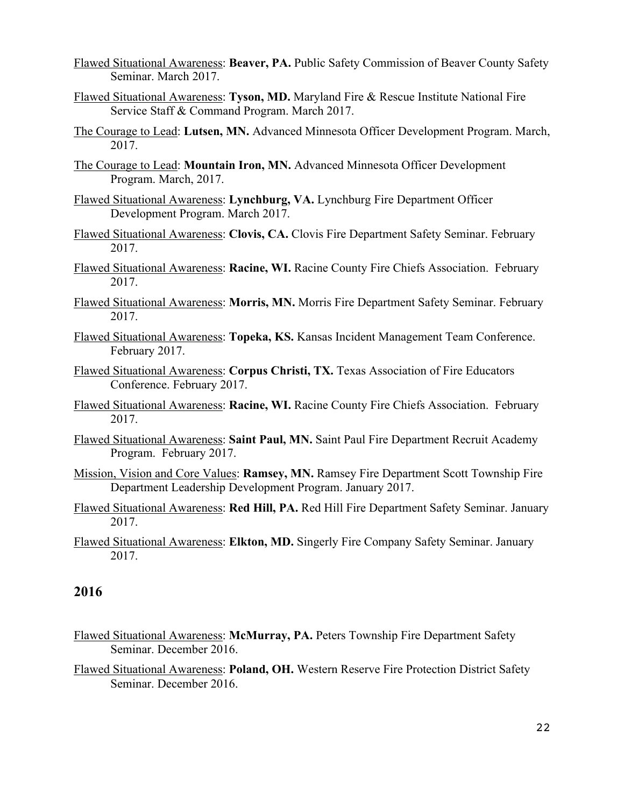- Flawed Situational Awareness: **Beaver, PA.** Public Safety Commission of Beaver County Safety Seminar. March 2017.
- Flawed Situational Awareness: **Tyson, MD.** Maryland Fire & Rescue Institute National Fire Service Staff & Command Program. March 2017.
- The Courage to Lead: **Lutsen, MN.** Advanced Minnesota Officer Development Program. March, 2017.
- The Courage to Lead: **Mountain Iron, MN.** Advanced Minnesota Officer Development Program. March, 2017.
- Flawed Situational Awareness: **Lynchburg, VA.** Lynchburg Fire Department Officer Development Program. March 2017.
- Flawed Situational Awareness: **Clovis, CA.** Clovis Fire Department Safety Seminar. February 2017.
- Flawed Situational Awareness: **Racine, WI.** Racine County Fire Chiefs Association. February 2017.
- Flawed Situational Awareness: **Morris, MN.** Morris Fire Department Safety Seminar. February 2017.
- Flawed Situational Awareness: **Topeka, KS.** Kansas Incident Management Team Conference. February 2017.
- Flawed Situational Awareness: **Corpus Christi, TX.** Texas Association of Fire Educators Conference. February 2017.
- Flawed Situational Awareness: **Racine, WI.** Racine County Fire Chiefs Association. February 2017.
- Flawed Situational Awareness: **Saint Paul, MN.** Saint Paul Fire Department Recruit Academy Program. February 2017.
- Mission, Vision and Core Values: **Ramsey, MN.** Ramsey Fire Department Scott Township Fire Department Leadership Development Program. January 2017.
- Flawed Situational Awareness: **Red Hill, PA.** Red Hill Fire Department Safety Seminar. January 2017.
- Flawed Situational Awareness: **Elkton, MD.** Singerly Fire Company Safety Seminar. January 2017.

- Flawed Situational Awareness: **McMurray, PA.** Peters Township Fire Department Safety Seminar. December 2016.
- Flawed Situational Awareness: **Poland, OH.** Western Reserve Fire Protection District Safety Seminar. December 2016.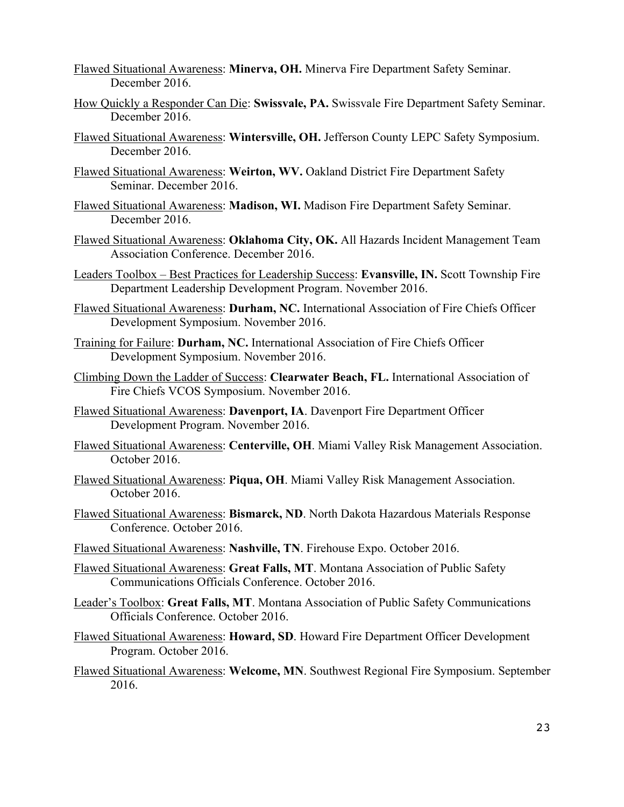- Flawed Situational Awareness: **Minerva, OH.** Minerva Fire Department Safety Seminar. December 2016.
- How Quickly a Responder Can Die: **Swissvale, PA.** Swissvale Fire Department Safety Seminar. December 2016.
- Flawed Situational Awareness: **Wintersville, OH.** Jefferson County LEPC Safety Symposium. December 2016.
- Flawed Situational Awareness: **Weirton, WV.** Oakland District Fire Department Safety Seminar. December 2016.
- Flawed Situational Awareness: **Madison, WI.** Madison Fire Department Safety Seminar. December 2016.
- Flawed Situational Awareness: **Oklahoma City, OK.** All Hazards Incident Management Team Association Conference. December 2016.
- Leaders Toolbox Best Practices for Leadership Success: **Evansville, IN.** Scott Township Fire Department Leadership Development Program. November 2016.
- Flawed Situational Awareness: **Durham, NC.** International Association of Fire Chiefs Officer Development Symposium. November 2016.
- Training for Failure: **Durham, NC.** International Association of Fire Chiefs Officer Development Symposium. November 2016.
- Climbing Down the Ladder of Success: **Clearwater Beach, FL.** International Association of Fire Chiefs VCOS Symposium. November 2016.
- Flawed Situational Awareness: **Davenport, IA**. Davenport Fire Department Officer Development Program. November 2016.
- Flawed Situational Awareness: **Centerville, OH**. Miami Valley Risk Management Association. October 2016.
- Flawed Situational Awareness: **Piqua, OH**. Miami Valley Risk Management Association. October 2016.
- Flawed Situational Awareness: **Bismarck, ND**. North Dakota Hazardous Materials Response Conference. October 2016.
- Flawed Situational Awareness: **Nashville, TN**. Firehouse Expo. October 2016.
- Flawed Situational Awareness: **Great Falls, MT**. Montana Association of Public Safety Communications Officials Conference. October 2016.
- Leader's Toolbox: **Great Falls, MT**. Montana Association of Public Safety Communications Officials Conference. October 2016.
- Flawed Situational Awareness: **Howard, SD**. Howard Fire Department Officer Development Program. October 2016.
- Flawed Situational Awareness: **Welcome, MN**. Southwest Regional Fire Symposium. September 2016.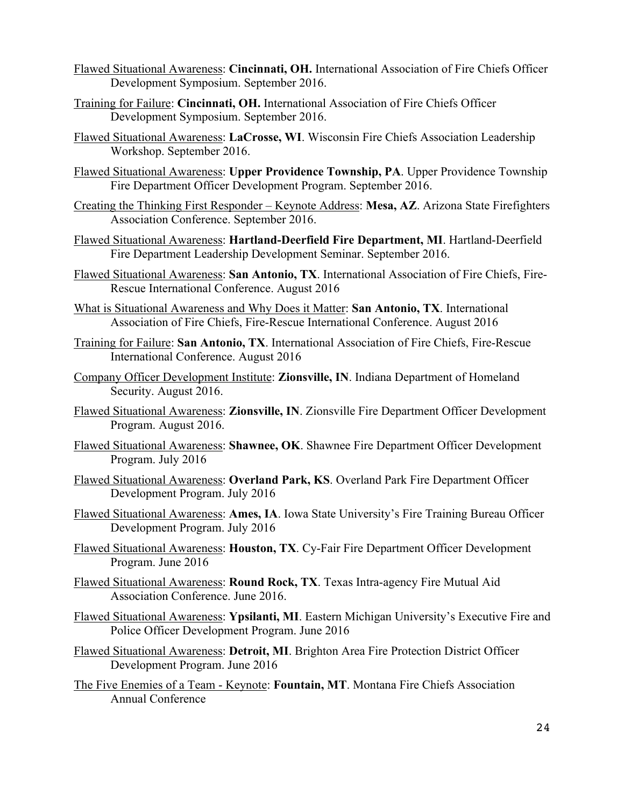- Flawed Situational Awareness: **Cincinnati, OH.** International Association of Fire Chiefs Officer Development Symposium. September 2016.
- Training for Failure: **Cincinnati, OH.** International Association of Fire Chiefs Officer Development Symposium. September 2016.
- Flawed Situational Awareness: **LaCrosse, WI**. Wisconsin Fire Chiefs Association Leadership Workshop. September 2016.
- Flawed Situational Awareness: **Upper Providence Township, PA**. Upper Providence Township Fire Department Officer Development Program. September 2016.
- Creating the Thinking First Responder Keynote Address: **Mesa, AZ**. Arizona State Firefighters Association Conference. September 2016.
- Flawed Situational Awareness: **Hartland-Deerfield Fire Department, MI**. Hartland-Deerfield Fire Department Leadership Development Seminar. September 2016.
- Flawed Situational Awareness: **San Antonio, TX**. International Association of Fire Chiefs, Fire-Rescue International Conference. August 2016
- What is Situational Awareness and Why Does it Matter: **San Antonio, TX**. International Association of Fire Chiefs, Fire-Rescue International Conference. August 2016
- Training for Failure: **San Antonio, TX**. International Association of Fire Chiefs, Fire-Rescue International Conference. August 2016
- Company Officer Development Institute: **Zionsville, IN**. Indiana Department of Homeland Security. August 2016.
- Flawed Situational Awareness: **Zionsville, IN**. Zionsville Fire Department Officer Development Program. August 2016.
- Flawed Situational Awareness: **Shawnee, OK**. Shawnee Fire Department Officer Development Program. July 2016
- Flawed Situational Awareness: **Overland Park, KS**. Overland Park Fire Department Officer Development Program. July 2016
- Flawed Situational Awareness: **Ames, IA**. Iowa State University's Fire Training Bureau Officer Development Program. July 2016
- Flawed Situational Awareness: **Houston, TX**. Cy-Fair Fire Department Officer Development Program. June 2016
- Flawed Situational Awareness: **Round Rock, TX**. Texas Intra-agency Fire Mutual Aid Association Conference. June 2016.
- Flawed Situational Awareness: **Ypsilanti, MI**. Eastern Michigan University's Executive Fire and Police Officer Development Program. June 2016
- Flawed Situational Awareness: **Detroit, MI**. Brighton Area Fire Protection District Officer Development Program. June 2016
- The Five Enemies of a Team Keynote: **Fountain, MT**. Montana Fire Chiefs Association Annual Conference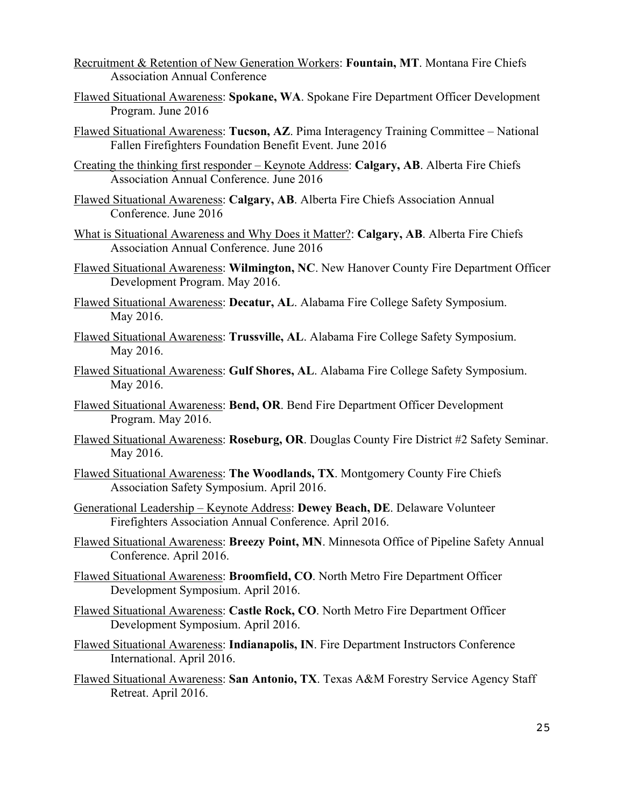- Recruitment & Retention of New Generation Workers: **Fountain, MT**. Montana Fire Chiefs Association Annual Conference
- Flawed Situational Awareness: **Spokane, WA**. Spokane Fire Department Officer Development Program. June 2016
- Flawed Situational Awareness: **Tucson, AZ**. Pima Interagency Training Committee National Fallen Firefighters Foundation Benefit Event. June 2016
- Creating the thinking first responder Keynote Address: **Calgary, AB**. Alberta Fire Chiefs Association Annual Conference. June 2016
- Flawed Situational Awareness: **Calgary, AB**. Alberta Fire Chiefs Association Annual Conference. June 2016
- What is Situational Awareness and Why Does it Matter?: **Calgary, AB**. Alberta Fire Chiefs Association Annual Conference. June 2016
- Flawed Situational Awareness: **Wilmington, NC**. New Hanover County Fire Department Officer Development Program. May 2016.
- Flawed Situational Awareness: **Decatur, AL**. Alabama Fire College Safety Symposium. May 2016.
- Flawed Situational Awareness: **Trussville, AL**. Alabama Fire College Safety Symposium. May 2016.
- Flawed Situational Awareness: **Gulf Shores, AL**. Alabama Fire College Safety Symposium. May 2016.
- Flawed Situational Awareness: **Bend, OR**. Bend Fire Department Officer Development Program. May 2016.
- Flawed Situational Awareness: **Roseburg, OR**. Douglas County Fire District #2 Safety Seminar. May 2016.
- Flawed Situational Awareness: **The Woodlands, TX**. Montgomery County Fire Chiefs Association Safety Symposium. April 2016.
- Generational Leadership Keynote Address: **Dewey Beach, DE**. Delaware Volunteer Firefighters Association Annual Conference. April 2016.
- Flawed Situational Awareness: **Breezy Point, MN**. Minnesota Office of Pipeline Safety Annual Conference. April 2016.
- Flawed Situational Awareness: **Broomfield, CO**. North Metro Fire Department Officer Development Symposium. April 2016.
- Flawed Situational Awareness: **Castle Rock, CO**. North Metro Fire Department Officer Development Symposium. April 2016.
- Flawed Situational Awareness: **Indianapolis, IN**. Fire Department Instructors Conference International. April 2016.
- Flawed Situational Awareness: **San Antonio, TX**. Texas A&M Forestry Service Agency Staff Retreat. April 2016.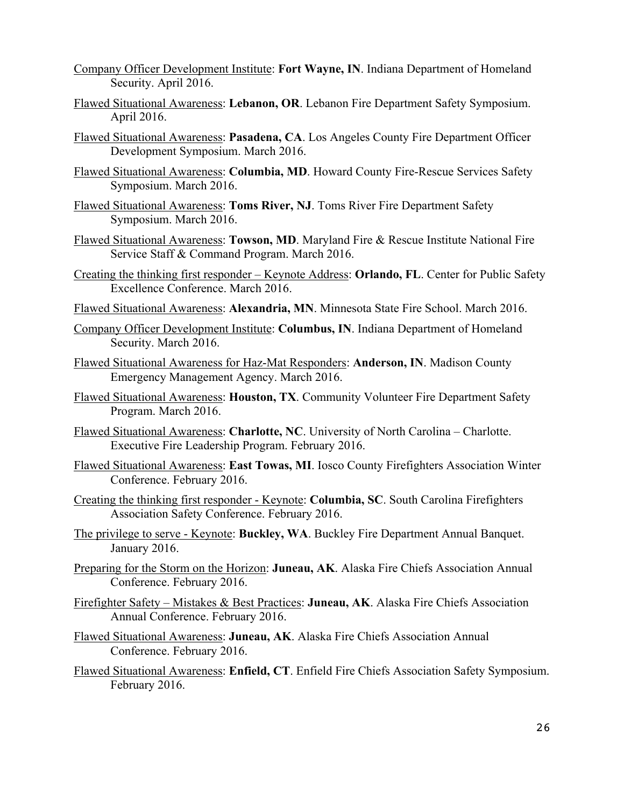- Company Officer Development Institute: **Fort Wayne, IN**. Indiana Department of Homeland Security. April 2016.
- Flawed Situational Awareness: **Lebanon, OR**. Lebanon Fire Department Safety Symposium. April 2016.
- Flawed Situational Awareness: **Pasadena, CA**. Los Angeles County Fire Department Officer Development Symposium. March 2016.
- Flawed Situational Awareness: **Columbia, MD**. Howard County Fire-Rescue Services Safety Symposium. March 2016.
- Flawed Situational Awareness: **Toms River, NJ**. Toms River Fire Department Safety Symposium. March 2016.
- Flawed Situational Awareness: **Towson, MD**. Maryland Fire & Rescue Institute National Fire Service Staff & Command Program. March 2016.
- Creating the thinking first responder Keynote Address: **Orlando, FL**. Center for Public Safety Excellence Conference. March 2016.
- Flawed Situational Awareness: **Alexandria, MN**. Minnesota State Fire School. March 2016.
- Company Officer Development Institute: **Columbus, IN**. Indiana Department of Homeland Security. March 2016.
- Flawed Situational Awareness for Haz-Mat Responders: **Anderson, IN**. Madison County Emergency Management Agency. March 2016.
- Flawed Situational Awareness: **Houston, TX**. Community Volunteer Fire Department Safety Program. March 2016.
- Flawed Situational Awareness: **Charlotte, NC**. University of North Carolina Charlotte. Executive Fire Leadership Program. February 2016.
- Flawed Situational Awareness: **East Towas, MI**. Iosco County Firefighters Association Winter Conference. February 2016.
- Creating the thinking first responder Keynote: **Columbia, SC**. South Carolina Firefighters Association Safety Conference. February 2016.
- The privilege to serve Keynote: **Buckley, WA**. Buckley Fire Department Annual Banquet. January 2016.
- Preparing for the Storm on the Horizon: **Juneau, AK**. Alaska Fire Chiefs Association Annual Conference. February 2016.
- Firefighter Safety Mistakes & Best Practices: **Juneau, AK**. Alaska Fire Chiefs Association Annual Conference. February 2016.
- Flawed Situational Awareness: **Juneau, AK**. Alaska Fire Chiefs Association Annual Conference. February 2016.
- Flawed Situational Awareness: **Enfield, CT**. Enfield Fire Chiefs Association Safety Symposium. February 2016.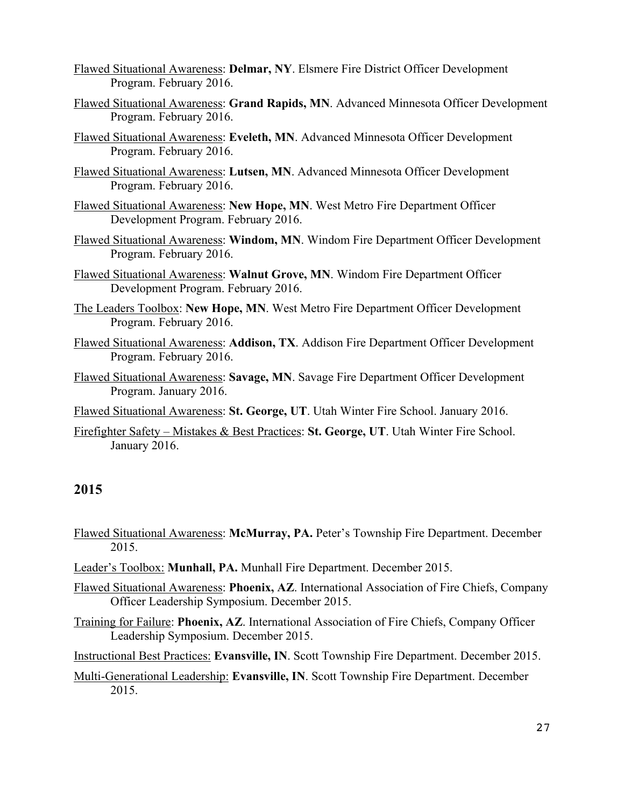- Flawed Situational Awareness: **Delmar, NY**. Elsmere Fire District Officer Development Program. February 2016.
- Flawed Situational Awareness: **Grand Rapids, MN**. Advanced Minnesota Officer Development Program. February 2016.
- Flawed Situational Awareness: **Eveleth, MN**. Advanced Minnesota Officer Development Program. February 2016.
- Flawed Situational Awareness: **Lutsen, MN**. Advanced Minnesota Officer Development Program. February 2016.
- Flawed Situational Awareness: **New Hope, MN**. West Metro Fire Department Officer Development Program. February 2016.
- Flawed Situational Awareness: **Windom, MN**. Windom Fire Department Officer Development Program. February 2016.
- Flawed Situational Awareness: **Walnut Grove, MN**. Windom Fire Department Officer Development Program. February 2016.
- The Leaders Toolbox: **New Hope, MN**. West Metro Fire Department Officer Development Program. February 2016.
- Flawed Situational Awareness: **Addison, TX**. Addison Fire Department Officer Development Program. February 2016.
- Flawed Situational Awareness: **Savage, MN**. Savage Fire Department Officer Development Program. January 2016.
- Flawed Situational Awareness: **St. George, UT**. Utah Winter Fire School. January 2016.
- Firefighter Safety Mistakes & Best Practices: **St. George, UT**. Utah Winter Fire School. January 2016.

- Flawed Situational Awareness: **McMurray, PA.** Peter's Township Fire Department. December 2015.
- Leader's Toolbox: **Munhall, PA.** Munhall Fire Department. December 2015.
- Flawed Situational Awareness: **Phoenix, AZ**. International Association of Fire Chiefs, Company Officer Leadership Symposium. December 2015.
- Training for Failure: **Phoenix, AZ**. International Association of Fire Chiefs, Company Officer Leadership Symposium. December 2015.
- Instructional Best Practices: **Evansville, IN**. Scott Township Fire Department. December 2015.
- Multi-Generational Leadership: **Evansville, IN**. Scott Township Fire Department. December 2015.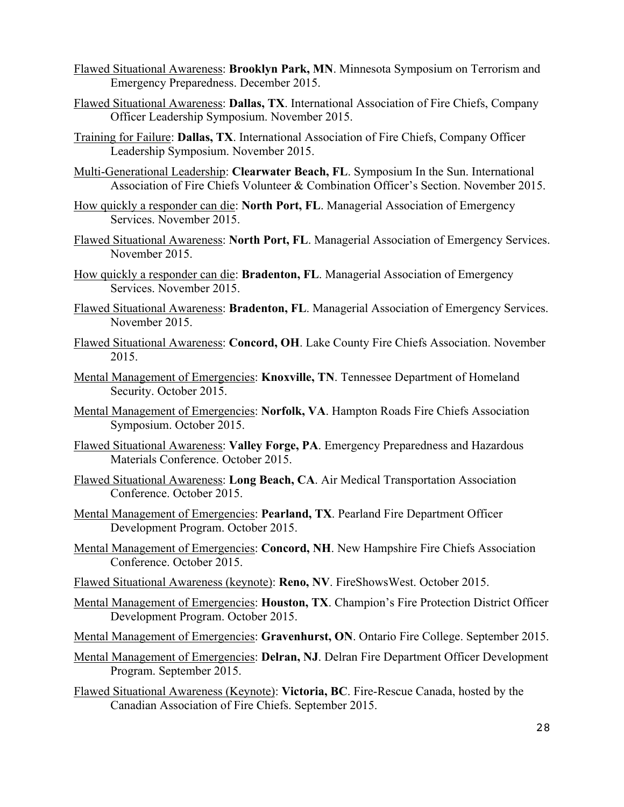- Flawed Situational Awareness: **Brooklyn Park, MN**. Minnesota Symposium on Terrorism and Emergency Preparedness. December 2015.
- Flawed Situational Awareness: **Dallas, TX**. International Association of Fire Chiefs, Company Officer Leadership Symposium. November 2015.
- Training for Failure: **Dallas, TX**. International Association of Fire Chiefs, Company Officer Leadership Symposium. November 2015.
- Multi-Generational Leadership: **Clearwater Beach, FL**. Symposium In the Sun. International Association of Fire Chiefs Volunteer & Combination Officer's Section. November 2015.
- How quickly a responder can die: **North Port, FL**. Managerial Association of Emergency Services. November 2015.
- Flawed Situational Awareness: **North Port, FL**. Managerial Association of Emergency Services. November 2015.
- How quickly a responder can die: **Bradenton, FL**. Managerial Association of Emergency Services. November 2015.
- Flawed Situational Awareness: **Bradenton, FL**. Managerial Association of Emergency Services. November 2015.
- Flawed Situational Awareness: **Concord, OH**. Lake County Fire Chiefs Association. November 2015.
- Mental Management of Emergencies: **Knoxville, TN**. Tennessee Department of Homeland Security. October 2015.
- Mental Management of Emergencies: **Norfolk, VA**. Hampton Roads Fire Chiefs Association Symposium. October 2015.
- Flawed Situational Awareness: **Valley Forge, PA**. Emergency Preparedness and Hazardous Materials Conference. October 2015.
- Flawed Situational Awareness: **Long Beach, CA**. Air Medical Transportation Association Conference. October 2015.
- Mental Management of Emergencies: **Pearland, TX**. Pearland Fire Department Officer Development Program. October 2015.
- Mental Management of Emergencies: **Concord, NH**. New Hampshire Fire Chiefs Association Conference. October 2015.
- Flawed Situational Awareness (keynote): **Reno, NV**. FireShowsWest. October 2015.
- Mental Management of Emergencies: **Houston, TX**. Champion's Fire Protection District Officer Development Program. October 2015.
- Mental Management of Emergencies: **Gravenhurst, ON**. Ontario Fire College. September 2015.
- Mental Management of Emergencies: **Delran, NJ**. Delran Fire Department Officer Development Program. September 2015.
- Flawed Situational Awareness (Keynote): **Victoria, BC**. Fire-Rescue Canada, hosted by the Canadian Association of Fire Chiefs. September 2015.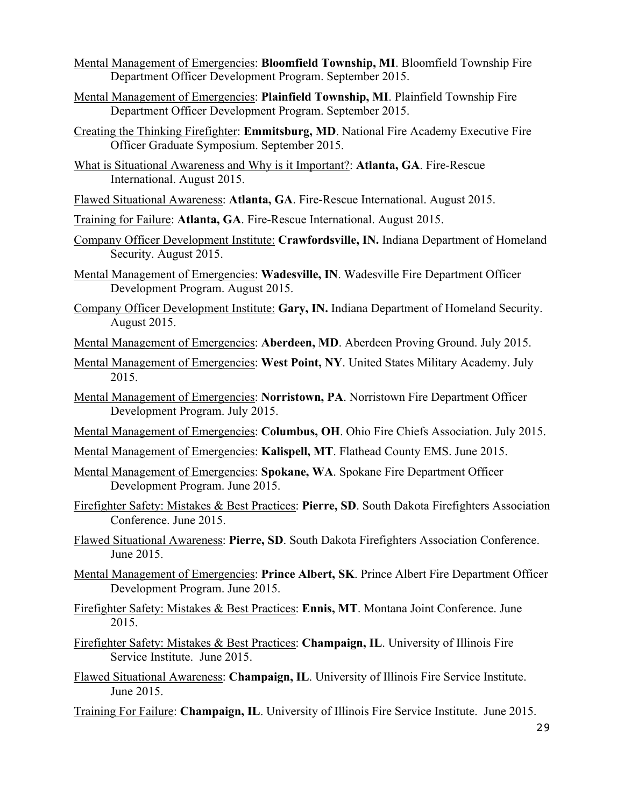- Mental Management of Emergencies: **Bloomfield Township, MI**. Bloomfield Township Fire Department Officer Development Program. September 2015.
- Mental Management of Emergencies: **Plainfield Township, MI**. Plainfield Township Fire Department Officer Development Program. September 2015.
- Creating the Thinking Firefighter: **Emmitsburg, MD**. National Fire Academy Executive Fire Officer Graduate Symposium. September 2015.
- What is Situational Awareness and Why is it Important?: **Atlanta, GA**. Fire-Rescue International. August 2015.
- Flawed Situational Awareness: **Atlanta, GA**. Fire-Rescue International. August 2015.
- Training for Failure: **Atlanta, GA**. Fire-Rescue International. August 2015.
- Company Officer Development Institute: **Crawfordsville, IN.** Indiana Department of Homeland Security. August 2015.
- Mental Management of Emergencies: **Wadesville, IN**. Wadesville Fire Department Officer Development Program. August 2015.
- Company Officer Development Institute: **Gary, IN.** Indiana Department of Homeland Security. August 2015.
- Mental Management of Emergencies: **Aberdeen, MD**. Aberdeen Proving Ground. July 2015.
- Mental Management of Emergencies: **West Point, NY**. United States Military Academy. July 2015.
- Mental Management of Emergencies: **Norristown, PA**. Norristown Fire Department Officer Development Program. July 2015.
- Mental Management of Emergencies: **Columbus, OH**. Ohio Fire Chiefs Association. July 2015.
- Mental Management of Emergencies: **Kalispell, MT**. Flathead County EMS. June 2015.
- Mental Management of Emergencies: **Spokane, WA**. Spokane Fire Department Officer Development Program. June 2015.
- Firefighter Safety: Mistakes & Best Practices: **Pierre, SD**. South Dakota Firefighters Association Conference. June 2015.
- Flawed Situational Awareness: **Pierre, SD**. South Dakota Firefighters Association Conference. June 2015.
- Mental Management of Emergencies: **Prince Albert, SK**. Prince Albert Fire Department Officer Development Program. June 2015.
- Firefighter Safety: Mistakes & Best Practices: **Ennis, MT**. Montana Joint Conference. June 2015.
- Firefighter Safety: Mistakes & Best Practices: **Champaign, IL**. University of Illinois Fire Service Institute. June 2015.
- Flawed Situational Awareness: **Champaign, IL**. University of Illinois Fire Service Institute. June 2015.
- Training For Failure: **Champaign, IL**. University of Illinois Fire Service Institute. June 2015.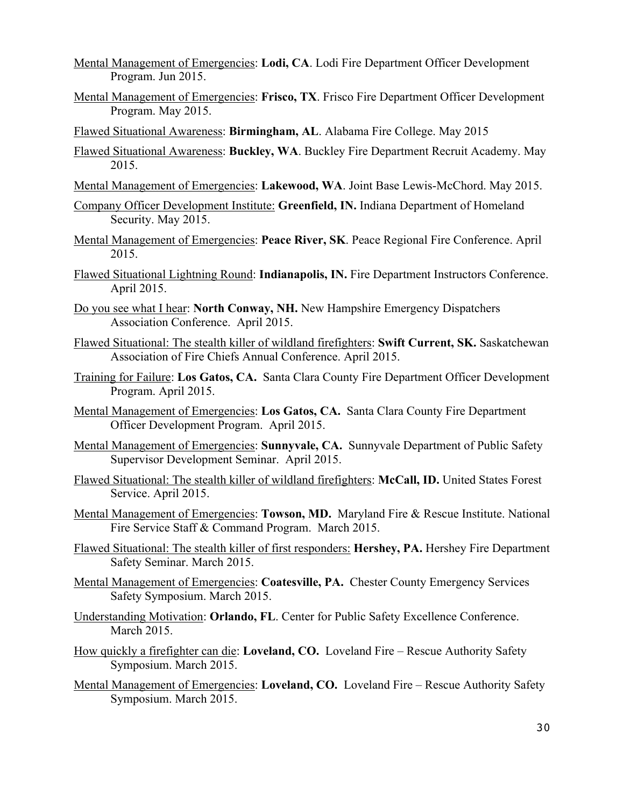- Mental Management of Emergencies: **Lodi, CA**. Lodi Fire Department Officer Development Program. Jun 2015.
- Mental Management of Emergencies: **Frisco, TX**. Frisco Fire Department Officer Development Program. May 2015.
- Flawed Situational Awareness: **Birmingham, AL**. Alabama Fire College. May 2015
- Flawed Situational Awareness: **Buckley, WA**. Buckley Fire Department Recruit Academy. May 2015.
- Mental Management of Emergencies: **Lakewood, WA**. Joint Base Lewis-McChord. May 2015.
- Company Officer Development Institute: **Greenfield, IN.** Indiana Department of Homeland Security. May 2015.
- Mental Management of Emergencies: **Peace River, SK**. Peace Regional Fire Conference. April 2015.
- Flawed Situational Lightning Round: **Indianapolis, IN.** Fire Department Instructors Conference. April 2015.
- Do you see what I hear: **North Conway, NH.** New Hampshire Emergency Dispatchers Association Conference. April 2015.
- Flawed Situational: The stealth killer of wildland firefighters: **Swift Current, SK.** Saskatchewan Association of Fire Chiefs Annual Conference. April 2015.
- Training for Failure: **Los Gatos, CA.** Santa Clara County Fire Department Officer Development Program. April 2015.
- Mental Management of Emergencies: **Los Gatos, CA.** Santa Clara County Fire Department Officer Development Program. April 2015.
- Mental Management of Emergencies: **Sunnyvale, CA.** Sunnyvale Department of Public Safety Supervisor Development Seminar. April 2015.
- Flawed Situational: The stealth killer of wildland firefighters: **McCall, ID.** United States Forest Service. April 2015.
- Mental Management of Emergencies: **Towson, MD.** Maryland Fire & Rescue Institute. National Fire Service Staff & Command Program. March 2015.
- Flawed Situational: The stealth killer of first responders: **Hershey, PA.** Hershey Fire Department Safety Seminar. March 2015.
- Mental Management of Emergencies: **Coatesville, PA.** Chester County Emergency Services Safety Symposium. March 2015.
- Understanding Motivation: **Orlando, FL**. Center for Public Safety Excellence Conference. March 2015.
- How quickly a firefighter can die: **Loveland, CO.** Loveland Fire Rescue Authority Safety Symposium. March 2015.
- Mental Management of Emergencies: **Loveland, CO.** Loveland Fire Rescue Authority Safety Symposium. March 2015.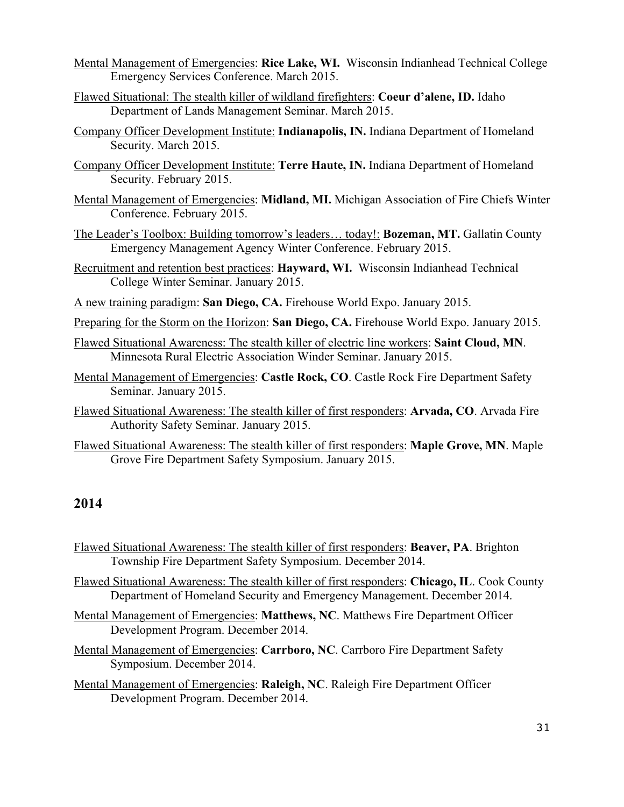- Mental Management of Emergencies: **Rice Lake, WI.** Wisconsin Indianhead Technical College Emergency Services Conference. March 2015.
- Flawed Situational: The stealth killer of wildland firefighters: **Coeur d'alene, ID.** Idaho Department of Lands Management Seminar. March 2015.
- Company Officer Development Institute: **Indianapolis, IN.** Indiana Department of Homeland Security. March 2015.
- Company Officer Development Institute: **Terre Haute, IN.** Indiana Department of Homeland Security. February 2015.
- Mental Management of Emergencies: **Midland, MI.** Michigan Association of Fire Chiefs Winter Conference. February 2015.
- The Leader's Toolbox: Building tomorrow's leaders… today!: **Bozeman, MT.** Gallatin County Emergency Management Agency Winter Conference. February 2015.
- Recruitment and retention best practices: **Hayward, WI.** Wisconsin Indianhead Technical College Winter Seminar. January 2015.
- A new training paradigm: **San Diego, CA.** Firehouse World Expo. January 2015.
- Preparing for the Storm on the Horizon: **San Diego, CA.** Firehouse World Expo. January 2015.
- Flawed Situational Awareness: The stealth killer of electric line workers: **Saint Cloud, MN**. Minnesota Rural Electric Association Winder Seminar. January 2015.
- Mental Management of Emergencies: **Castle Rock, CO**. Castle Rock Fire Department Safety Seminar. January 2015.
- Flawed Situational Awareness: The stealth killer of first responders: **Arvada, CO**. Arvada Fire Authority Safety Seminar. January 2015.
- Flawed Situational Awareness: The stealth killer of first responders: **Maple Grove, MN**. Maple Grove Fire Department Safety Symposium. January 2015.

- Flawed Situational Awareness: The stealth killer of first responders: **Beaver, PA**. Brighton Township Fire Department Safety Symposium. December 2014.
- Flawed Situational Awareness: The stealth killer of first responders: **Chicago, IL**. Cook County Department of Homeland Security and Emergency Management. December 2014.
- Mental Management of Emergencies: **Matthews, NC**. Matthews Fire Department Officer Development Program. December 2014.
- Mental Management of Emergencies: **Carrboro, NC**. Carrboro Fire Department Safety Symposium. December 2014.
- Mental Management of Emergencies: **Raleigh, NC**. Raleigh Fire Department Officer Development Program. December 2014.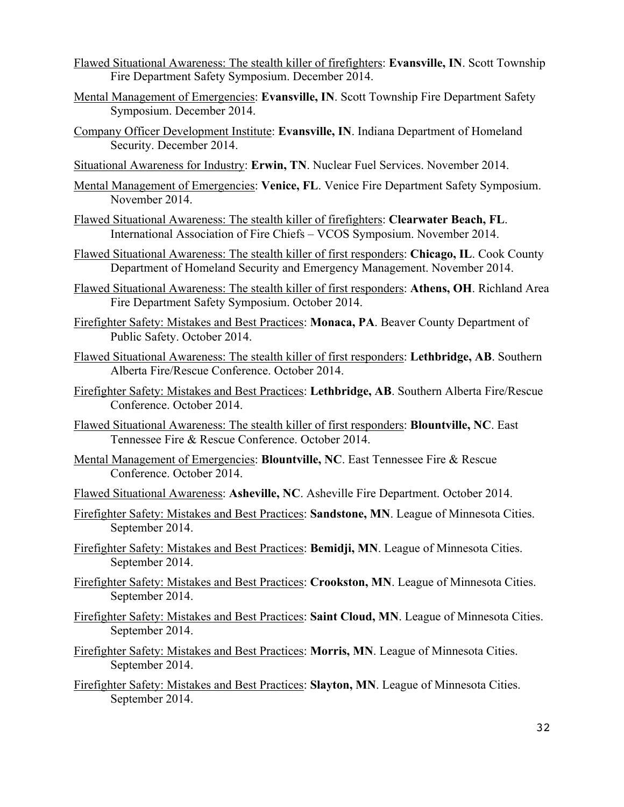- Flawed Situational Awareness: The stealth killer of firefighters: **Evansville, IN**. Scott Township Fire Department Safety Symposium. December 2014.
- Mental Management of Emergencies: **Evansville, IN**. Scott Township Fire Department Safety Symposium. December 2014.
- Company Officer Development Institute: **Evansville, IN**. Indiana Department of Homeland Security. December 2014.
- Situational Awareness for Industry: **Erwin, TN**. Nuclear Fuel Services. November 2014.
- Mental Management of Emergencies: **Venice, FL**. Venice Fire Department Safety Symposium. November 2014.
- Flawed Situational Awareness: The stealth killer of firefighters: **Clearwater Beach, FL**. International Association of Fire Chiefs – VCOS Symposium. November 2014.
- Flawed Situational Awareness: The stealth killer of first responders: **Chicago, IL**. Cook County Department of Homeland Security and Emergency Management. November 2014.
- Flawed Situational Awareness: The stealth killer of first responders: **Athens, OH**. Richland Area Fire Department Safety Symposium. October 2014.
- Firefighter Safety: Mistakes and Best Practices: **Monaca, PA**. Beaver County Department of Public Safety. October 2014.
- Flawed Situational Awareness: The stealth killer of first responders: **Lethbridge, AB**. Southern Alberta Fire/Rescue Conference. October 2014.
- Firefighter Safety: Mistakes and Best Practices: **Lethbridge, AB**. Southern Alberta Fire/Rescue Conference. October 2014.
- Flawed Situational Awareness: The stealth killer of first responders: **Blountville, NC**. East Tennessee Fire & Rescue Conference. October 2014.
- Mental Management of Emergencies: **Blountville, NC**. East Tennessee Fire & Rescue Conference. October 2014.
- Flawed Situational Awareness: **Asheville, NC**. Asheville Fire Department. October 2014.
- Firefighter Safety: Mistakes and Best Practices: **Sandstone, MN**. League of Minnesota Cities. September 2014.
- Firefighter Safety: Mistakes and Best Practices: **Bemidji, MN**. League of Minnesota Cities. September 2014.
- Firefighter Safety: Mistakes and Best Practices: **Crookston, MN**. League of Minnesota Cities. September 2014.
- Firefighter Safety: Mistakes and Best Practices: **Saint Cloud, MN**. League of Minnesota Cities. September 2014.
- Firefighter Safety: Mistakes and Best Practices: **Morris, MN**. League of Minnesota Cities. September 2014.
- Firefighter Safety: Mistakes and Best Practices: **Slayton, MN**. League of Minnesota Cities. September 2014.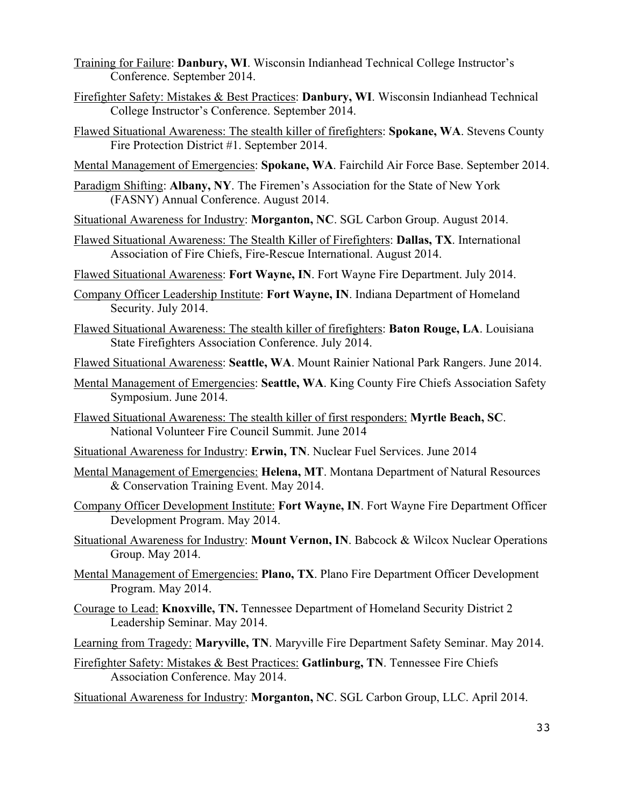- Training for Failure: **Danbury, WI**. Wisconsin Indianhead Technical College Instructor's Conference. September 2014.
- Firefighter Safety: Mistakes & Best Practices: **Danbury, WI**. Wisconsin Indianhead Technical College Instructor's Conference. September 2014.
- Flawed Situational Awareness: The stealth killer of firefighters: **Spokane, WA**. Stevens County Fire Protection District #1. September 2014.
- Mental Management of Emergencies: **Spokane, WA**. Fairchild Air Force Base. September 2014.
- Paradigm Shifting: **Albany, NY**. The Firemen's Association for the State of New York (FASNY) Annual Conference. August 2014.
- Situational Awareness for Industry: **Morganton, NC**. SGL Carbon Group. August 2014.
- Flawed Situational Awareness: The Stealth Killer of Firefighters: **Dallas, TX**. International Association of Fire Chiefs, Fire-Rescue International. August 2014.
- Flawed Situational Awareness: **Fort Wayne, IN**. Fort Wayne Fire Department. July 2014.
- Company Officer Leadership Institute: **Fort Wayne, IN**. Indiana Department of Homeland Security. July 2014.
- Flawed Situational Awareness: The stealth killer of firefighters: **Baton Rouge, LA**. Louisiana State Firefighters Association Conference. July 2014.
- Flawed Situational Awareness: **Seattle, WA**. Mount Rainier National Park Rangers. June 2014.
- Mental Management of Emergencies: **Seattle, WA**. King County Fire Chiefs Association Safety Symposium. June 2014.
- Flawed Situational Awareness: The stealth killer of first responders: **Myrtle Beach, SC**. National Volunteer Fire Council Summit. June 2014
- Situational Awareness for Industry: **Erwin, TN**. Nuclear Fuel Services. June 2014
- Mental Management of Emergencies: **Helena, MT**. Montana Department of Natural Resources & Conservation Training Event. May 2014.
- Company Officer Development Institute: **Fort Wayne, IN**. Fort Wayne Fire Department Officer Development Program. May 2014.
- Situational Awareness for Industry: **Mount Vernon, IN**. Babcock & Wilcox Nuclear Operations Group. May 2014.
- Mental Management of Emergencies: **Plano, TX**. Plano Fire Department Officer Development Program. May 2014.
- Courage to Lead: **Knoxville, TN.** Tennessee Department of Homeland Security District 2 Leadership Seminar. May 2014.
- Learning from Tragedy: **Maryville, TN**. Maryville Fire Department Safety Seminar. May 2014.

Firefighter Safety: Mistakes & Best Practices: **Gatlinburg, TN**. Tennessee Fire Chiefs Association Conference. May 2014.

Situational Awareness for Industry: **Morganton, NC**. SGL Carbon Group, LLC. April 2014.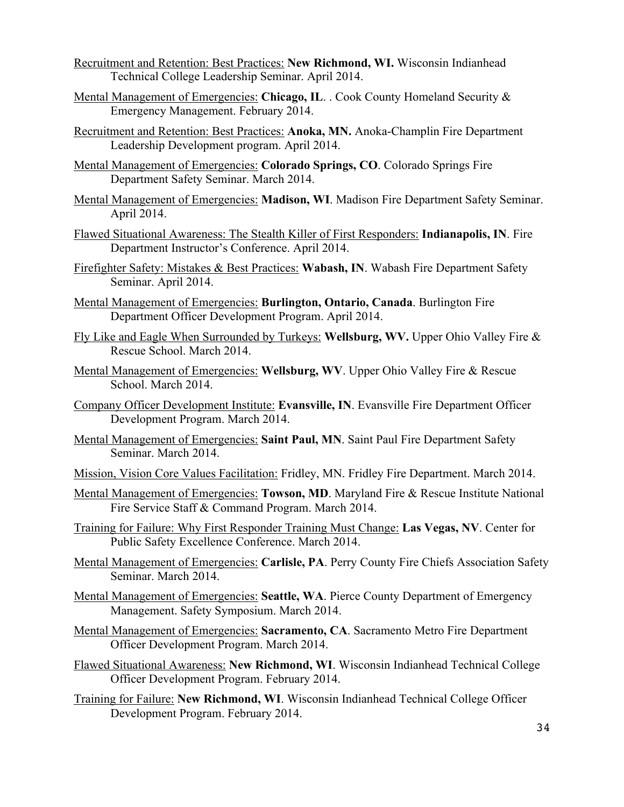- Recruitment and Retention: Best Practices: **New Richmond, WI.** Wisconsin Indianhead Technical College Leadership Seminar. April 2014.
- Mental Management of Emergencies: **Chicago, IL**. . Cook County Homeland Security & Emergency Management. February 2014.
- Recruitment and Retention: Best Practices: **Anoka, MN.** Anoka-Champlin Fire Department Leadership Development program. April 2014.
- Mental Management of Emergencies: **Colorado Springs, CO**. Colorado Springs Fire Department Safety Seminar. March 2014.
- Mental Management of Emergencies: **Madison, WI**. Madison Fire Department Safety Seminar. April 2014.
- Flawed Situational Awareness: The Stealth Killer of First Responders: **Indianapolis, IN**. Fire Department Instructor's Conference. April 2014.
- Firefighter Safety: Mistakes & Best Practices: **Wabash, IN**. Wabash Fire Department Safety Seminar. April 2014.
- Mental Management of Emergencies: **Burlington, Ontario, Canada**. Burlington Fire Department Officer Development Program. April 2014.
- Fly Like and Eagle When Surrounded by Turkeys: **Wellsburg, WV.** Upper Ohio Valley Fire & Rescue School. March 2014.
- Mental Management of Emergencies: **Wellsburg, WV**. Upper Ohio Valley Fire & Rescue School. March 2014.
- Company Officer Development Institute: **Evansville, IN**. Evansville Fire Department Officer Development Program. March 2014.
- Mental Management of Emergencies: **Saint Paul, MN**. Saint Paul Fire Department Safety Seminar. March 2014.
- Mission, Vision Core Values Facilitation: Fridley, MN. Fridley Fire Department. March 2014.
- Mental Management of Emergencies: **Towson, MD**. Maryland Fire & Rescue Institute National Fire Service Staff & Command Program. March 2014.
- Training for Failure: Why First Responder Training Must Change: **Las Vegas, NV**. Center for Public Safety Excellence Conference. March 2014.
- Mental Management of Emergencies: **Carlisle, PA**. Perry County Fire Chiefs Association Safety Seminar. March 2014.
- Mental Management of Emergencies: **Seattle, WA**. Pierce County Department of Emergency Management. Safety Symposium. March 2014.
- Mental Management of Emergencies: **Sacramento, CA**. Sacramento Metro Fire Department Officer Development Program. March 2014.
- Flawed Situational Awareness: **New Richmond, WI**. Wisconsin Indianhead Technical College Officer Development Program. February 2014.
- Training for Failure: **New Richmond, WI**. Wisconsin Indianhead Technical College Officer Development Program. February 2014.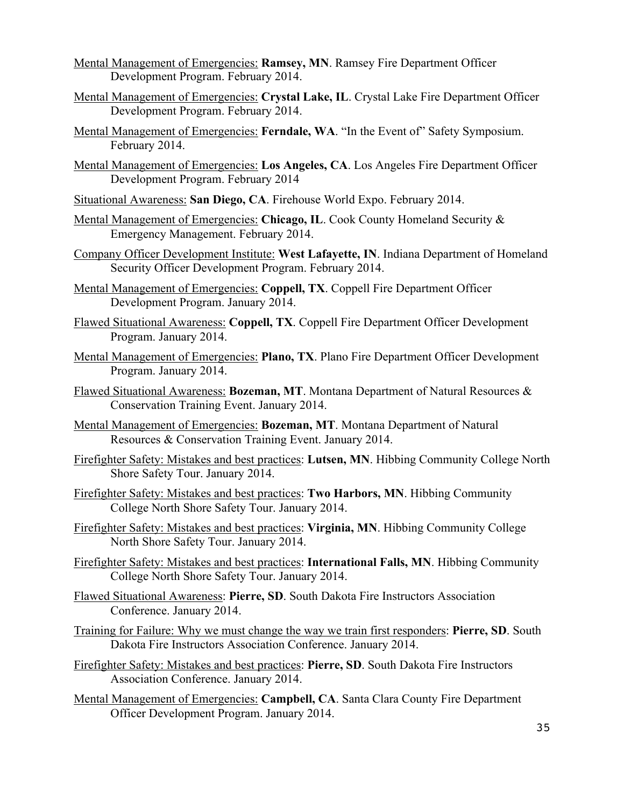- Mental Management of Emergencies: **Ramsey, MN**. Ramsey Fire Department Officer Development Program. February 2014.
- Mental Management of Emergencies: **Crystal Lake, IL**. Crystal Lake Fire Department Officer Development Program. February 2014.
- Mental Management of Emergencies: **Ferndale, WA**. "In the Event of" Safety Symposium. February 2014.
- Mental Management of Emergencies: **Los Angeles, CA**. Los Angeles Fire Department Officer Development Program. February 2014
- Situational Awareness: **San Diego, CA**. Firehouse World Expo. February 2014.
- Mental Management of Emergencies: **Chicago, IL**. Cook County Homeland Security & Emergency Management. February 2014.
- Company Officer Development Institute: **West Lafayette, IN**. Indiana Department of Homeland Security Officer Development Program. February 2014.
- Mental Management of Emergencies: **Coppell, TX**. Coppell Fire Department Officer Development Program. January 2014.
- Flawed Situational Awareness: **Coppell, TX**. Coppell Fire Department Officer Development Program. January 2014.
- Mental Management of Emergencies: **Plano, TX**. Plano Fire Department Officer Development Program. January 2014.
- Flawed Situational Awareness: **Bozeman, MT**. Montana Department of Natural Resources & Conservation Training Event. January 2014.
- Mental Management of Emergencies: **Bozeman, MT**. Montana Department of Natural Resources & Conservation Training Event. January 2014.
- Firefighter Safety: Mistakes and best practices: **Lutsen, MN**. Hibbing Community College North Shore Safety Tour. January 2014.
- Firefighter Safety: Mistakes and best practices: **Two Harbors, MN**. Hibbing Community College North Shore Safety Tour. January 2014.
- Firefighter Safety: Mistakes and best practices: **Virginia, MN**. Hibbing Community College North Shore Safety Tour. January 2014.
- Firefighter Safety: Mistakes and best practices: **International Falls, MN**. Hibbing Community College North Shore Safety Tour. January 2014.
- Flawed Situational Awareness: **Pierre, SD**. South Dakota Fire Instructors Association Conference. January 2014.
- Training for Failure: Why we must change the way we train first responders: **Pierre, SD**. South Dakota Fire Instructors Association Conference. January 2014.

Firefighter Safety: Mistakes and best practices: **Pierre, SD**. South Dakota Fire Instructors Association Conference. January 2014.

Mental Management of Emergencies: **Campbell, CA**. Santa Clara County Fire Department Officer Development Program. January 2014.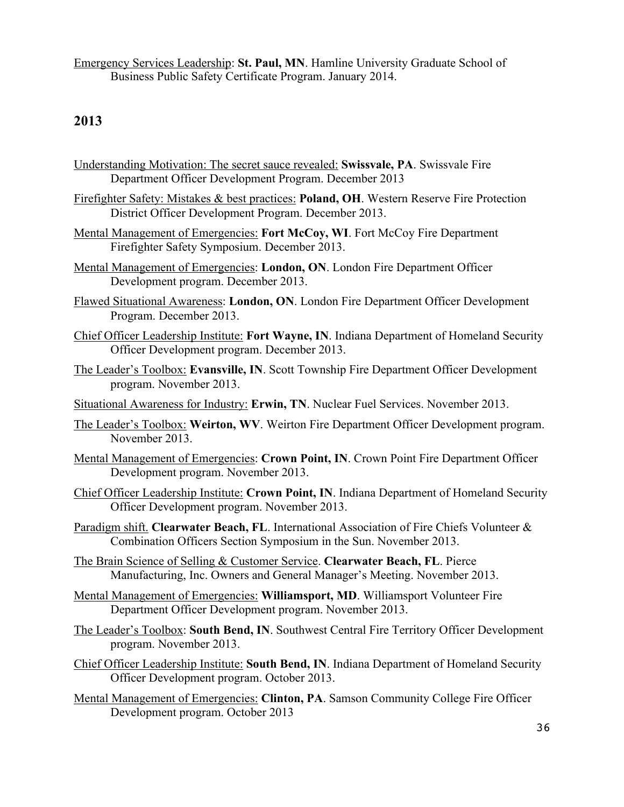Emergency Services Leadership: **St. Paul, MN**. Hamline University Graduate School of Business Public Safety Certificate Program. January 2014.

#### **2013**

- Understanding Motivation: The secret sauce revealed: **Swissvale, PA**. Swissvale Fire Department Officer Development Program. December 2013
- Firefighter Safety: Mistakes & best practices: **Poland, OH**. Western Reserve Fire Protection District Officer Development Program. December 2013.
- Mental Management of Emergencies: **Fort McCoy, WI**. Fort McCoy Fire Department Firefighter Safety Symposium. December 2013.
- Mental Management of Emergencies: **London, ON**. London Fire Department Officer Development program. December 2013.
- Flawed Situational Awareness: **London, ON**. London Fire Department Officer Development Program. December 2013.
- Chief Officer Leadership Institute: **Fort Wayne, IN**. Indiana Department of Homeland Security Officer Development program. December 2013.
- The Leader's Toolbox: **Evansville, IN**. Scott Township Fire Department Officer Development program. November 2013.
- Situational Awareness for Industry: **Erwin, TN**. Nuclear Fuel Services. November 2013.
- The Leader's Toolbox: **Weirton, WV**. Weirton Fire Department Officer Development program. November 2013.
- Mental Management of Emergencies: **Crown Point, IN**. Crown Point Fire Department Officer Development program. November 2013.
- Chief Officer Leadership Institute: **Crown Point, IN**. Indiana Department of Homeland Security Officer Development program. November 2013.
- Paradigm shift. **Clearwater Beach, FL**. International Association of Fire Chiefs Volunteer & Combination Officers Section Symposium in the Sun. November 2013.
- The Brain Science of Selling & Customer Service. **Clearwater Beach, FL**. Pierce Manufacturing, Inc. Owners and General Manager's Meeting. November 2013.
- Mental Management of Emergencies: **Williamsport, MD**. Williamsport Volunteer Fire Department Officer Development program. November 2013.
- The Leader's Toolbox: **South Bend, IN**. Southwest Central Fire Territory Officer Development program. November 2013.

Chief Officer Leadership Institute: **South Bend, IN**. Indiana Department of Homeland Security Officer Development program. October 2013.

Mental Management of Emergencies: **Clinton, PA**. Samson Community College Fire Officer Development program. October 2013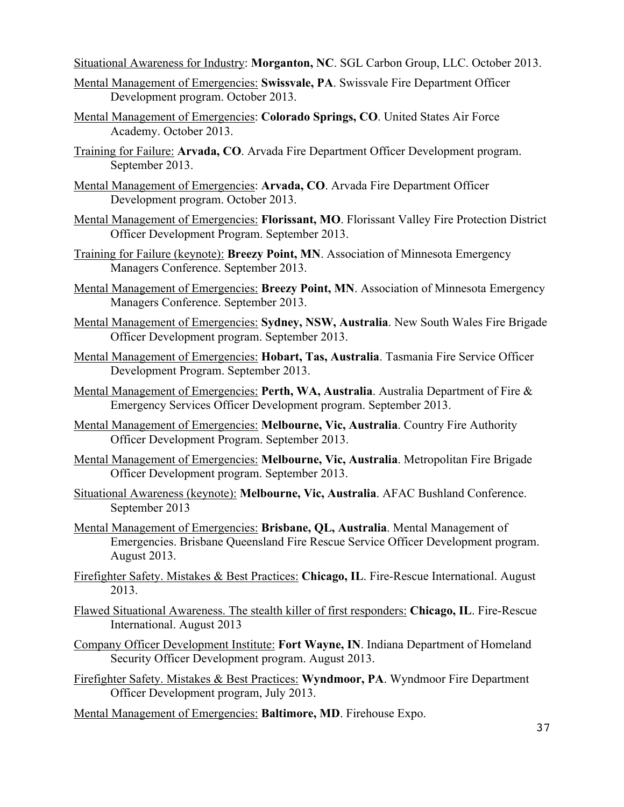Situational Awareness for Industry: **Morganton, NC**. SGL Carbon Group, LLC. October 2013.

- Mental Management of Emergencies: **Swissvale, PA**. Swissvale Fire Department Officer Development program. October 2013.
- Mental Management of Emergencies: **Colorado Springs, CO**. United States Air Force Academy. October 2013.
- Training for Failure: **Arvada, CO**. Arvada Fire Department Officer Development program. September 2013.
- Mental Management of Emergencies: **Arvada, CO**. Arvada Fire Department Officer Development program. October 2013.
- Mental Management of Emergencies: **Florissant, MO**. Florissant Valley Fire Protection District Officer Development Program. September 2013.
- Training for Failure (keynote): **Breezy Point, MN**. Association of Minnesota Emergency Managers Conference. September 2013.
- Mental Management of Emergencies: **Breezy Point, MN**. Association of Minnesota Emergency Managers Conference. September 2013.
- Mental Management of Emergencies: **Sydney, NSW, Australia**. New South Wales Fire Brigade Officer Development program. September 2013.
- Mental Management of Emergencies: **Hobart, Tas, Australia**. Tasmania Fire Service Officer Development Program. September 2013.
- Mental Management of Emergencies: **Perth, WA, Australia**. Australia Department of Fire & Emergency Services Officer Development program. September 2013.
- Mental Management of Emergencies: **Melbourne, Vic, Australia**. Country Fire Authority Officer Development Program. September 2013.
- Mental Management of Emergencies: **Melbourne, Vic, Australia**. Metropolitan Fire Brigade Officer Development program. September 2013.
- Situational Awareness (keynote): **Melbourne, Vic, Australia**. AFAC Bushland Conference. September 2013
- Mental Management of Emergencies: **Brisbane, QL, Australia**. Mental Management of Emergencies. Brisbane Queensland Fire Rescue Service Officer Development program. August 2013.
- Firefighter Safety. Mistakes & Best Practices: **Chicago, IL**. Fire-Rescue International. August 2013.
- Flawed Situational Awareness. The stealth killer of first responders: **Chicago, IL**. Fire-Rescue International. August 2013
- Company Officer Development Institute: **Fort Wayne, IN**. Indiana Department of Homeland Security Officer Development program. August 2013.
- Firefighter Safety. Mistakes & Best Practices: **Wyndmoor, PA**. Wyndmoor Fire Department Officer Development program, July 2013.
- Mental Management of Emergencies: **Baltimore, MD**. Firehouse Expo.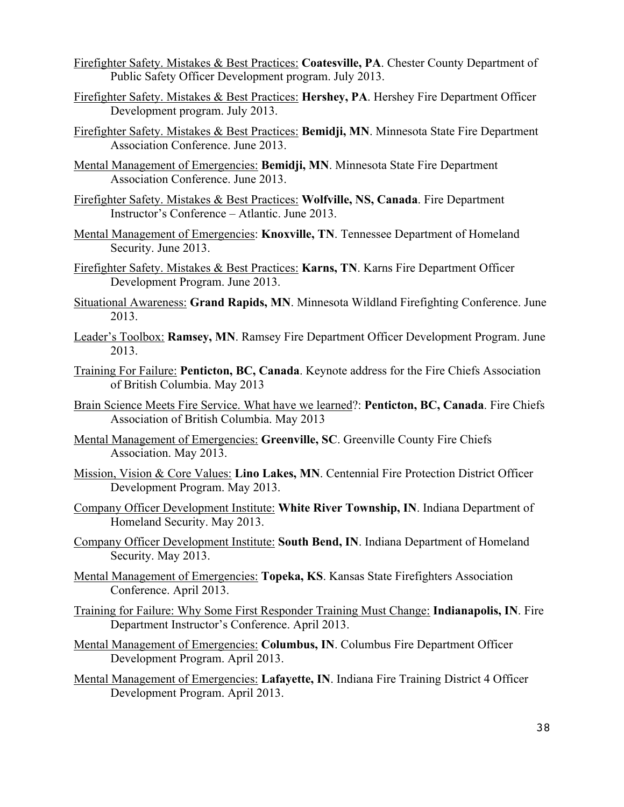- Firefighter Safety. Mistakes & Best Practices: **Coatesville, PA**. Chester County Department of Public Safety Officer Development program. July 2013.
- Firefighter Safety. Mistakes & Best Practices: **Hershey, PA**. Hershey Fire Department Officer Development program. July 2013.
- Firefighter Safety. Mistakes & Best Practices: **Bemidji, MN**. Minnesota State Fire Department Association Conference. June 2013.
- Mental Management of Emergencies: **Bemidji, MN**. Minnesota State Fire Department Association Conference. June 2013.
- Firefighter Safety. Mistakes & Best Practices: **Wolfville, NS, Canada**. Fire Department Instructor's Conference – Atlantic. June 2013.
- Mental Management of Emergencies: **Knoxville, TN**. Tennessee Department of Homeland Security. June 2013.
- Firefighter Safety. Mistakes & Best Practices: **Karns, TN**. Karns Fire Department Officer Development Program. June 2013.
- Situational Awareness: **Grand Rapids, MN**. Minnesota Wildland Firefighting Conference. June 2013.
- Leader's Toolbox: **Ramsey, MN**. Ramsey Fire Department Officer Development Program. June 2013.
- Training For Failure: **Penticton, BC, Canada**. Keynote address for the Fire Chiefs Association of British Columbia. May 2013
- Brain Science Meets Fire Service. What have we learned?: **Penticton, BC, Canada**. Fire Chiefs Association of British Columbia. May 2013
- Mental Management of Emergencies: **Greenville, SC**. Greenville County Fire Chiefs Association. May 2013.
- Mission, Vision & Core Values: **Lino Lakes, MN**. Centennial Fire Protection District Officer Development Program. May 2013.
- Company Officer Development Institute: **White River Township, IN**. Indiana Department of Homeland Security. May 2013.
- Company Officer Development Institute: **South Bend, IN**. Indiana Department of Homeland Security. May 2013.
- Mental Management of Emergencies: **Topeka, KS**. Kansas State Firefighters Association Conference. April 2013.
- Training for Failure: Why Some First Responder Training Must Change: **Indianapolis, IN**. Fire Department Instructor's Conference. April 2013.
- Mental Management of Emergencies: **Columbus, IN**. Columbus Fire Department Officer Development Program. April 2013.
- Mental Management of Emergencies: **Lafayette, IN**. Indiana Fire Training District 4 Officer Development Program. April 2013.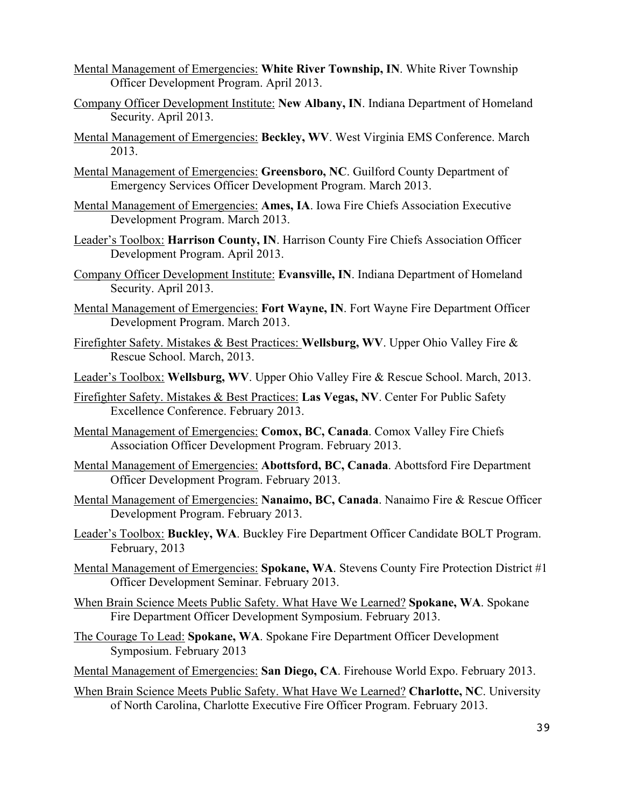- Mental Management of Emergencies: **White River Township, IN**. White River Township Officer Development Program. April 2013.
- Company Officer Development Institute: **New Albany, IN**. Indiana Department of Homeland Security. April 2013.
- Mental Management of Emergencies: **Beckley, WV**. West Virginia EMS Conference. March 2013.
- Mental Management of Emergencies: **Greensboro, NC**. Guilford County Department of Emergency Services Officer Development Program. March 2013.
- Mental Management of Emergencies: **Ames, IA**. Iowa Fire Chiefs Association Executive Development Program. March 2013.
- Leader's Toolbox: **Harrison County, IN**. Harrison County Fire Chiefs Association Officer Development Program. April 2013.
- Company Officer Development Institute: **Evansville, IN**. Indiana Department of Homeland Security. April 2013.
- Mental Management of Emergencies: **Fort Wayne, IN**. Fort Wayne Fire Department Officer Development Program. March 2013.
- Firefighter Safety. Mistakes & Best Practices: **Wellsburg, WV**. Upper Ohio Valley Fire & Rescue School. March, 2013.
- Leader's Toolbox: **Wellsburg, WV**. Upper Ohio Valley Fire & Rescue School. March, 2013.
- Firefighter Safety. Mistakes & Best Practices: **Las Vegas, NV**. Center For Public Safety Excellence Conference. February 2013.
- Mental Management of Emergencies: **Comox, BC, Canada**. Comox Valley Fire Chiefs Association Officer Development Program. February 2013.
- Mental Management of Emergencies: **Abottsford, BC, Canada**. Abottsford Fire Department Officer Development Program. February 2013.
- Mental Management of Emergencies: **Nanaimo, BC, Canada**. Nanaimo Fire & Rescue Officer Development Program. February 2013.
- Leader's Toolbox: **Buckley, WA**. Buckley Fire Department Officer Candidate BOLT Program. February, 2013
- Mental Management of Emergencies: **Spokane, WA**. Stevens County Fire Protection District #1 Officer Development Seminar. February 2013.
- When Brain Science Meets Public Safety. What Have We Learned? **Spokane, WA**. Spokane Fire Department Officer Development Symposium. February 2013.
- The Courage To Lead: **Spokane, WA**. Spokane Fire Department Officer Development Symposium. February 2013
- Mental Management of Emergencies: **San Diego, CA**. Firehouse World Expo. February 2013.
- When Brain Science Meets Public Safety. What Have We Learned? **Charlotte, NC**. University of North Carolina, Charlotte Executive Fire Officer Program. February 2013.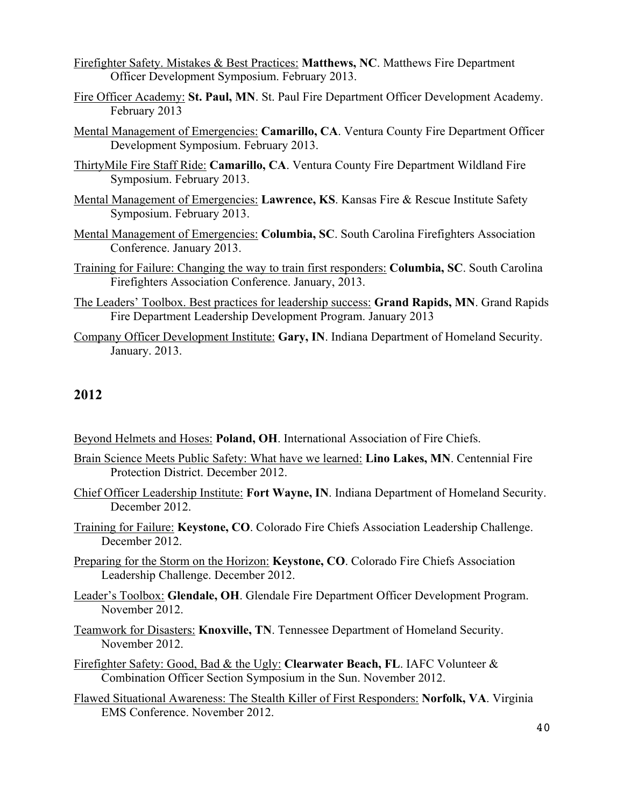- Firefighter Safety. Mistakes & Best Practices: **Matthews, NC**. Matthews Fire Department Officer Development Symposium. February 2013.
- Fire Officer Academy: **St. Paul, MN**. St. Paul Fire Department Officer Development Academy. February 2013
- Mental Management of Emergencies: **Camarillo, CA**. Ventura County Fire Department Officer Development Symposium. February 2013.
- ThirtyMile Fire Staff Ride: **Camarillo, CA**. Ventura County Fire Department Wildland Fire Symposium. February 2013.
- Mental Management of Emergencies: **Lawrence, KS**. Kansas Fire & Rescue Institute Safety Symposium. February 2013.
- Mental Management of Emergencies: **Columbia, SC**. South Carolina Firefighters Association Conference. January 2013.
- Training for Failure: Changing the way to train first responders: **Columbia, SC**. South Carolina Firefighters Association Conference. January, 2013.
- The Leaders' Toolbox. Best practices for leadership success: **Grand Rapids, MN**. Grand Rapids Fire Department Leadership Development Program. January 2013
- Company Officer Development Institute: **Gary, IN**. Indiana Department of Homeland Security. January. 2013.

- Beyond Helmets and Hoses: **Poland, OH**. International Association of Fire Chiefs.
- Brain Science Meets Public Safety: What have we learned: **Lino Lakes, MN**. Centennial Fire Protection District. December 2012.
- Chief Officer Leadership Institute: **Fort Wayne, IN**. Indiana Department of Homeland Security. December 2012.
- Training for Failure: **Keystone, CO**. Colorado Fire Chiefs Association Leadership Challenge. December 2012.
- Preparing for the Storm on the Horizon: **Keystone, CO**. Colorado Fire Chiefs Association Leadership Challenge. December 2012.
- Leader's Toolbox: **Glendale, OH**. Glendale Fire Department Officer Development Program. November 2012.
- Teamwork for Disasters: **Knoxville, TN**. Tennessee Department of Homeland Security. November 2012.
- Firefighter Safety: Good, Bad & the Ugly: **Clearwater Beach, FL**. IAFC Volunteer & Combination Officer Section Symposium in the Sun. November 2012.
- Flawed Situational Awareness: The Stealth Killer of First Responders: **Norfolk, VA**. Virginia EMS Conference. November 2012.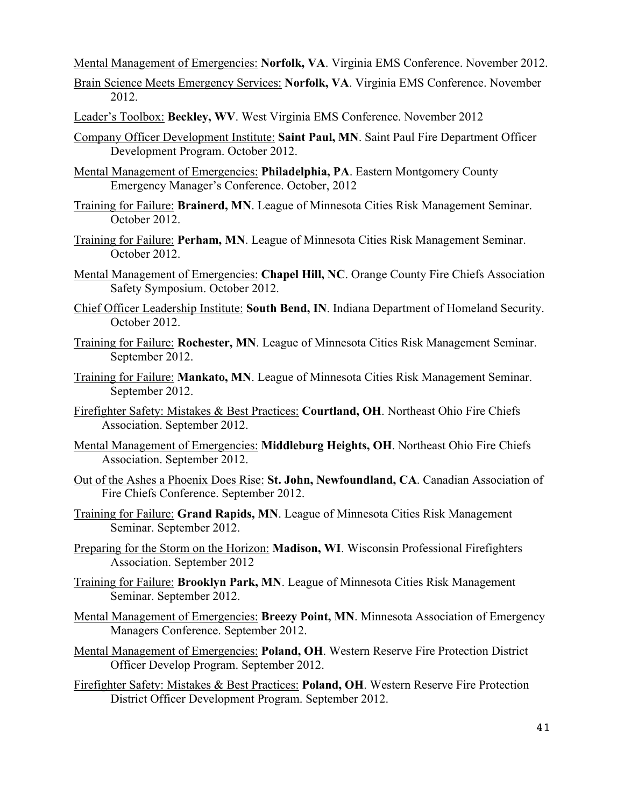Mental Management of Emergencies: **Norfolk, VA**. Virginia EMS Conference. November 2012.

- Brain Science Meets Emergency Services: **Norfolk, VA**. Virginia EMS Conference. November 2012.
- Leader's Toolbox: **Beckley, WV**. West Virginia EMS Conference. November 2012
- Company Officer Development Institute: **Saint Paul, MN**. Saint Paul Fire Department Officer Development Program. October 2012.
- Mental Management of Emergencies: **Philadelphia, PA**. Eastern Montgomery County Emergency Manager's Conference. October, 2012
- Training for Failure: **Brainerd, MN**. League of Minnesota Cities Risk Management Seminar. October 2012.
- Training for Failure: **Perham, MN**. League of Minnesota Cities Risk Management Seminar. October 2012.
- Mental Management of Emergencies: **Chapel Hill, NC**. Orange County Fire Chiefs Association Safety Symposium. October 2012.
- Chief Officer Leadership Institute: **South Bend, IN**. Indiana Department of Homeland Security. October 2012.
- Training for Failure: **Rochester, MN**. League of Minnesota Cities Risk Management Seminar. September 2012.
- Training for Failure: **Mankato, MN**. League of Minnesota Cities Risk Management Seminar. September 2012.
- Firefighter Safety: Mistakes & Best Practices: **Courtland, OH**. Northeast Ohio Fire Chiefs Association. September 2012.
- Mental Management of Emergencies: **Middleburg Heights, OH**. Northeast Ohio Fire Chiefs Association. September 2012.
- Out of the Ashes a Phoenix Does Rise: **St. John, Newfoundland, CA**. Canadian Association of Fire Chiefs Conference. September 2012.
- Training for Failure: **Grand Rapids, MN**. League of Minnesota Cities Risk Management Seminar. September 2012.
- Preparing for the Storm on the Horizon: **Madison, WI**. Wisconsin Professional Firefighters Association. September 2012
- Training for Failure: **Brooklyn Park, MN**. League of Minnesota Cities Risk Management Seminar. September 2012.
- Mental Management of Emergencies: **Breezy Point, MN**. Minnesota Association of Emergency Managers Conference. September 2012.
- Mental Management of Emergencies: **Poland, OH**. Western Reserve Fire Protection District Officer Develop Program. September 2012.
- Firefighter Safety: Mistakes & Best Practices: **Poland, OH**. Western Reserve Fire Protection District Officer Development Program. September 2012.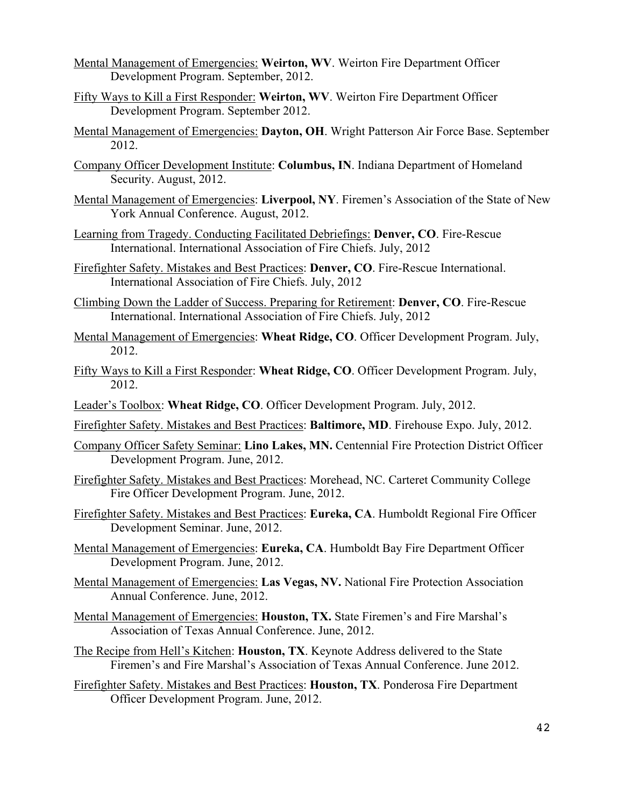- Mental Management of Emergencies: **Weirton, WV**. Weirton Fire Department Officer Development Program. September, 2012.
- Fifty Ways to Kill a First Responder: **Weirton, WV**. Weirton Fire Department Officer Development Program. September 2012.
- Mental Management of Emergencies: **Dayton, OH**. Wright Patterson Air Force Base. September 2012.
- Company Officer Development Institute: **Columbus, IN**. Indiana Department of Homeland Security. August, 2012.
- Mental Management of Emergencies: **Liverpool, NY**. Firemen's Association of the State of New York Annual Conference. August, 2012.
- Learning from Tragedy. Conducting Facilitated Debriefings: **Denver, CO**. Fire-Rescue International. International Association of Fire Chiefs. July, 2012
- Firefighter Safety. Mistakes and Best Practices: **Denver, CO**. Fire-Rescue International. International Association of Fire Chiefs. July, 2012
- Climbing Down the Ladder of Success. Preparing for Retirement: **Denver, CO**. Fire-Rescue International. International Association of Fire Chiefs. July, 2012
- Mental Management of Emergencies: **Wheat Ridge, CO**. Officer Development Program. July, 2012.
- Fifty Ways to Kill a First Responder: **Wheat Ridge, CO**. Officer Development Program. July, 2012.
- Leader's Toolbox: **Wheat Ridge, CO**. Officer Development Program. July, 2012.
- Firefighter Safety. Mistakes and Best Practices: **Baltimore, MD**. Firehouse Expo. July, 2012.
- Company Officer Safety Seminar: **Lino Lakes, MN.** Centennial Fire Protection District Officer Development Program. June, 2012.
- Firefighter Safety. Mistakes and Best Practices: Morehead, NC. Carteret Community College Fire Officer Development Program. June, 2012.
- Firefighter Safety. Mistakes and Best Practices: **Eureka, CA**. Humboldt Regional Fire Officer Development Seminar. June, 2012.
- Mental Management of Emergencies: **Eureka, CA**. Humboldt Bay Fire Department Officer Development Program. June, 2012.
- Mental Management of Emergencies: **Las Vegas, NV.** National Fire Protection Association Annual Conference. June, 2012.
- Mental Management of Emergencies: **Houston, TX.** State Firemen's and Fire Marshal's Association of Texas Annual Conference. June, 2012.
- The Recipe from Hell's Kitchen: **Houston, TX**. Keynote Address delivered to the State Firemen's and Fire Marshal's Association of Texas Annual Conference. June 2012.
- Firefighter Safety. Mistakes and Best Practices: **Houston, TX**. Ponderosa Fire Department Officer Development Program. June, 2012.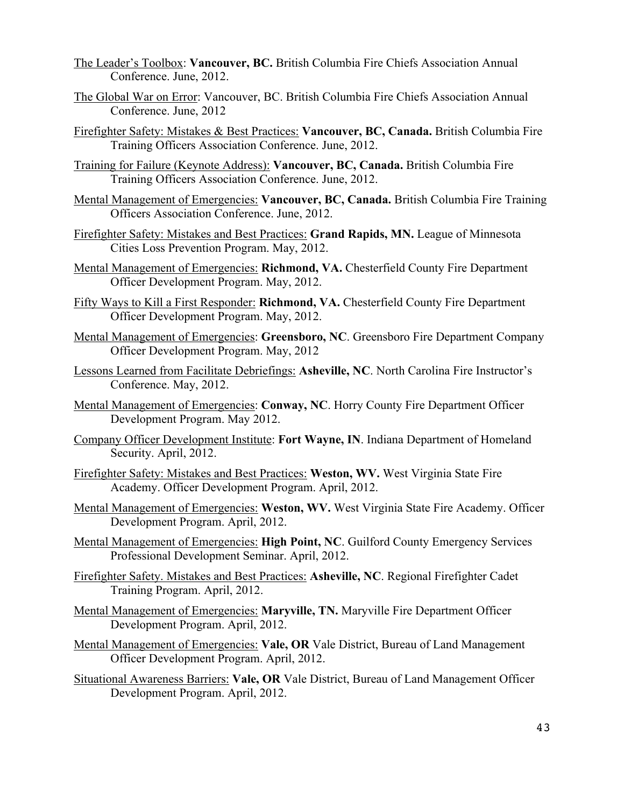- The Leader's Toolbox: **Vancouver, BC.** British Columbia Fire Chiefs Association Annual Conference. June, 2012.
- The Global War on Error: Vancouver, BC. British Columbia Fire Chiefs Association Annual Conference. June, 2012
- Firefighter Safety: Mistakes & Best Practices: **Vancouver, BC, Canada.** British Columbia Fire Training Officers Association Conference. June, 2012.
- Training for Failure (Keynote Address): **Vancouver, BC, Canada.** British Columbia Fire Training Officers Association Conference. June, 2012.
- Mental Management of Emergencies: **Vancouver, BC, Canada.** British Columbia Fire Training Officers Association Conference. June, 2012.
- Firefighter Safety: Mistakes and Best Practices: **Grand Rapids, MN.** League of Minnesota Cities Loss Prevention Program. May, 2012.
- Mental Management of Emergencies: **Richmond, VA.** Chesterfield County Fire Department Officer Development Program. May, 2012.
- Fifty Ways to Kill a First Responder: **Richmond, VA.** Chesterfield County Fire Department Officer Development Program. May, 2012.
- Mental Management of Emergencies: **Greensboro, NC**. Greensboro Fire Department Company Officer Development Program. May, 2012
- Lessons Learned from Facilitate Debriefings: **Asheville, NC**. North Carolina Fire Instructor's Conference. May, 2012.
- Mental Management of Emergencies: **Conway, NC**. Horry County Fire Department Officer Development Program. May 2012.
- Company Officer Development Institute: **Fort Wayne, IN**. Indiana Department of Homeland Security. April, 2012.
- Firefighter Safety: Mistakes and Best Practices: **Weston, WV.** West Virginia State Fire Academy. Officer Development Program. April, 2012.
- Mental Management of Emergencies: **Weston, WV.** West Virginia State Fire Academy. Officer Development Program. April, 2012.
- Mental Management of Emergencies: **High Point, NC**. Guilford County Emergency Services Professional Development Seminar. April, 2012.
- Firefighter Safety. Mistakes and Best Practices: **Asheville, NC**. Regional Firefighter Cadet Training Program. April, 2012.
- Mental Management of Emergencies: **Maryville, TN.** Maryville Fire Department Officer Development Program. April, 2012.
- Mental Management of Emergencies: **Vale, OR** Vale District, Bureau of Land Management Officer Development Program. April, 2012.
- Situational Awareness Barriers: **Vale, OR** Vale District, Bureau of Land Management Officer Development Program. April, 2012.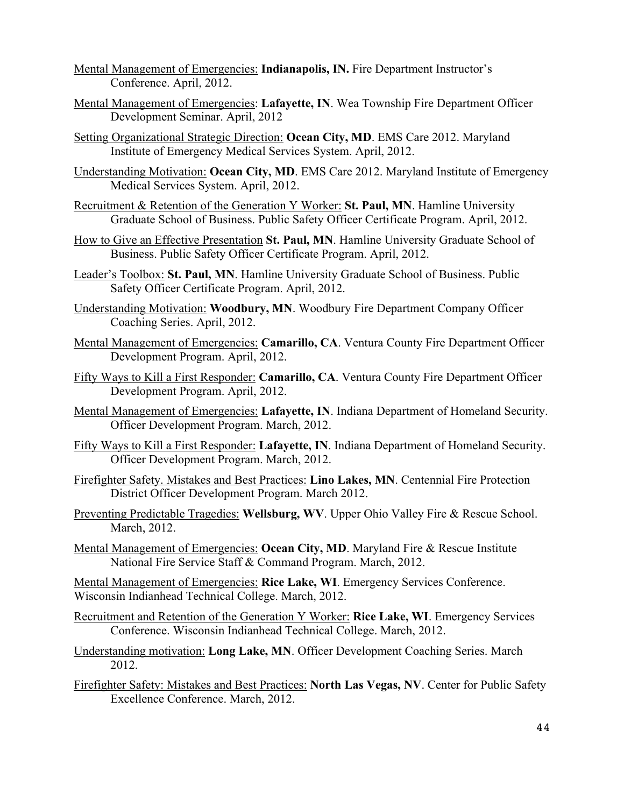- Mental Management of Emergencies: **Indianapolis, IN.** Fire Department Instructor's Conference. April, 2012.
- Mental Management of Emergencies: **Lafayette, IN**. Wea Township Fire Department Officer Development Seminar. April, 2012
- Setting Organizational Strategic Direction: **Ocean City, MD**. EMS Care 2012. Maryland Institute of Emergency Medical Services System. April, 2012.
- Understanding Motivation: **Ocean City, MD**. EMS Care 2012. Maryland Institute of Emergency Medical Services System. April, 2012.
- Recruitment & Retention of the Generation Y Worker: **St. Paul, MN**. Hamline University Graduate School of Business. Public Safety Officer Certificate Program. April, 2012.
- How to Give an Effective Presentation **St. Paul, MN**. Hamline University Graduate School of Business. Public Safety Officer Certificate Program. April, 2012.
- Leader's Toolbox: **St. Paul, MN**. Hamline University Graduate School of Business. Public Safety Officer Certificate Program. April, 2012.
- Understanding Motivation: **Woodbury, MN**. Woodbury Fire Department Company Officer Coaching Series. April, 2012.
- Mental Management of Emergencies: **Camarillo, CA**. Ventura County Fire Department Officer Development Program. April, 2012.
- Fifty Ways to Kill a First Responder: **Camarillo, CA**. Ventura County Fire Department Officer Development Program. April, 2012.
- Mental Management of Emergencies: **Lafayette, IN**. Indiana Department of Homeland Security. Officer Development Program. March, 2012.
- Fifty Ways to Kill a First Responder: **Lafayette, IN**. Indiana Department of Homeland Security. Officer Development Program. March, 2012.
- Firefighter Safety. Mistakes and Best Practices: **Lino Lakes, MN**. Centennial Fire Protection District Officer Development Program. March 2012.
- Preventing Predictable Tragedies: **Wellsburg, WV**. Upper Ohio Valley Fire & Rescue School. March, 2012.
- Mental Management of Emergencies: **Ocean City, MD**. Maryland Fire & Rescue Institute National Fire Service Staff & Command Program. March, 2012.

Mental Management of Emergencies: **Rice Lake, WI**. Emergency Services Conference. Wisconsin Indianhead Technical College. March, 2012.

- Recruitment and Retention of the Generation Y Worker: **Rice Lake, WI**. Emergency Services Conference. Wisconsin Indianhead Technical College. March, 2012.
- Understanding motivation: **Long Lake, MN**. Officer Development Coaching Series. March 2012.
- Firefighter Safety: Mistakes and Best Practices: **North Las Vegas, NV**. Center for Public Safety Excellence Conference. March, 2012.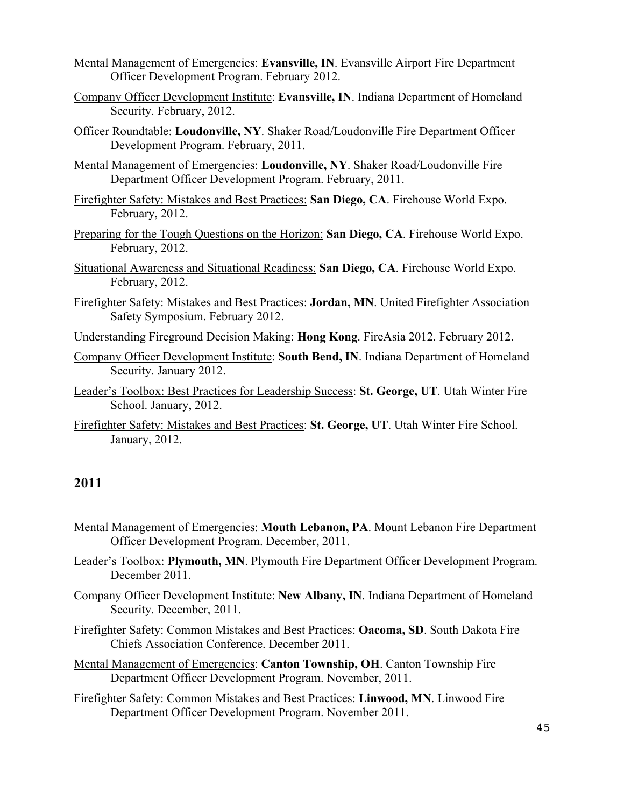- Mental Management of Emergencies: **Evansville, IN**. Evansville Airport Fire Department Officer Development Program. February 2012.
- Company Officer Development Institute: **Evansville, IN**. Indiana Department of Homeland Security. February, 2012.
- Officer Roundtable: **Loudonville, NY**. Shaker Road/Loudonville Fire Department Officer Development Program. February, 2011.
- Mental Management of Emergencies: **Loudonville, NY**. Shaker Road/Loudonville Fire Department Officer Development Program. February, 2011.
- Firefighter Safety: Mistakes and Best Practices: **San Diego, CA**. Firehouse World Expo. February, 2012.
- Preparing for the Tough Questions on the Horizon: **San Diego, CA**. Firehouse World Expo. February, 2012.
- Situational Awareness and Situational Readiness: **San Diego, CA**. Firehouse World Expo. February, 2012.
- Firefighter Safety: Mistakes and Best Practices: **Jordan, MN**. United Firefighter Association Safety Symposium. February 2012.
- Understanding Fireground Decision Making: **Hong Kong**. FireAsia 2012. February 2012.
- Company Officer Development Institute: **South Bend, IN**. Indiana Department of Homeland Security. January 2012.
- Leader's Toolbox: Best Practices for Leadership Success: **St. George, UT**. Utah Winter Fire School. January, 2012.
- Firefighter Safety: Mistakes and Best Practices: **St. George, UT**. Utah Winter Fire School. January, 2012.

- Mental Management of Emergencies: **Mouth Lebanon, PA**. Mount Lebanon Fire Department Officer Development Program. December, 2011.
- Leader's Toolbox: **Plymouth, MN**. Plymouth Fire Department Officer Development Program. December 2011.
- Company Officer Development Institute: **New Albany, IN**. Indiana Department of Homeland Security. December, 2011.
- Firefighter Safety: Common Mistakes and Best Practices: **Oacoma, SD**. South Dakota Fire Chiefs Association Conference. December 2011.
- Mental Management of Emergencies: **Canton Township, OH**. Canton Township Fire Department Officer Development Program. November, 2011.
- Firefighter Safety: Common Mistakes and Best Practices: **Linwood, MN**. Linwood Fire Department Officer Development Program. November 2011.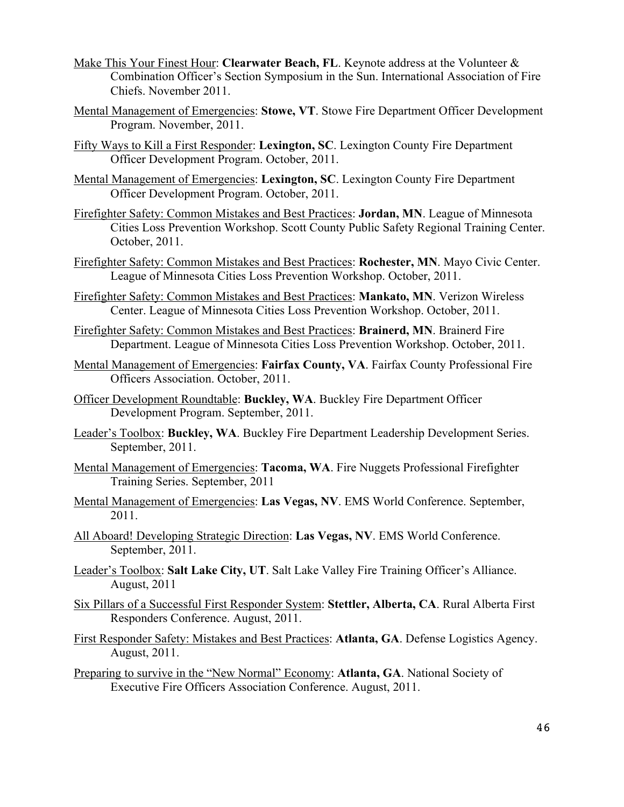- Make This Your Finest Hour: **Clearwater Beach, FL**. Keynote address at the Volunteer & Combination Officer's Section Symposium in the Sun. International Association of Fire Chiefs. November 2011.
- Mental Management of Emergencies: **Stowe, VT**. Stowe Fire Department Officer Development Program. November, 2011.
- Fifty Ways to Kill a First Responder: **Lexington, SC**. Lexington County Fire Department Officer Development Program. October, 2011.
- Mental Management of Emergencies: **Lexington, SC**. Lexington County Fire Department Officer Development Program. October, 2011.
- Firefighter Safety: Common Mistakes and Best Practices: **Jordan, MN**. League of Minnesota Cities Loss Prevention Workshop. Scott County Public Safety Regional Training Center. October, 2011.
- Firefighter Safety: Common Mistakes and Best Practices: **Rochester, MN**. Mayo Civic Center. League of Minnesota Cities Loss Prevention Workshop. October, 2011.
- Firefighter Safety: Common Mistakes and Best Practices: **Mankato, MN**. Verizon Wireless Center. League of Minnesota Cities Loss Prevention Workshop. October, 2011.
- Firefighter Safety: Common Mistakes and Best Practices: **Brainerd, MN**. Brainerd Fire Department. League of Minnesota Cities Loss Prevention Workshop. October, 2011.
- Mental Management of Emergencies: **Fairfax County, VA**. Fairfax County Professional Fire Officers Association. October, 2011.
- Officer Development Roundtable: **Buckley, WA**. Buckley Fire Department Officer Development Program. September, 2011.
- Leader's Toolbox: **Buckley, WA**. Buckley Fire Department Leadership Development Series. September, 2011.
- Mental Management of Emergencies: **Tacoma, WA**. Fire Nuggets Professional Firefighter Training Series. September, 2011
- Mental Management of Emergencies: **Las Vegas, NV**. EMS World Conference. September, 2011.
- All Aboard! Developing Strategic Direction: **Las Vegas, NV**. EMS World Conference. September, 2011.
- Leader's Toolbox: **Salt Lake City, UT**. Salt Lake Valley Fire Training Officer's Alliance. August, 2011
- Six Pillars of a Successful First Responder System: **Stettler, Alberta, CA**. Rural Alberta First Responders Conference. August, 2011.
- First Responder Safety: Mistakes and Best Practices: **Atlanta, GA**. Defense Logistics Agency. August, 2011.
- Preparing to survive in the "New Normal" Economy: **Atlanta, GA**. National Society of Executive Fire Officers Association Conference. August, 2011.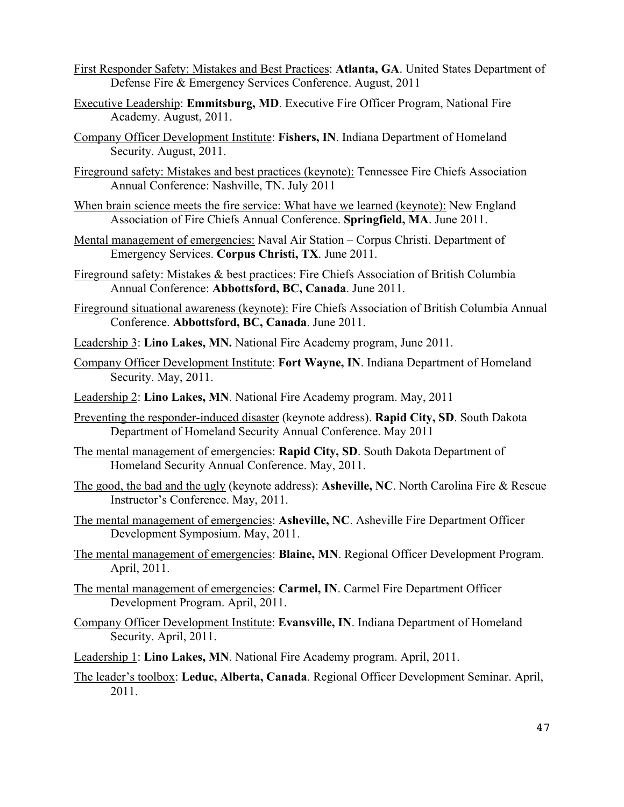- First Responder Safety: Mistakes and Best Practices: **Atlanta, GA**. United States Department of Defense Fire & Emergency Services Conference. August, 2011
- Executive Leadership: **Emmitsburg, MD**. Executive Fire Officer Program, National Fire Academy. August, 2011.
- Company Officer Development Institute: **Fishers, IN**. Indiana Department of Homeland Security. August, 2011.
- Fireground safety: Mistakes and best practices (keynote): Tennessee Fire Chiefs Association Annual Conference: Nashville, TN. July 2011
- When brain science meets the fire service: What have we learned (keynote): New England Association of Fire Chiefs Annual Conference. **Springfield, MA**. June 2011.
- Mental management of emergencies: Naval Air Station Corpus Christi. Department of Emergency Services. **Corpus Christi, TX**. June 2011.
- Fireground safety: Mistakes & best practices: Fire Chiefs Association of British Columbia Annual Conference: **Abbottsford, BC, Canada**. June 2011.
- Fireground situational awareness (keynote): Fire Chiefs Association of British Columbia Annual Conference. **Abbottsford, BC, Canada**. June 2011.
- Leadership 3: **Lino Lakes, MN.** National Fire Academy program, June 2011.
- Company Officer Development Institute: **Fort Wayne, IN**. Indiana Department of Homeland Security. May, 2011.
- Leadership 2: **Lino Lakes, MN**. National Fire Academy program. May, 2011
- Preventing the responder-induced disaster (keynote address). **Rapid City, SD**. South Dakota Department of Homeland Security Annual Conference. May 2011
- The mental management of emergencies: **Rapid City, SD**. South Dakota Department of Homeland Security Annual Conference. May, 2011.
- The good, the bad and the ugly (keynote address): **Asheville, NC**. North Carolina Fire & Rescue Instructor's Conference. May, 2011.
- The mental management of emergencies: **Asheville, NC**. Asheville Fire Department Officer Development Symposium. May, 2011.
- The mental management of emergencies: **Blaine, MN**. Regional Officer Development Program. April, 2011.
- The mental management of emergencies: **Carmel, IN**. Carmel Fire Department Officer Development Program. April, 2011.
- Company Officer Development Institute: **Evansville, IN**. Indiana Department of Homeland Security. April, 2011.
- Leadership 1: **Lino Lakes, MN**. National Fire Academy program. April, 2011.
- The leader's toolbox: **Leduc, Alberta, Canada**. Regional Officer Development Seminar. April, 2011.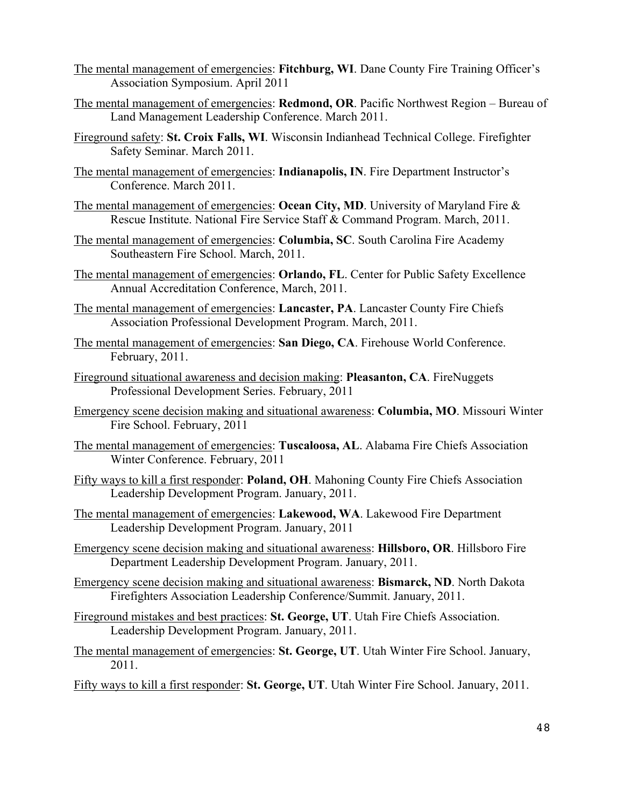- The mental management of emergencies: **Fitchburg, WI**. Dane County Fire Training Officer's Association Symposium. April 2011
- The mental management of emergencies: **Redmond, OR**. Pacific Northwest Region Bureau of Land Management Leadership Conference. March 2011.
- Fireground safety: **St. Croix Falls, WI**. Wisconsin Indianhead Technical College. Firefighter Safety Seminar. March 2011.
- The mental management of emergencies: **Indianapolis, IN**. Fire Department Instructor's Conference. March 2011.
- The mental management of emergencies: **Ocean City, MD**. University of Maryland Fire & Rescue Institute. National Fire Service Staff & Command Program. March, 2011.
- The mental management of emergencies: **Columbia, SC**. South Carolina Fire Academy Southeastern Fire School. March, 2011.
- The mental management of emergencies: **Orlando, FL**. Center for Public Safety Excellence Annual Accreditation Conference, March, 2011.
- The mental management of emergencies: **Lancaster, PA**. Lancaster County Fire Chiefs Association Professional Development Program. March, 2011.
- The mental management of emergencies: **San Diego, CA**. Firehouse World Conference. February, 2011.
- Fireground situational awareness and decision making: **Pleasanton, CA**. FireNuggets Professional Development Series. February, 2011
- Emergency scene decision making and situational awareness: **Columbia, MO**. Missouri Winter Fire School. February, 2011
- The mental management of emergencies: **Tuscaloosa, AL**. Alabama Fire Chiefs Association Winter Conference. February, 2011
- Fifty ways to kill a first responder: **Poland, OH**. Mahoning County Fire Chiefs Association Leadership Development Program. January, 2011.
- The mental management of emergencies: **Lakewood, WA**. Lakewood Fire Department Leadership Development Program. January, 2011
- Emergency scene decision making and situational awareness: **Hillsboro, OR**. Hillsboro Fire Department Leadership Development Program. January, 2011.
- Emergency scene decision making and situational awareness: **Bismarck, ND**. North Dakota Firefighters Association Leadership Conference/Summit. January, 2011.
- Fireground mistakes and best practices: **St. George, UT**. Utah Fire Chiefs Association. Leadership Development Program. January, 2011.
- The mental management of emergencies: **St. George, UT**. Utah Winter Fire School. January, 2011.
- Fifty ways to kill a first responder: **St. George, UT**. Utah Winter Fire School. January, 2011.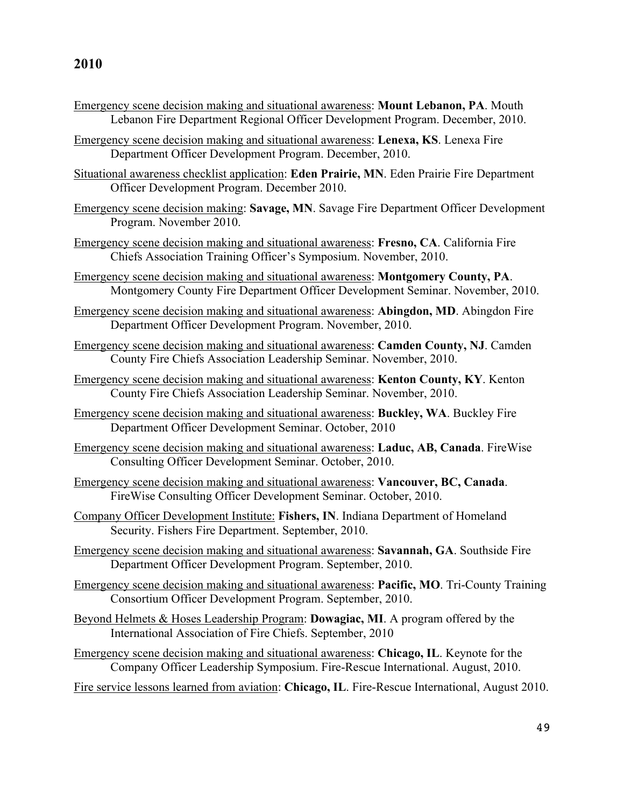- Emergency scene decision making and situational awareness: **Mount Lebanon, PA**. Mouth Lebanon Fire Department Regional Officer Development Program. December, 2010.
- Emergency scene decision making and situational awareness: **Lenexa, KS**. Lenexa Fire Department Officer Development Program. December, 2010.
- Situational awareness checklist application: **Eden Prairie, MN**. Eden Prairie Fire Department Officer Development Program. December 2010.
- Emergency scene decision making: **Savage, MN**. Savage Fire Department Officer Development Program. November 2010.
- Emergency scene decision making and situational awareness: **Fresno, CA**. California Fire Chiefs Association Training Officer's Symposium. November, 2010.
- Emergency scene decision making and situational awareness: **Montgomery County, PA**. Montgomery County Fire Department Officer Development Seminar. November, 2010.
- Emergency scene decision making and situational awareness: **Abingdon, MD**. Abingdon Fire Department Officer Development Program. November, 2010.
- Emergency scene decision making and situational awareness: **Camden County, NJ**. Camden County Fire Chiefs Association Leadership Seminar. November, 2010.
- Emergency scene decision making and situational awareness: **Kenton County, KY**. Kenton County Fire Chiefs Association Leadership Seminar. November, 2010.
- Emergency scene decision making and situational awareness: **Buckley, WA**. Buckley Fire Department Officer Development Seminar. October, 2010
- Emergency scene decision making and situational awareness: **Laduc, AB, Canada**. FireWise Consulting Officer Development Seminar. October, 2010.
- Emergency scene decision making and situational awareness: **Vancouver, BC, Canada**. FireWise Consulting Officer Development Seminar. October, 2010.
- Company Officer Development Institute: **Fishers, IN**. Indiana Department of Homeland Security. Fishers Fire Department. September, 2010.
- Emergency scene decision making and situational awareness: **Savannah, GA**. Southside Fire Department Officer Development Program. September, 2010.
- Emergency scene decision making and situational awareness: **Pacific, MO**. Tri-County Training Consortium Officer Development Program. September, 2010.
- Beyond Helmets & Hoses Leadership Program: **Dowagiac, MI**. A program offered by the International Association of Fire Chiefs. September, 2010
- Emergency scene decision making and situational awareness: **Chicago, IL**. Keynote for the Company Officer Leadership Symposium. Fire-Rescue International. August, 2010.
- Fire service lessons learned from aviation: **Chicago, IL**. Fire-Rescue International, August 2010.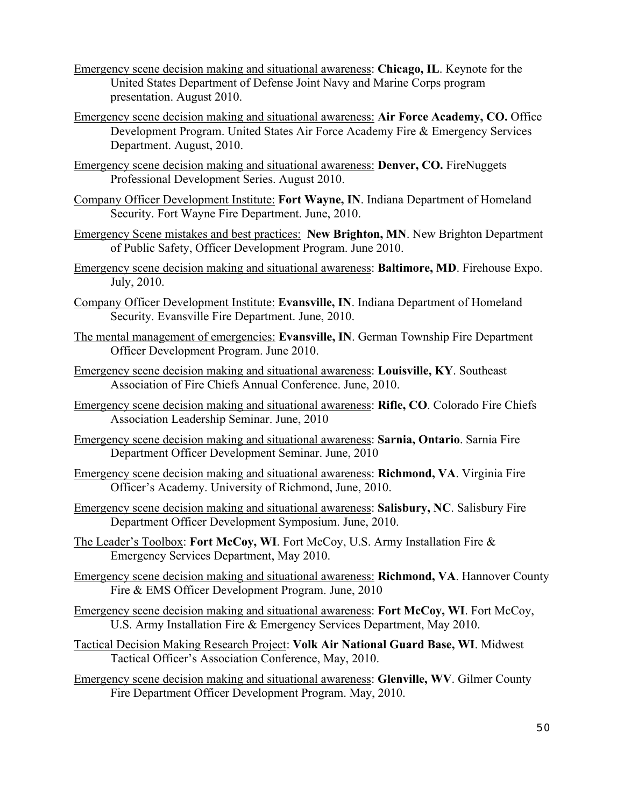- Emergency scene decision making and situational awareness: **Chicago, IL**. Keynote for the United States Department of Defense Joint Navy and Marine Corps program presentation. August 2010.
- Emergency scene decision making and situational awareness: **Air Force Academy, CO.** Office Development Program. United States Air Force Academy Fire & Emergency Services Department. August, 2010.
- Emergency scene decision making and situational awareness: **Denver, CO.** FireNuggets Professional Development Series. August 2010.
- Company Officer Development Institute: **Fort Wayne, IN**. Indiana Department of Homeland Security. Fort Wayne Fire Department. June, 2010.
- Emergency Scene mistakes and best practices: **New Brighton, MN**. New Brighton Department of Public Safety, Officer Development Program. June 2010.
- Emergency scene decision making and situational awareness: **Baltimore, MD**. Firehouse Expo. July, 2010.
- Company Officer Development Institute: **Evansville, IN**. Indiana Department of Homeland Security. Evansville Fire Department. June, 2010.
- The mental management of emergencies: **Evansville, IN**. German Township Fire Department Officer Development Program. June 2010.
- Emergency scene decision making and situational awareness: **Louisville, KY**. Southeast Association of Fire Chiefs Annual Conference. June, 2010.
- Emergency scene decision making and situational awareness: **Rifle, CO**. Colorado Fire Chiefs Association Leadership Seminar. June, 2010
- Emergency scene decision making and situational awareness: **Sarnia, Ontario**. Sarnia Fire Department Officer Development Seminar. June, 2010
- Emergency scene decision making and situational awareness: **Richmond, VA**. Virginia Fire Officer's Academy. University of Richmond, June, 2010.
- Emergency scene decision making and situational awareness: **Salisbury, NC**. Salisbury Fire Department Officer Development Symposium. June, 2010.
- The Leader's Toolbox: **Fort McCoy, WI**. Fort McCoy, U.S. Army Installation Fire & Emergency Services Department, May 2010.
- Emergency scene decision making and situational awareness: **Richmond, VA**. Hannover County Fire & EMS Officer Development Program. June, 2010
- Emergency scene decision making and situational awareness: **Fort McCoy, WI**. Fort McCoy, U.S. Army Installation Fire & Emergency Services Department, May 2010.
- Tactical Decision Making Research Project: **Volk Air National Guard Base, WI**. Midwest Tactical Officer's Association Conference, May, 2010.
- Emergency scene decision making and situational awareness: **Glenville, WV**. Gilmer County Fire Department Officer Development Program. May, 2010.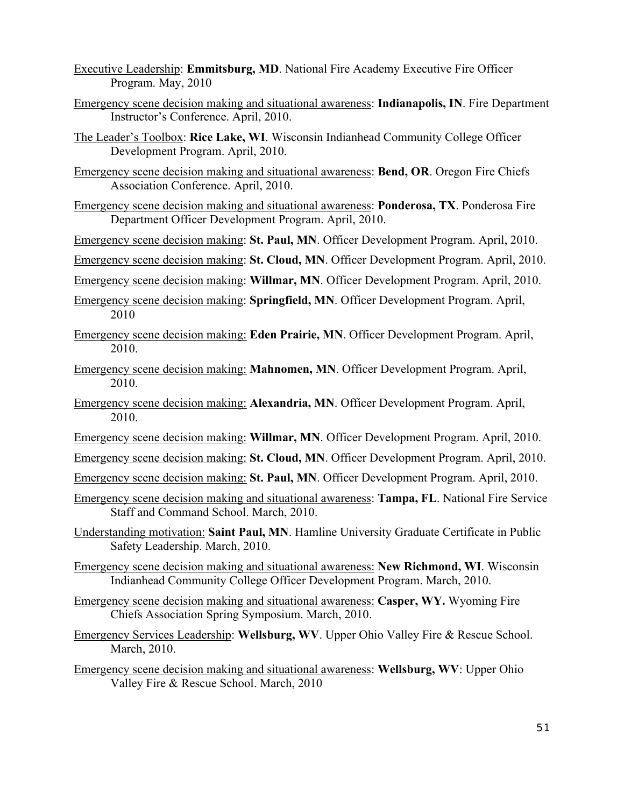- Executive Leadership: **Emmitsburg, MD**. National Fire Academy Executive Fire Officer Program. May, 2010
- Emergency scene decision making and situational awareness: **Indianapolis, IN**. Fire Department Instructor's Conference. April, 2010.
- The Leader's Toolbox: **Rice Lake, WI**. Wisconsin Indianhead Community College Officer Development Program. April, 2010.
- Emergency scene decision making and situational awareness: **Bend, OR**. Oregon Fire Chiefs Association Conference. April, 2010.
- Emergency scene decision making and situational awareness: **Ponderosa, TX**. Ponderosa Fire Department Officer Development Program. April, 2010.
- Emergency scene decision making: **St. Paul, MN**. Officer Development Program. April, 2010.

Emergency scene decision making: **St. Cloud, MN**. Officer Development Program. April, 2010.

Emergency scene decision making: **Willmar, MN**. Officer Development Program. April, 2010.

- Emergency scene decision making: **Springfield, MN**. Officer Development Program. April, 2010
- Emergency scene decision making: **Eden Prairie, MN**. Officer Development Program. April, 2010.
- Emergency scene decision making: **Mahnomen, MN**. Officer Development Program. April, 2010.
- Emergency scene decision making: **Alexandria, MN**. Officer Development Program. April, 2010.
- Emergency scene decision making: **Willmar, MN**. Officer Development Program. April, 2010.
- Emergency scene decision making: **St. Cloud, MN**. Officer Development Program. April, 2010.
- Emergency scene decision making: **St. Paul, MN**. Officer Development Program. April, 2010.
- Emergency scene decision making and situational awareness: **Tampa, FL**. National Fire Service Staff and Command School. March, 2010.
- Understanding motivation: **Saint Paul, MN**. Hamline University Graduate Certificate in Public Safety Leadership. March, 2010.
- Emergency scene decision making and situational awareness: **New Richmond, WI**. Wisconsin Indianhead Community College Officer Development Program. March, 2010.
- Emergency scene decision making and situational awareness: **Casper, WY.** Wyoming Fire Chiefs Association Spring Symposium. March, 2010.
- Emergency Services Leadership: **Wellsburg, WV**. Upper Ohio Valley Fire & Rescue School. March, 2010.

Emergency scene decision making and situational awareness: **Wellsburg, WV**: Upper Ohio Valley Fire & Rescue School. March, 2010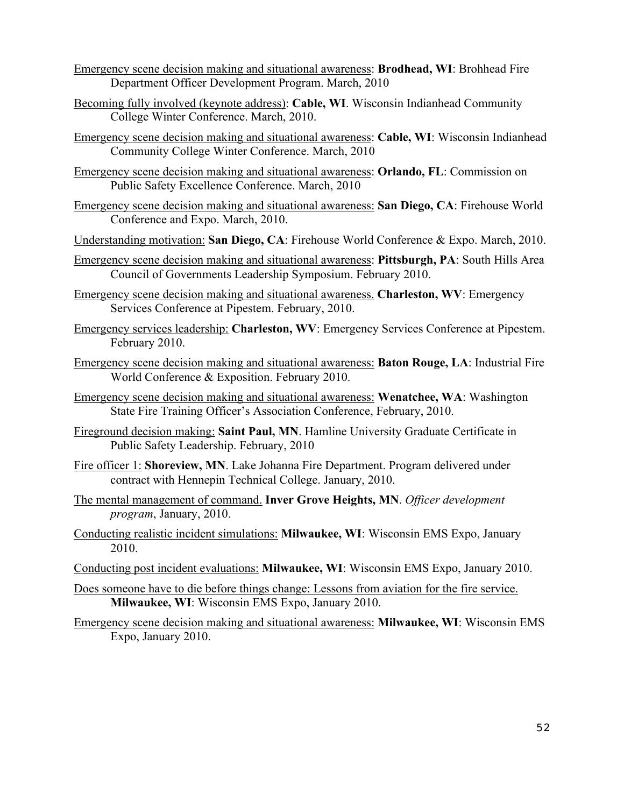- Emergency scene decision making and situational awareness: **Brodhead, WI**: Brohhead Fire Department Officer Development Program. March, 2010
- Becoming fully involved (keynote address): **Cable, WI**. Wisconsin Indianhead Community College Winter Conference. March, 2010.
- Emergency scene decision making and situational awareness: **Cable, WI**: Wisconsin Indianhead Community College Winter Conference. March, 2010
- Emergency scene decision making and situational awareness: **Orlando, FL**: Commission on Public Safety Excellence Conference. March, 2010
- Emergency scene decision making and situational awareness: **San Diego, CA**: Firehouse World Conference and Expo. March, 2010.
- Understanding motivation: **San Diego, CA**: Firehouse World Conference & Expo. March, 2010.
- Emergency scene decision making and situational awareness: **Pittsburgh, PA**: South Hills Area Council of Governments Leadership Symposium. February 2010.
- Emergency scene decision making and situational awareness. **Charleston, WV**: Emergency Services Conference at Pipestem. February, 2010.
- Emergency services leadership: **Charleston, WV**: Emergency Services Conference at Pipestem. February 2010.
- Emergency scene decision making and situational awareness: **Baton Rouge, LA**: Industrial Fire World Conference & Exposition. February 2010.
- Emergency scene decision making and situational awareness: **Wenatchee, WA**: Washington State Fire Training Officer's Association Conference, February, 2010.
- Fireground decision making: **Saint Paul, MN**. Hamline University Graduate Certificate in Public Safety Leadership. February, 2010
- Fire officer 1: **Shoreview, MN**. Lake Johanna Fire Department. Program delivered under contract with Hennepin Technical College. January, 2010.
- The mental management of command. **Inver Grove Heights, MN**. *Officer development program*, January, 2010.
- Conducting realistic incident simulations: **Milwaukee, WI**: Wisconsin EMS Expo, January 2010.
- Conducting post incident evaluations: **Milwaukee, WI**: Wisconsin EMS Expo, January 2010.
- Does someone have to die before things change: Lessons from aviation for the fire service. **Milwaukee, WI**: Wisconsin EMS Expo, January 2010.
- Emergency scene decision making and situational awareness: **Milwaukee, WI**: Wisconsin EMS Expo, January 2010.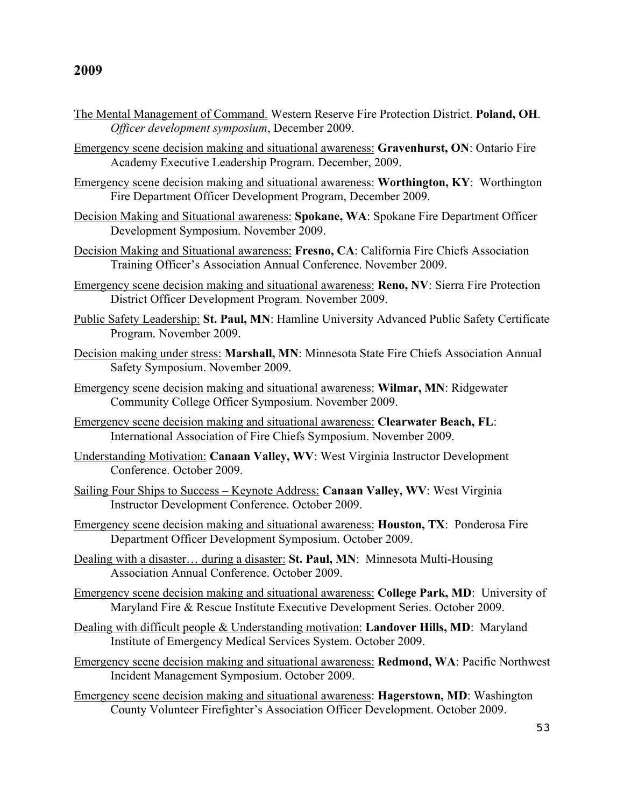- The Mental Management of Command. Western Reserve Fire Protection District. **Poland, OH**. *Officer development symposium*, December 2009.
- Emergency scene decision making and situational awareness: **Gravenhurst, ON**: Ontario Fire Academy Executive Leadership Program. December, 2009.
- Emergency scene decision making and situational awareness: **Worthington, KY**: Worthington Fire Department Officer Development Program, December 2009.
- Decision Making and Situational awareness: **Spokane, WA**: Spokane Fire Department Officer Development Symposium. November 2009.
- Decision Making and Situational awareness: **Fresno, CA**: California Fire Chiefs Association Training Officer's Association Annual Conference. November 2009.
- Emergency scene decision making and situational awareness: **Reno, NV**: Sierra Fire Protection District Officer Development Program. November 2009.
- Public Safety Leadership: **St. Paul, MN**: Hamline University Advanced Public Safety Certificate Program. November 2009.
- Decision making under stress: **Marshall, MN**: Minnesota State Fire Chiefs Association Annual Safety Symposium. November 2009.
- Emergency scene decision making and situational awareness: **Wilmar, MN**: Ridgewater Community College Officer Symposium. November 2009.
- Emergency scene decision making and situational awareness: **Clearwater Beach, FL**: International Association of Fire Chiefs Symposium. November 2009.
- Understanding Motivation: **Canaan Valley, WV**: West Virginia Instructor Development Conference. October 2009.
- Sailing Four Ships to Success Keynote Address: **Canaan Valley, WV**: West Virginia Instructor Development Conference. October 2009.
- Emergency scene decision making and situational awareness: **Houston, TX**: Ponderosa Fire Department Officer Development Symposium. October 2009.
- Dealing with a disaster… during a disaster: **St. Paul, MN**: Minnesota Multi-Housing Association Annual Conference. October 2009.
- Emergency scene decision making and situational awareness: **College Park, MD**: University of Maryland Fire & Rescue Institute Executive Development Series. October 2009.
- Dealing with difficult people & Understanding motivation: **Landover Hills, MD**: Maryland Institute of Emergency Medical Services System. October 2009.
- Emergency scene decision making and situational awareness: **Redmond, WA**: Pacific Northwest Incident Management Symposium. October 2009.
- Emergency scene decision making and situational awareness: **Hagerstown, MD**: Washington County Volunteer Firefighter's Association Officer Development. October 2009.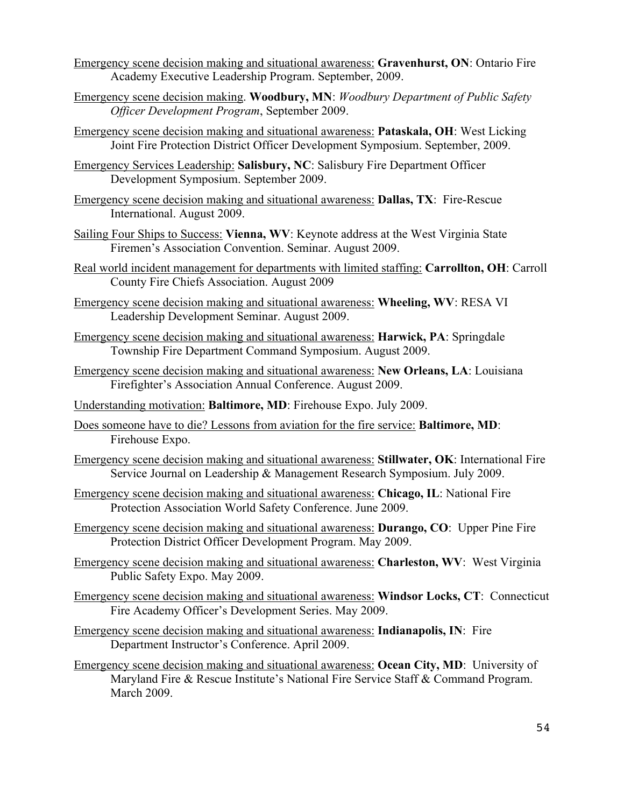- Emergency scene decision making and situational awareness: **Gravenhurst, ON**: Ontario Fire Academy Executive Leadership Program. September, 2009.
- Emergency scene decision making. **Woodbury, MN**: *Woodbury Department of Public Safety Officer Development Program*, September 2009.
- Emergency scene decision making and situational awareness: **Pataskala, OH**: West Licking Joint Fire Protection District Officer Development Symposium. September, 2009.
- Emergency Services Leadership: **Salisbury, NC**: Salisbury Fire Department Officer Development Symposium. September 2009.
- Emergency scene decision making and situational awareness: **Dallas, TX**: Fire-Rescue International. August 2009.
- Sailing Four Ships to Success: **Vienna, WV**: Keynote address at the West Virginia State Firemen's Association Convention. Seminar. August 2009.
- Real world incident management for departments with limited staffing: **Carrollton, OH**: Carroll County Fire Chiefs Association. August 2009
- Emergency scene decision making and situational awareness: **Wheeling, WV**: RESA VI Leadership Development Seminar. August 2009.
- Emergency scene decision making and situational awareness: **Harwick, PA**: Springdale Township Fire Department Command Symposium. August 2009.
- Emergency scene decision making and situational awareness: **New Orleans, LA**: Louisiana Firefighter's Association Annual Conference. August 2009.
- Understanding motivation: **Baltimore, MD**: Firehouse Expo. July 2009.
- Does someone have to die? Lessons from aviation for the fire service: **Baltimore, MD**: Firehouse Expo.
- Emergency scene decision making and situational awareness: **Stillwater, OK**: International Fire Service Journal on Leadership & Management Research Symposium. July 2009.
- Emergency scene decision making and situational awareness: **Chicago, IL**: National Fire Protection Association World Safety Conference. June 2009.
- Emergency scene decision making and situational awareness: **Durango, CO**: Upper Pine Fire Protection District Officer Development Program. May 2009.
- Emergency scene decision making and situational awareness: **Charleston, WV**: West Virginia Public Safety Expo. May 2009.
- Emergency scene decision making and situational awareness: **Windsor Locks, CT**: Connecticut Fire Academy Officer's Development Series. May 2009.
- Emergency scene decision making and situational awareness: **Indianapolis, IN**: Fire Department Instructor's Conference. April 2009.
- Emergency scene decision making and situational awareness: **Ocean City, MD**: University of Maryland Fire & Rescue Institute's National Fire Service Staff & Command Program. March 2009.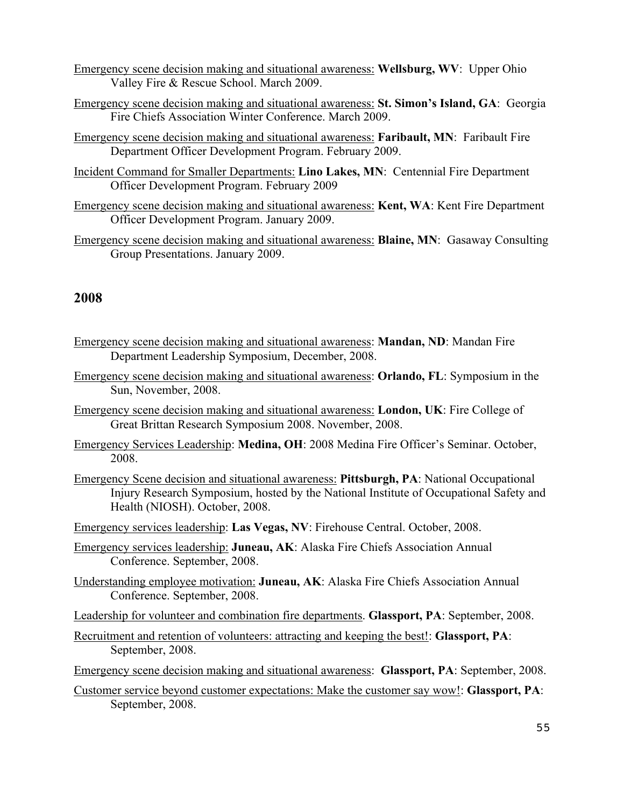- Emergency scene decision making and situational awareness: **Wellsburg, WV**: Upper Ohio Valley Fire & Rescue School. March 2009.
- Emergency scene decision making and situational awareness: **St. Simon's Island, GA**: Georgia Fire Chiefs Association Winter Conference. March 2009.
- Emergency scene decision making and situational awareness: **Faribault, MN**: Faribault Fire Department Officer Development Program. February 2009.
- Incident Command for Smaller Departments: **Lino Lakes, MN**: Centennial Fire Department Officer Development Program. February 2009
- Emergency scene decision making and situational awareness: **Kent, WA**: Kent Fire Department Officer Development Program. January 2009.
- Emergency scene decision making and situational awareness: **Blaine, MN**: Gasaway Consulting Group Presentations. January 2009.

- Emergency scene decision making and situational awareness: **Mandan, ND**: Mandan Fire Department Leadership Symposium, December, 2008.
- Emergency scene decision making and situational awareness: **Orlando, FL**: Symposium in the Sun, November, 2008.
- Emergency scene decision making and situational awareness: **London, UK**: Fire College of Great Brittan Research Symposium 2008. November, 2008.
- Emergency Services Leadership: **Medina, OH**: 2008 Medina Fire Officer's Seminar. October, 2008.
- Emergency Scene decision and situational awareness: **Pittsburgh, PA**: National Occupational Injury Research Symposium, hosted by the National Institute of Occupational Safety and Health (NIOSH). October, 2008.

Emergency services leadership: **Las Vegas, NV**: Firehouse Central. October, 2008.

- Emergency services leadership: **Juneau, AK**: Alaska Fire Chiefs Association Annual Conference. September, 2008.
- Understanding employee motivation: **Juneau, AK**: Alaska Fire Chiefs Association Annual Conference. September, 2008.
- Leadership for volunteer and combination fire departments. **Glassport, PA**: September, 2008.
- Recruitment and retention of volunteers: attracting and keeping the best!: **Glassport, PA**: September, 2008.
- Emergency scene decision making and situational awareness: **Glassport, PA**: September, 2008.
- Customer service beyond customer expectations: Make the customer say wow!: **Glassport, PA**: September, 2008.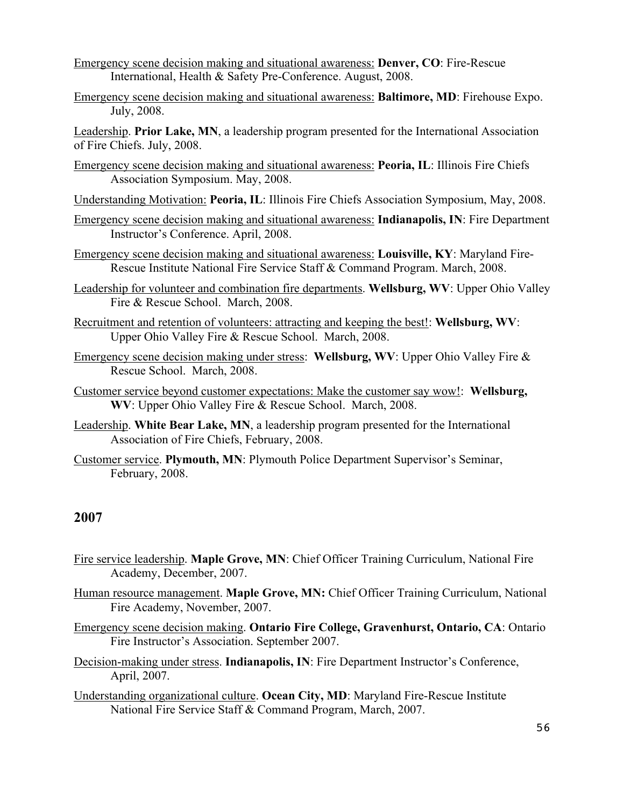- Emergency scene decision making and situational awareness: **Denver, CO**: Fire-Rescue International, Health & Safety Pre-Conference. August, 2008.
- Emergency scene decision making and situational awareness: **Baltimore, MD**: Firehouse Expo. July, 2008.

Leadership. **Prior Lake, MN**, a leadership program presented for the International Association of Fire Chiefs. July, 2008.

Emergency scene decision making and situational awareness: **Peoria, IL**: Illinois Fire Chiefs Association Symposium. May, 2008.

Understanding Motivation: **Peoria, IL**: Illinois Fire Chiefs Association Symposium, May, 2008.

- Emergency scene decision making and situational awareness: **Indianapolis, IN**: Fire Department Instructor's Conference. April, 2008.
- Emergency scene decision making and situational awareness: **Louisville, KY**: Maryland Fire-Rescue Institute National Fire Service Staff & Command Program. March, 2008.
- Leadership for volunteer and combination fire departments. **Wellsburg, WV**: Upper Ohio Valley Fire & Rescue School. March, 2008.
- Recruitment and retention of volunteers: attracting and keeping the best!: **Wellsburg, WV**: Upper Ohio Valley Fire & Rescue School. March, 2008.
- Emergency scene decision making under stress: **Wellsburg, WV**: Upper Ohio Valley Fire & Rescue School. March, 2008.
- Customer service beyond customer expectations: Make the customer say wow!: **Wellsburg, WV**: Upper Ohio Valley Fire & Rescue School. March, 2008.
- Leadership. **White Bear Lake, MN**, a leadership program presented for the International Association of Fire Chiefs, February, 2008.
- Customer service. **Plymouth, MN**: Plymouth Police Department Supervisor's Seminar, February, 2008.

- Fire service leadership. **Maple Grove, MN**: Chief Officer Training Curriculum, National Fire Academy, December, 2007.
- Human resource management. **Maple Grove, MN:** Chief Officer Training Curriculum, National Fire Academy, November, 2007.
- Emergency scene decision making. **Ontario Fire College, Gravenhurst, Ontario, CA**: Ontario Fire Instructor's Association. September 2007.
- Decision-making under stress. **Indianapolis, IN**: Fire Department Instructor's Conference, April, 2007.
- Understanding organizational culture. **Ocean City, MD**: Maryland Fire-Rescue Institute National Fire Service Staff & Command Program, March, 2007.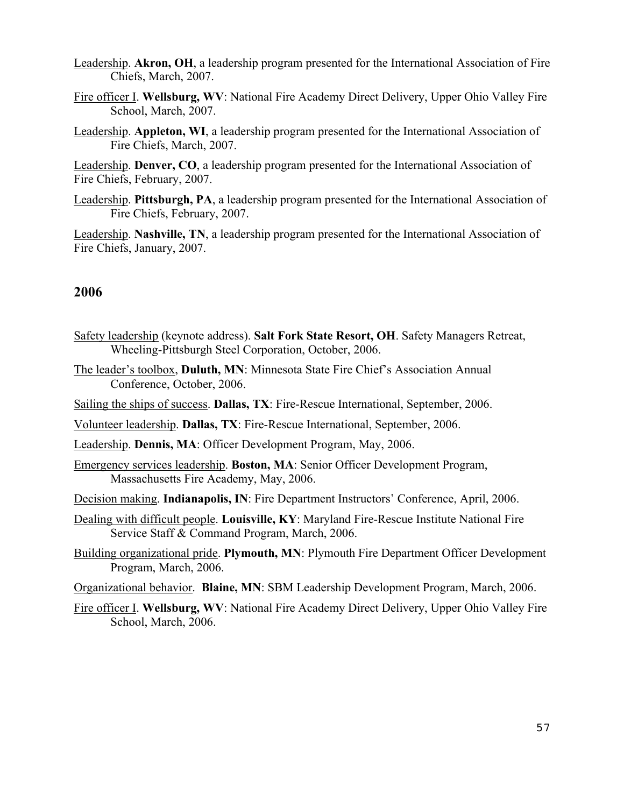- Leadership. **Akron, OH**, a leadership program presented for the International Association of Fire Chiefs, March, 2007.
- Fire officer I. **Wellsburg, WV**: National Fire Academy Direct Delivery, Upper Ohio Valley Fire School, March, 2007.
- Leadership. **Appleton, WI**, a leadership program presented for the International Association of Fire Chiefs, March, 2007.

Leadership. **Denver, CO**, a leadership program presented for the International Association of Fire Chiefs, February, 2007.

Leadership. **Pittsburgh, PA**, a leadership program presented for the International Association of Fire Chiefs, February, 2007.

Leadership. **Nashville, TN**, a leadership program presented for the International Association of Fire Chiefs, January, 2007.

- Safety leadership (keynote address). **Salt Fork State Resort, OH**. Safety Managers Retreat, Wheeling-Pittsburgh Steel Corporation, October, 2006.
- The leader's toolbox, **Duluth, MN**: Minnesota State Fire Chief's Association Annual Conference, October, 2006.
- Sailing the ships of success. **Dallas, TX**: Fire-Rescue International, September, 2006.
- Volunteer leadership. **Dallas, TX**: Fire-Rescue International, September, 2006.
- Leadership. **Dennis, MA**: Officer Development Program, May, 2006.
- Emergency services leadership. **Boston, MA**: Senior Officer Development Program, Massachusetts Fire Academy, May, 2006.
- Decision making. **Indianapolis, IN**: Fire Department Instructors' Conference, April, 2006.
- Dealing with difficult people. **Louisville, KY**: Maryland Fire-Rescue Institute National Fire Service Staff & Command Program, March, 2006.
- Building organizational pride. **Plymouth, MN**: Plymouth Fire Department Officer Development Program, March, 2006.
- Organizational behavior. **Blaine, MN**: SBM Leadership Development Program, March, 2006.
- Fire officer I. **Wellsburg, WV**: National Fire Academy Direct Delivery, Upper Ohio Valley Fire School, March, 2006.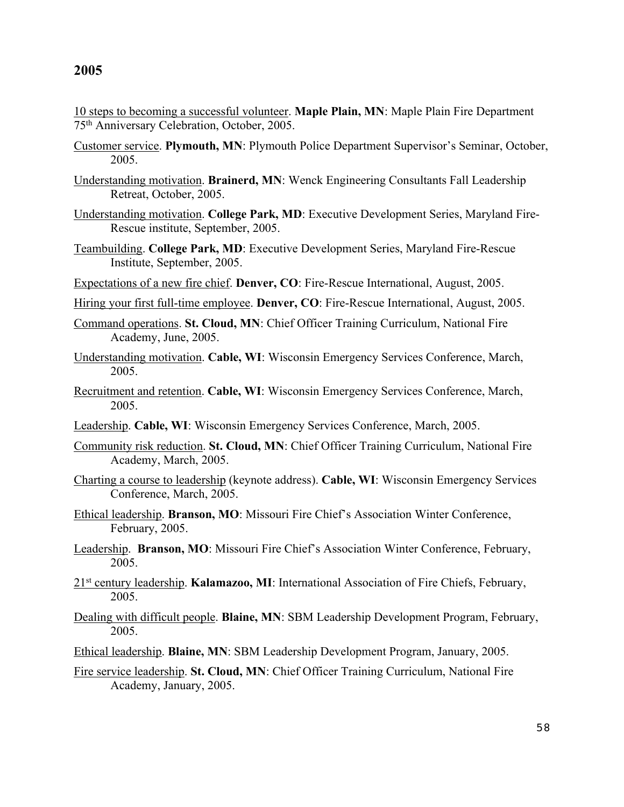10 steps to becoming a successful volunteer. **Maple Plain, MN**: Maple Plain Fire Department 75th Anniversary Celebration, October, 2005.

- Customer service. **Plymouth, MN**: Plymouth Police Department Supervisor's Seminar, October, 2005.
- Understanding motivation. **Brainerd, MN**: Wenck Engineering Consultants Fall Leadership Retreat, October, 2005.
- Understanding motivation. **College Park, MD**: Executive Development Series, Maryland Fire-Rescue institute, September, 2005.
- Teambuilding. **College Park, MD**: Executive Development Series, Maryland Fire-Rescue Institute, September, 2005.
- Expectations of a new fire chief. **Denver, CO**: Fire-Rescue International, August, 2005.
- Hiring your first full-time employee. **Denver, CO**: Fire-Rescue International, August, 2005.
- Command operations. **St. Cloud, MN**: Chief Officer Training Curriculum, National Fire Academy, June, 2005.
- Understanding motivation. **Cable, WI**: Wisconsin Emergency Services Conference, March, 2005.
- Recruitment and retention. **Cable, WI**: Wisconsin Emergency Services Conference, March, 2005.
- Leadership. **Cable, WI**: Wisconsin Emergency Services Conference, March, 2005.
- Community risk reduction. **St. Cloud, MN**: Chief Officer Training Curriculum, National Fire Academy, March, 2005.
- Charting a course to leadership (keynote address). **Cable, WI**: Wisconsin Emergency Services Conference, March, 2005.
- Ethical leadership. **Branson, MO**: Missouri Fire Chief's Association Winter Conference, February, 2005.
- Leadership. **Branson, MO**: Missouri Fire Chief's Association Winter Conference, February, 2005.
- 21<sup>st</sup> century leadership. **Kalamazoo, MI**: International Association of Fire Chiefs, February, 2005.
- Dealing with difficult people. **Blaine, MN**: SBM Leadership Development Program, February, 2005.
- Ethical leadership. **Blaine, MN**: SBM Leadership Development Program, January, 2005.
- Fire service leadership. **St. Cloud, MN**: Chief Officer Training Curriculum, National Fire Academy, January, 2005.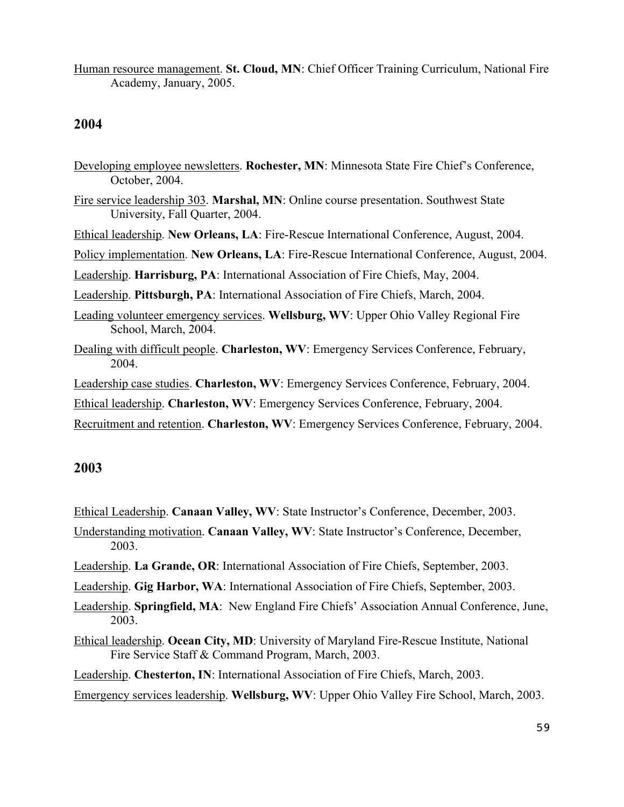Human resource management. **St. Cloud, MN**: Chief Officer Training Curriculum, National Fire Academy, January, 2005.

#### **2004**

Developing employee newsletters. **Rochester, MN**: Minnesota State Fire Chief's Conference, October, 2004. Fire service leadership 303. **Marshal, MN**: Online course presentation. Southwest State University, Fall Quarter, 2004. Ethical leadership. **New Orleans, LA**: Fire-Rescue International Conference, August, 2004. Policy implementation. **New Orleans, LA**: Fire-Rescue International Conference, August, 2004. Leadership. **Harrisburg, PA**: International Association of Fire Chiefs, May, 2004. Leadership. **Pittsburgh, PA**: International Association of Fire Chiefs, March, 2004. Leading volunteer emergency services. **Wellsburg, WV**: Upper Ohio Valley Regional Fire School, March, 2004. Dealing with difficult people. **Charleston, WV**: Emergency Services Conference, February, 2004. Leadership case studies. **Charleston, WV**: Emergency Services Conference, February, 2004. Ethical leadership. **Charleston, WV**: Emergency Services Conference, February, 2004. Recruitment and retention. **Charleston, WV**: Emergency Services Conference, February, 2004.

#### **2003**

Ethical Leadership. **Canaan Valley, WV**: State Instructor's Conference, December, 2003.

- Understanding motivation. **Canaan Valley, WV**: State Instructor's Conference, December, 2003.
- Leadership. **La Grande, OR**: International Association of Fire Chiefs, September, 2003.
- Leadership. **Gig Harbor, WA**: International Association of Fire Chiefs, September, 2003.
- Leadership. **Springfield, MA**: New England Fire Chiefs' Association Annual Conference, June, 2003.
- Ethical leadership. **Ocean City, MD**: University of Maryland Fire-Rescue Institute, National Fire Service Staff & Command Program, March, 2003.

Leadership. **Chesterton, IN**: International Association of Fire Chiefs, March, 2003.

Emergency services leadership. **Wellsburg, WV**: Upper Ohio Valley Fire School, March, 2003.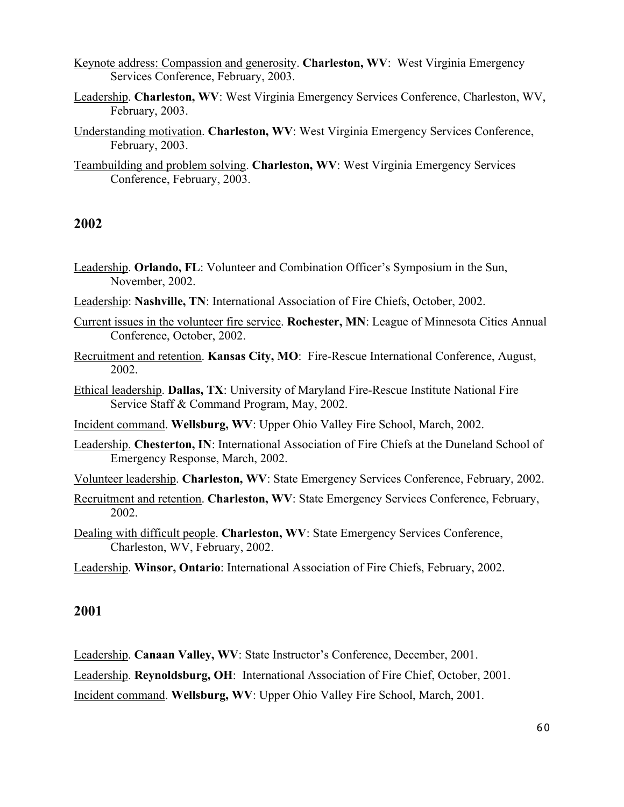Keynote address: Compassion and generosity. **Charleston, WV**: West Virginia Emergency Services Conference, February, 2003.

- Leadership. **Charleston, WV**: West Virginia Emergency Services Conference, Charleston, WV, February, 2003.
- Understanding motivation. **Charleston, WV**: West Virginia Emergency Services Conference, February, 2003.
- Teambuilding and problem solving. **Charleston, WV**: West Virginia Emergency Services Conference, February, 2003.

#### **2002**

- Leadership. **Orlando, FL**: Volunteer and Combination Officer's Symposium in the Sun, November, 2002.
- Leadership: **Nashville, TN**: International Association of Fire Chiefs, October, 2002.
- Current issues in the volunteer fire service. **Rochester, MN**: League of Minnesota Cities Annual Conference, October, 2002.
- Recruitment and retention. **Kansas City, MO**: Fire-Rescue International Conference, August, 2002.
- Ethical leadership. **Dallas, TX**: University of Maryland Fire-Rescue Institute National Fire Service Staff & Command Program, May, 2002.
- Incident command. **Wellsburg, WV**: Upper Ohio Valley Fire School, March, 2002.
- Leadership. **Chesterton, IN**: International Association of Fire Chiefs at the Duneland School of Emergency Response, March, 2002.
- Volunteer leadership. **Charleston, WV**: State Emergency Services Conference, February, 2002.
- Recruitment and retention. **Charleston, WV**: State Emergency Services Conference, February, 2002.
- Dealing with difficult people. **Charleston, WV**: State Emergency Services Conference, Charleston, WV, February, 2002.
- Leadership. **Winsor, Ontario**: International Association of Fire Chiefs, February, 2002.

#### **2001**

Leadership. **Canaan Valley, WV**: State Instructor's Conference, December, 2001.

Leadership. **Reynoldsburg, OH**: International Association of Fire Chief, October, 2001.

Incident command. **Wellsburg, WV**: Upper Ohio Valley Fire School, March, 2001.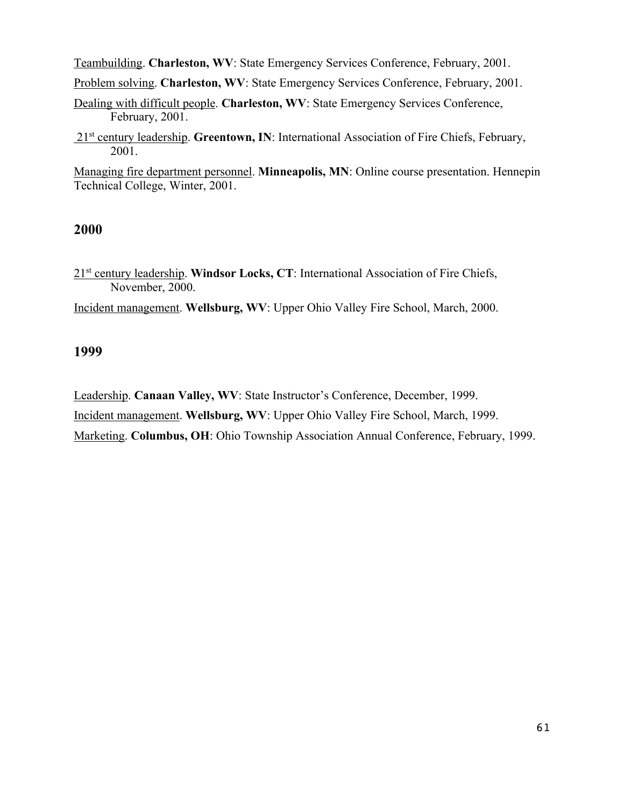Teambuilding. **Charleston, WV**: State Emergency Services Conference, February, 2001.

Problem solving. **Charleston, WV**: State Emergency Services Conference, February, 2001.

Dealing with difficult people. **Charleston, WV**: State Emergency Services Conference, February, 2001.

21st century leadership. **Greentown, IN**: International Association of Fire Chiefs, February, 2001.

Managing fire department personnel. **Minneapolis, MN**: Online course presentation. Hennepin Technical College, Winter, 2001.

#### **2000**

21<sup>st</sup> century leadership. Windsor Locks, CT: International Association of Fire Chiefs, November, 2000.

Incident management. **Wellsburg, WV**: Upper Ohio Valley Fire School, March, 2000.

#### **1999**

Leadership. **Canaan Valley, WV**: State Instructor's Conference, December, 1999.

Incident management. **Wellsburg, WV**: Upper Ohio Valley Fire School, March, 1999.

Marketing. **Columbus, OH**: Ohio Township Association Annual Conference, February, 1999.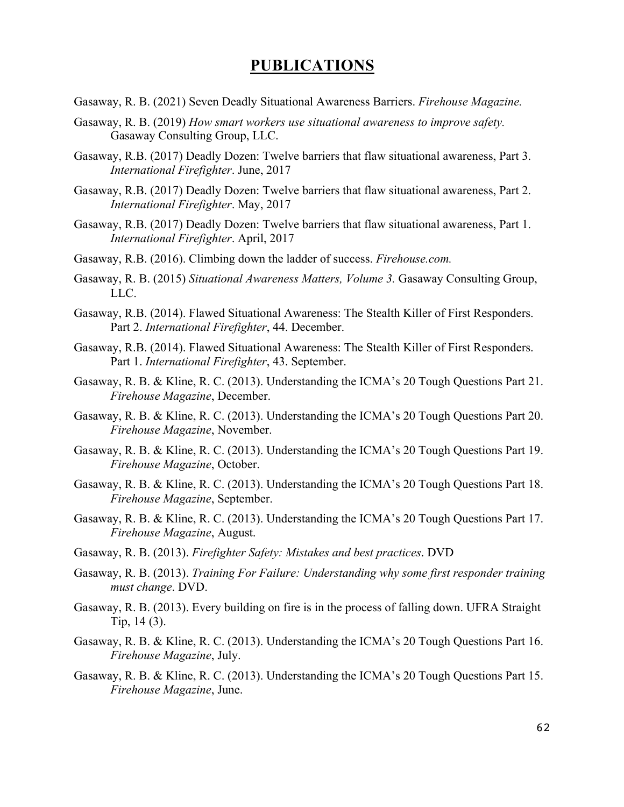### **PUBLICATIONS**

- Gasaway, R. B. (2021) Seven Deadly Situational Awareness Barriers. *Firehouse Magazine.*
- Gasaway, R. B. (2019) *How smart workers use situational awareness to improve safety.*  Gasaway Consulting Group, LLC.
- Gasaway, R.B. (2017) Deadly Dozen: Twelve barriers that flaw situational awareness, Part 3. *International Firefighter*. June, 2017
- Gasaway, R.B. (2017) Deadly Dozen: Twelve barriers that flaw situational awareness, Part 2. *International Firefighter*. May, 2017
- Gasaway, R.B. (2017) Deadly Dozen: Twelve barriers that flaw situational awareness, Part 1. *International Firefighter*. April, 2017
- Gasaway, R.B. (2016). Climbing down the ladder of success. *Firehouse.com.*
- Gasaway, R. B. (2015) *Situational Awareness Matters, Volume 3.* Gasaway Consulting Group, LLC.
- Gasaway, R.B. (2014). Flawed Situational Awareness: The Stealth Killer of First Responders. Part 2. *International Firefighter*, 44. December.
- Gasaway, R.B. (2014). Flawed Situational Awareness: The Stealth Killer of First Responders. Part 1. *International Firefighter*, 43. September.
- Gasaway, R. B. & Kline, R. C. (2013). Understanding the ICMA's 20 Tough Questions Part 21. *Firehouse Magazine*, December.
- Gasaway, R. B. & Kline, R. C. (2013). Understanding the ICMA's 20 Tough Questions Part 20. *Firehouse Magazine*, November.
- Gasaway, R. B. & Kline, R. C. (2013). Understanding the ICMA's 20 Tough Questions Part 19. *Firehouse Magazine*, October.
- Gasaway, R. B. & Kline, R. C. (2013). Understanding the ICMA's 20 Tough Questions Part 18. *Firehouse Magazine*, September.
- Gasaway, R. B. & Kline, R. C. (2013). Understanding the ICMA's 20 Tough Questions Part 17. *Firehouse Magazine*, August.
- Gasaway, R. B. (2013). *Firefighter Safety: Mistakes and best practices*. DVD
- Gasaway, R. B. (2013). *Training For Failure: Understanding why some first responder training must change*. DVD.
- Gasaway, R. B. (2013). Every building on fire is in the process of falling down. UFRA Straight Tip, 14 (3).
- Gasaway, R. B. & Kline, R. C. (2013). Understanding the ICMA's 20 Tough Questions Part 16. *Firehouse Magazine*, July.
- Gasaway, R. B. & Kline, R. C. (2013). Understanding the ICMA's 20 Tough Questions Part 15. *Firehouse Magazine*, June.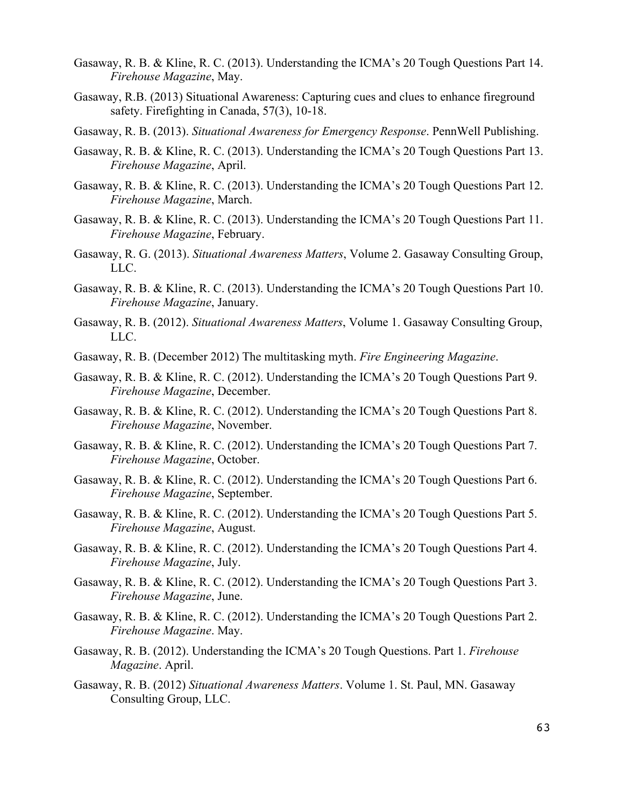- Gasaway, R. B. & Kline, R. C. (2013). Understanding the ICMA's 20 Tough Questions Part 14. *Firehouse Magazine*, May.
- Gasaway, R.B. (2013) Situational Awareness: Capturing cues and clues to enhance fireground safety. Firefighting in Canada, 57(3), 10-18.
- Gasaway, R. B. (2013). *Situational Awareness for Emergency Response*. PennWell Publishing.
- Gasaway, R. B. & Kline, R. C. (2013). Understanding the ICMA's 20 Tough Questions Part 13. *Firehouse Magazine*, April.
- Gasaway, R. B. & Kline, R. C. (2013). Understanding the ICMA's 20 Tough Questions Part 12. *Firehouse Magazine*, March.
- Gasaway, R. B. & Kline, R. C. (2013). Understanding the ICMA's 20 Tough Questions Part 11. *Firehouse Magazine*, February.
- Gasaway, R. G. (2013). *Situational Awareness Matters*, Volume 2. Gasaway Consulting Group, LLC.
- Gasaway, R. B. & Kline, R. C. (2013). Understanding the ICMA's 20 Tough Questions Part 10. *Firehouse Magazine*, January.
- Gasaway, R. B. (2012). *Situational Awareness Matters*, Volume 1. Gasaway Consulting Group, LLC.
- Gasaway, R. B. (December 2012) The multitasking myth. *Fire Engineering Magazine*.
- Gasaway, R. B. & Kline, R. C. (2012). Understanding the ICMA's 20 Tough Questions Part 9. *Firehouse Magazine*, December.
- Gasaway, R. B. & Kline, R. C. (2012). Understanding the ICMA's 20 Tough Questions Part 8. *Firehouse Magazine*, November.
- Gasaway, R. B. & Kline, R. C. (2012). Understanding the ICMA's 20 Tough Questions Part 7. *Firehouse Magazine*, October.
- Gasaway, R. B. & Kline, R. C. (2012). Understanding the ICMA's 20 Tough Questions Part 6. *Firehouse Magazine*, September.
- Gasaway, R. B. & Kline, R. C. (2012). Understanding the ICMA's 20 Tough Questions Part 5. *Firehouse Magazine*, August.
- Gasaway, R. B. & Kline, R. C. (2012). Understanding the ICMA's 20 Tough Questions Part 4. *Firehouse Magazine*, July.
- Gasaway, R. B. & Kline, R. C. (2012). Understanding the ICMA's 20 Tough Questions Part 3. *Firehouse Magazine*, June.
- Gasaway, R. B. & Kline, R. C. (2012). Understanding the ICMA's 20 Tough Questions Part 2. *Firehouse Magazine*. May.
- Gasaway, R. B. (2012). Understanding the ICMA's 20 Tough Questions. Part 1. *Firehouse Magazine*. April.
- Gasaway, R. B. (2012) *Situational Awareness Matters*. Volume 1. St. Paul, MN. Gasaway Consulting Group, LLC.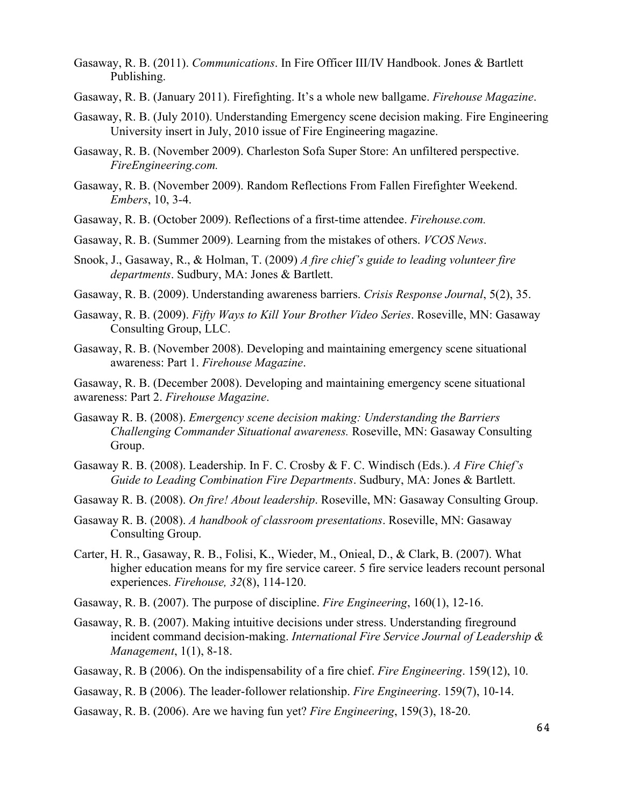- Gasaway, R. B. (2011). *Communications*. In Fire Officer III/IV Handbook. Jones & Bartlett Publishing.
- Gasaway, R. B. (January 2011). Firefighting. It's a whole new ballgame. *Firehouse Magazine*.
- Gasaway, R. B. (July 2010). Understanding Emergency scene decision making. Fire Engineering University insert in July, 2010 issue of Fire Engineering magazine.
- Gasaway, R. B. (November 2009). Charleston Sofa Super Store: An unfiltered perspective. *FireEngineering.com.*
- Gasaway, R. B. (November 2009). Random Reflections From Fallen Firefighter Weekend. *Embers*, 10, 3-4.
- Gasaway, R. B. (October 2009). Reflections of a first-time attendee. *Firehouse.com.*
- Gasaway, R. B. (Summer 2009). Learning from the mistakes of others. *VCOS News*.
- Snook, J., Gasaway, R., & Holman, T. (2009) *A fire chief's guide to leading volunteer fire departments*. Sudbury, MA: Jones & Bartlett.
- Gasaway, R. B. (2009). Understanding awareness barriers. *Crisis Response Journal*, 5(2), 35.
- Gasaway, R. B. (2009). *Fifty Ways to Kill Your Brother Video Series*. Roseville, MN: Gasaway Consulting Group, LLC.
- Gasaway, R. B. (November 2008). Developing and maintaining emergency scene situational awareness: Part 1. *Firehouse Magazine*.

Gasaway, R. B. (December 2008). Developing and maintaining emergency scene situational awareness: Part 2. *Firehouse Magazine*.

- Gasaway R. B. (2008). *Emergency scene decision making: Understanding the Barriers Challenging Commander Situational awareness.* Roseville, MN: Gasaway Consulting Group.
- Gasaway R. B. (2008). Leadership. In F. C. Crosby & F. C. Windisch (Eds.). *A Fire Chief's Guide to Leading Combination Fire Departments*. Sudbury, MA: Jones & Bartlett.
- Gasaway R. B. (2008). *On fire! About leadership*. Roseville, MN: Gasaway Consulting Group.
- Gasaway R. B. (2008). *A handbook of classroom presentations*. Roseville, MN: Gasaway Consulting Group.
- Carter, H. R., Gasaway, R. B., Folisi, K., Wieder, M., Onieal, D., & Clark, B. (2007). What higher education means for my fire service career. 5 fire service leaders recount personal experiences. *Firehouse, 32*(8), 114-120.
- Gasaway, R. B. (2007). The purpose of discipline. *Fire Engineering*, 160(1), 12-16.
- Gasaway, R. B. (2007). Making intuitive decisions under stress. Understanding fireground incident command decision-making. *International Fire Service Journal of Leadership & Management*, 1(1), 8-18.
- Gasaway, R. B (2006). On the indispensability of a fire chief. *Fire Engineering*. 159(12), 10.
- Gasaway, R. B (2006). The leader-follower relationship. *Fire Engineering*. 159(7), 10-14.
- Gasaway, R. B. (2006). Are we having fun yet? *Fire Engineering*, 159(3), 18-20.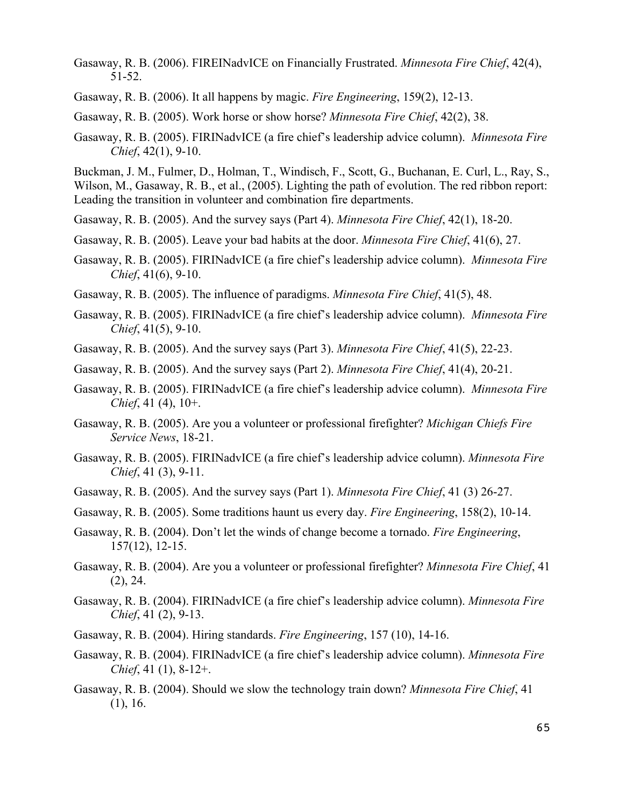- Gasaway, R. B. (2006). FIREINadvICE on Financially Frustrated. *Minnesota Fire Chief*, 42(4), 51-52.
- Gasaway, R. B. (2006). It all happens by magic. *Fire Engineering*, 159(2), 12-13.

Gasaway, R. B. (2005). Work horse or show horse? *Minnesota Fire Chief*, 42(2), 38.

Gasaway, R. B. (2005). FIRINadvICE (a fire chief's leadership advice column). *Minnesota Fire Chief*, 42(1), 9-10.

Buckman, J. M., Fulmer, D., Holman, T., Windisch, F., Scott, G., Buchanan, E. Curl, L., Ray, S., Wilson, M., Gasaway, R. B., et al., (2005). Lighting the path of evolution. The red ribbon report: Leading the transition in volunteer and combination fire departments.

- Gasaway, R. B. (2005). And the survey says (Part 4). *Minnesota Fire Chief*, 42(1), 18-20.
- Gasaway, R. B. (2005). Leave your bad habits at the door. *Minnesota Fire Chief*, 41(6), 27.
- Gasaway, R. B. (2005). FIRINadvICE (a fire chief's leadership advice column). *Minnesota Fire Chief*, 41(6), 9-10.
- Gasaway, R. B. (2005). The influence of paradigms. *Minnesota Fire Chief*, 41(5), 48.
- Gasaway, R. B. (2005). FIRINadvICE (a fire chief's leadership advice column). *Minnesota Fire Chief*, 41(5), 9-10.
- Gasaway, R. B. (2005). And the survey says (Part 3). *Minnesota Fire Chief*, 41(5), 22-23.
- Gasaway, R. B. (2005). And the survey says (Part 2). *Minnesota Fire Chief*, 41(4), 20-21.
- Gasaway, R. B. (2005). FIRINadvICE (a fire chief's leadership advice column). *Minnesota Fire Chief*, 41 (4), 10+.
- Gasaway, R. B. (2005). Are you a volunteer or professional firefighter? *Michigan Chiefs Fire Service News*, 18-21.
- Gasaway, R. B. (2005). FIRINadvICE (a fire chief's leadership advice column). *Minnesota Fire Chief*, 41 (3), 9-11.
- Gasaway, R. B. (2005). And the survey says (Part 1). *Minnesota Fire Chief*, 41 (3) 26-27.
- Gasaway, R. B. (2005). Some traditions haunt us every day. *Fire Engineering*, 158(2), 10-14.
- Gasaway, R. B. (2004). Don't let the winds of change become a tornado. *Fire Engineering*, 157(12), 12-15.
- Gasaway, R. B. (2004). Are you a volunteer or professional firefighter? *Minnesota Fire Chief*, 41 (2), 24.
- Gasaway, R. B. (2004). FIRINadvICE (a fire chief's leadership advice column). *Minnesota Fire Chief*, 41 (2), 9-13.
- Gasaway, R. B. (2004). Hiring standards. *Fire Engineering*, 157 (10), 14-16.
- Gasaway, R. B. (2004). FIRINadvICE (a fire chief's leadership advice column). *Minnesota Fire Chief*, 41 (1), 8-12+.
- Gasaway, R. B. (2004). Should we slow the technology train down? *Minnesota Fire Chief*, 41 (1), 16.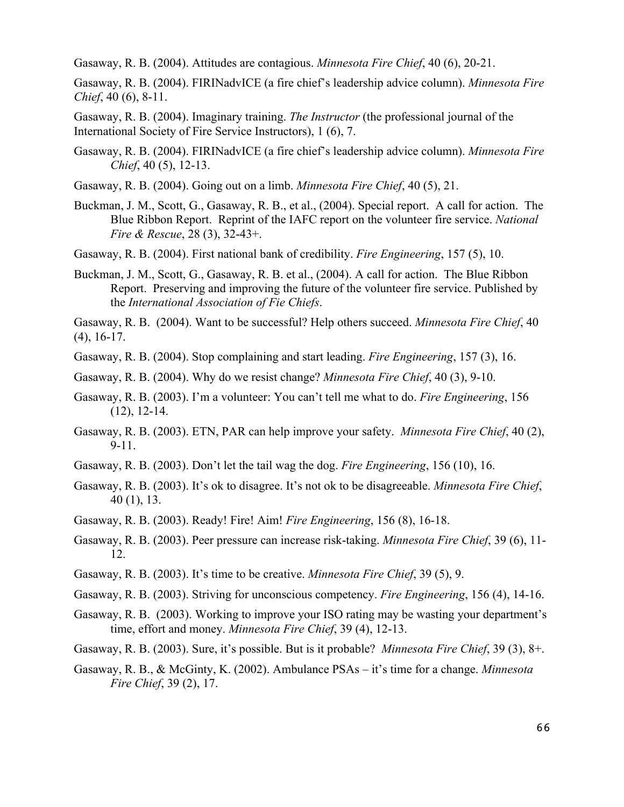Gasaway, R. B. (2004). Attitudes are contagious. *Minnesota Fire Chief*, 40 (6), 20-21.

Gasaway, R. B. (2004). FIRINadvICE (a fire chief's leadership advice column). *Minnesota Fire Chief*, 40 (6), 8-11.

Gasaway, R. B. (2004). Imaginary training. *The Instructor* (the professional journal of the International Society of Fire Service Instructors), 1 (6), 7.

- Gasaway, R. B. (2004). FIRINadvICE (a fire chief's leadership advice column). *Minnesota Fire Chief*, 40 (5), 12-13.
- Gasaway, R. B. (2004). Going out on a limb. *Minnesota Fire Chief*, 40 (5), 21.
- Buckman, J. M., Scott, G., Gasaway, R. B., et al., (2004). Special report. A call for action. The Blue Ribbon Report. Reprint of the IAFC report on the volunteer fire service. *National Fire & Rescue*, 28 (3), 32-43+.
- Gasaway, R. B. (2004). First national bank of credibility. *Fire Engineering*, 157 (5), 10.
- Buckman, J. M., Scott, G., Gasaway, R. B. et al., (2004). A call for action. The Blue Ribbon Report. Preserving and improving the future of the volunteer fire service. Published by the *International Association of Fie Chiefs*.

Gasaway, R. B. (2004). Want to be successful? Help others succeed. *Minnesota Fire Chief*, 40 (4), 16-17.

- Gasaway, R. B. (2004). Stop complaining and start leading. *Fire Engineering*, 157 (3), 16.
- Gasaway, R. B. (2004). Why do we resist change? *Minnesota Fire Chief*, 40 (3), 9-10.
- Gasaway, R. B. (2003). I'm a volunteer: You can't tell me what to do. *Fire Engineering*, 156 (12), 12-14.
- Gasaway, R. B. (2003). ETN, PAR can help improve your safety. *Minnesota Fire Chief*, 40 (2), 9-11.
- Gasaway, R. B. (2003). Don't let the tail wag the dog. *Fire Engineering*, 156 (10), 16.
- Gasaway, R. B. (2003). It's ok to disagree. It's not ok to be disagreeable. *Minnesota Fire Chief*, 40 (1), 13.
- Gasaway, R. B. (2003). Ready! Fire! Aim! *Fire Engineering*, 156 (8), 16-18.
- Gasaway, R. B. (2003). Peer pressure can increase risk-taking. *Minnesota Fire Chief*, 39 (6), 11- 12.
- Gasaway, R. B. (2003). It's time to be creative. *Minnesota Fire Chief*, 39 (5), 9.
- Gasaway, R. B. (2003). Striving for unconscious competency. *Fire Engineering*, 156 (4), 14-16.
- Gasaway, R. B. (2003). Working to improve your ISO rating may be wasting your department's time, effort and money. *Minnesota Fire Chief*, 39 (4), 12-13.
- Gasaway, R. B. (2003). Sure, it's possible. But is it probable? *Minnesota Fire Chief*, 39 (3), 8+.
- Gasaway, R. B., & McGinty, K. (2002). Ambulance PSAs it's time for a change. *Minnesota Fire Chief*, 39 (2), 17.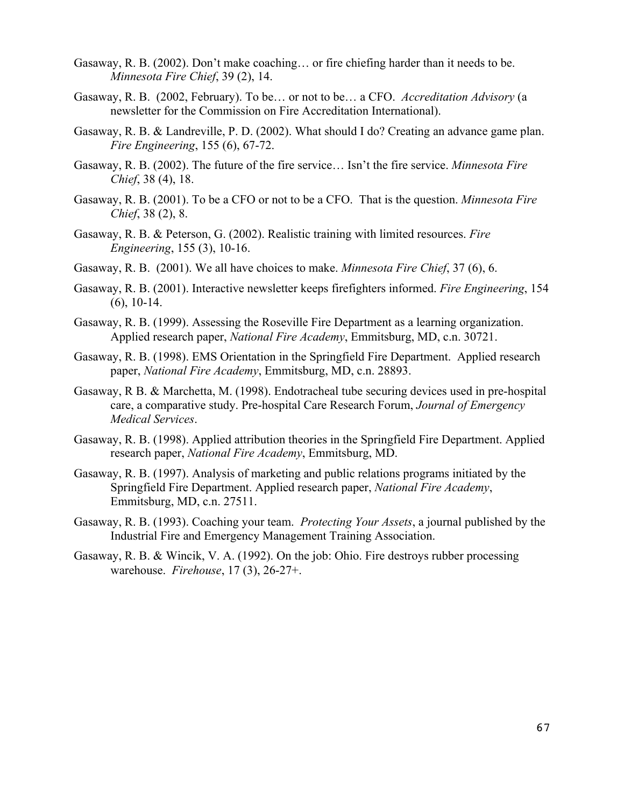- Gasaway, R. B. (2002). Don't make coaching… or fire chiefing harder than it needs to be. *Minnesota Fire Chief*, 39 (2), 14.
- Gasaway, R. B. (2002, February). To be… or not to be… a CFO. *Accreditation Advisory* (a newsletter for the Commission on Fire Accreditation International).
- Gasaway, R. B. & Landreville, P. D. (2002). What should I do? Creating an advance game plan. *Fire Engineering*, 155 (6), 67-72.
- Gasaway, R. B. (2002). The future of the fire service… Isn't the fire service. *Minnesota Fire Chief*, 38 (4), 18.
- Gasaway, R. B. (2001). To be a CFO or not to be a CFO. That is the question. *Minnesota Fire Chief*, 38 (2), 8.
- Gasaway, R. B. & Peterson, G. (2002). Realistic training with limited resources. *Fire Engineering*, 155 (3), 10-16.
- Gasaway, R. B. (2001). We all have choices to make. *Minnesota Fire Chief*, 37 (6), 6.
- Gasaway, R. B. (2001). Interactive newsletter keeps firefighters informed. *Fire Engineering*, 154 (6), 10-14.
- Gasaway, R. B. (1999). Assessing the Roseville Fire Department as a learning organization. Applied research paper, *National Fire Academy*, Emmitsburg, MD, c.n. 30721.
- Gasaway, R. B. (1998). EMS Orientation in the Springfield Fire Department. Applied research paper, *National Fire Academy*, Emmitsburg, MD, c.n. 28893.
- Gasaway, R B. & Marchetta, M. (1998). Endotracheal tube securing devices used in pre-hospital care, a comparative study. Pre-hospital Care Research Forum, *Journal of Emergency Medical Services*.
- Gasaway, R. B. (1998). Applied attribution theories in the Springfield Fire Department. Applied research paper, *National Fire Academy*, Emmitsburg, MD.
- Gasaway, R. B. (1997). Analysis of marketing and public relations programs initiated by the Springfield Fire Department. Applied research paper, *National Fire Academy*, Emmitsburg, MD, c.n. 27511.
- Gasaway, R. B. (1993). Coaching your team. *Protecting Your Assets*, a journal published by the Industrial Fire and Emergency Management Training Association.
- Gasaway, R. B. & Wincik, V. A. (1992). On the job: Ohio. Fire destroys rubber processing warehouse. *Firehouse*, 17 (3), 26-27+.